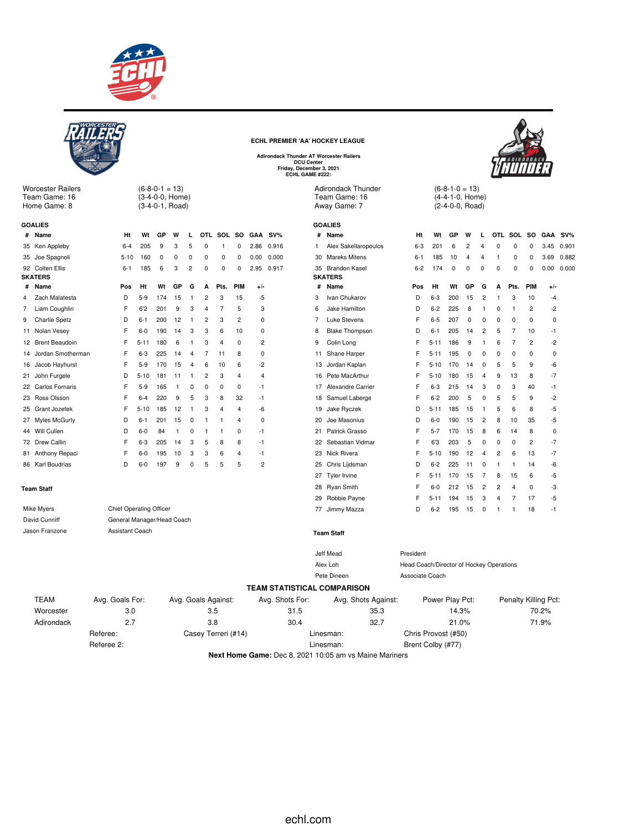

 $(6-8-0-1 = 13)$ (3-4-0-0, Home) (3-4-0-1, Road)

**# Name Ht Wt GP W L OTL SOL SO GAA SV%** 35 Ken Appleby 6-4 205 9 3 5 0 1 0 2.86 0.916 35 Joe Spagnoli 5-10 160 0 0 0 0 0 0 0.00 0.000 92 Colten Ellis 6-1 185 6 3 2 0 0 0 2.95 0.917

**# Name Pos Ht Wt GP G A Pts. PIM +/-** Zach Malatesta D 5-9 174 15 1 2 3 15 -5 Liam Coughlin F 6'2 201 9 3 4 7 5 3 Charlie Spetz D 6-1 200 12 1 2 3 2 0 Nolan Vesey F 6-0 190 14 3 3 6 10 0 12 Brent Beaudoin F 5-11 180 6 1 3 4 0 2 Jordan Smotherman F 6-3 225 14 4 7 11 8 0 Jacob Hayhurst F 5-9 170 15 4 6 10 6 -2 John Furgele D 5-10 181 11 1 2 3 4 4 Carlos Fornaris F 5-9 165 1 0 0 0 0 -1 Ross Olsson F 6-4 220 9 5 3 8 32 -1 Grant Jozefek F 5-10 185 12 1 3 4 4 -6 27 Myles McGurty **D** 6-1 201 15 0 1 1 4 0 Will Cullen D 6-0 84 1 0 1 1 0 -1 Drew Callin F 6-3 205 14 3 5 8 8 -1 81 Anthony Repaci F 6-0 195 10 3 3 6 4 -1<br>RE Karl Roudrias D 6-0 197 9 0 5 5 5 2 Karl Boudrias D 6-0 197 9 0 5 5 5 2



Worcester Railers Team Game: 16 Home Game: 8

**GOALIES**

**SKATERS**

**ECHL PREMIER 'AA' HOCKEY LEAGUE Adirondack Thunder AT Worcester Railers**

**DCU Center Friday, December 3, 2021 ECHL GAME #222:**

Adirondack Thunder Team Game: 16 Away Game: 7

|    | <b>GOALIES</b> |  |
|----|----------------|--|
| ш. | Massach        |  |

| #  | Name                  | Ht      | Wt       | GP  | W              | L                       | OTL         | SOL            | <b>SO</b>      | <b>GAA</b> | $SV\%$ |
|----|-----------------------|---------|----------|-----|----------------|-------------------------|-------------|----------------|----------------|------------|--------|
| 1  | Alex Sakellaropoulos  | $6 - 3$ | 201      | 6   | $\overline{2}$ | $\overline{\mathbf{4}}$ | $\mathbf 0$ | 0              | $\mathbf 0$    | 3.45       | 0.901  |
| 30 | <b>Mareks Mitens</b>  | $6 - 1$ | 185      | 10  | $\overline{4}$ | $\overline{\mathbf{4}}$ | 1           | 0              | 0              | 3.69       | 0.882  |
| 35 | <b>Brandon Kasel</b>  | $6 - 2$ | 174      | 0   | 0              | 0                       | 0           | 0              | 0              | 0.00       | 0.000  |
|    | <b>SKATERS</b>        |         |          |     |                |                         |             |                |                |            |        |
| #  | Name                  | Pos     | Ht       | Wt  | GP             | G                       | A           | Pts.           | PIM            | $+/-$      |        |
| 3  | Ivan Chukarov         | D       | $6 - 3$  | 200 | 15             | $\overline{2}$          | 1           | 3              | 10             | $-4$       |        |
| 6  | Jake Hamilton         | D       | $6 - 2$  | 225 | 8              | 1                       | 0           | 1              | 2              | $-2$       |        |
| 7  | <b>Luke Stevens</b>   | F       | $6 - 5$  | 207 | 0              | 0                       | 0           | 0              | 0              | 0          |        |
| 8  | <b>Blake Thompson</b> | D       | $6 - 1$  | 205 | 14             | $\overline{2}$          | 5           | $\overline{7}$ | 10             | -1         |        |
| 9  | Colin Long            | F       | $5 - 11$ | 186 | 9              | 1                       | 6           | 7              | $\overline{2}$ | $-2$       |        |
| 11 | Shane Harper          | F       | $5 - 11$ | 195 | 0              | 0                       | 0           | 0              | 0              | 0          |        |
| 13 | Jordan Kaplan         | F       | $5 - 10$ | 170 | 14             | $\mathbf 0$             | 5           | 5              | 9              | -6         |        |
| 16 | Pete MacArthur        | F       | $5 - 10$ | 180 | 15             | 4                       | 9           | 13             | 8              | -7         |        |
| 17 | Alexandre Carrier     | F       | $6 - 3$  | 215 | 14             | 3                       | 0           | 3              | 40             | $-1$       |        |
| 18 | Samuel Laberge        | F       | $6 - 2$  | 200 | 5              | $\mathbf 0$             | 5           | 5              | 9              | $-2$       |        |
| 19 | Jake Ryczek           | D       | $5 - 11$ | 185 | 15             | 1                       | 5           | 6              | 8              | -5         |        |
| 20 | Joe Masonius          | D       | $6-0$    | 190 | 15             | $\overline{2}$          | 8           | 10             | 35             | -5         |        |
| 21 | Patrick Grasso        | F       | $5 - 7$  | 170 | 15             | 8                       | 6           | 14             | 8              | 0          |        |
| 22 | Sebastian Vidmar      | F       | 6'3      | 203 | 5              | 0                       | 0           | 0              | 2              | -7         |        |
| 23 | Nick Rivera           | F       | $5 - 10$ | 190 | 12             | 4                       | 2           | 6              | 13             | $-7$       |        |
| 25 | Chris Lijdsman        | D       | $6 - 2$  | 225 | 11             | 0                       | 1           | 1              | 14             | -6         |        |
| 27 | Tyler Irvine          | F       | $5 - 11$ | 170 | 15             | 7                       | 8           | 15             | 6              | -5         |        |
| 28 | Ryan Smith            | F       | $6-0$    | 212 | 15             | 2                       | 2           | $\overline{4}$ | 0              | -3         |        |
| 29 | Robbie Payne          | F       | $5 - 11$ | 194 | 15             | 3                       | 4           | 7              | 17             | -5         |        |
| 77 | Jimmy Mazza           | D       | $6 - 2$  | 195 | 15             | $\mathbf 0$             | 1           | 1              | 18             | $-1$       |        |
|    |                       |         |          |     |                |                         |             |                |                |            |        |
|    |                       |         |          |     |                |                         |             |                |                |            |        |

 $(6-8-1-0 = 13)$ (4-4-1-0, Home) (2-4-0-0, Road)

| <b>Team Staff</b> |                                |                     |                                    | 28 Ryan Smith       | F.                                       | $6-0$             | 212   | 15 | $\overline{2}$ | $\overline{c}$ | 4              | $\mathbf 0$          | $-3$ |
|-------------------|--------------------------------|---------------------|------------------------------------|---------------------|------------------------------------------|-------------------|-------|----|----------------|----------------|----------------|----------------------|------|
|                   |                                |                     |                                    | 29 Robbie Payne     | F.                                       | $5 - 11$          | 194   | 15 | 3              | 4              | $\overline{7}$ | 17                   | -5   |
| Mike Myers        | <b>Chief Operating Officer</b> |                     |                                    | 77 Jimmy Mazza      | D                                        | $6 - 2$           | 195   | 15 | $^{\circ}$     |                |                | 18                   | $-1$ |
| David Cunniff     | General Manager/Head Coach     |                     |                                    |                     |                                          |                   |       |    |                |                |                |                      |      |
| Jason Franzone    | Assistant Coach                |                     |                                    | <b>Team Staff</b>   |                                          |                   |       |    |                |                |                |                      |      |
|                   |                                |                     |                                    | Jeff Mead           | President                                |                   |       |    |                |                |                |                      |      |
|                   |                                |                     |                                    | Alex Loh            | Head Coach/Director of Hockey Operations |                   |       |    |                |                |                |                      |      |
|                   |                                |                     |                                    | Pete Dineen         | Associate Coach                          |                   |       |    |                |                |                |                      |      |
|                   |                                |                     | <b>TEAM STATISTICAL COMPARISON</b> |                     |                                          |                   |       |    |                |                |                |                      |      |
| <b>TEAM</b>       | Avg. Goals For:                | Avg. Goals Against: | Avg. Shots For:                    | Avg. Shots Against: |                                          | Power Play Pct:   |       |    |                |                |                | Penalty Killing Pct: |      |
| Worcester         | 3.0                            | 3.5                 | 31.5                               | 35.3                |                                          |                   | 14.3% |    |                |                |                | 70.2%                |      |
| Adirondack        | 2.7                            | 3.8                 | 30.4                               | 32.7                |                                          |                   | 21.0% |    |                |                |                | 71.9%                |      |
|                   | Referee:                       | Casey Terreri (#14) |                                    | Linesman:           | Chris Provost (#50)                      |                   |       |    |                |                |                |                      |      |
|                   | Referee 2:                     |                     |                                    | Linesman:           |                                          | Brent Colby (#77) |       |    |                |                |                |                      |      |

**Next Home Game:** Dec 8, 2021 10:05 am vs Maine Mariners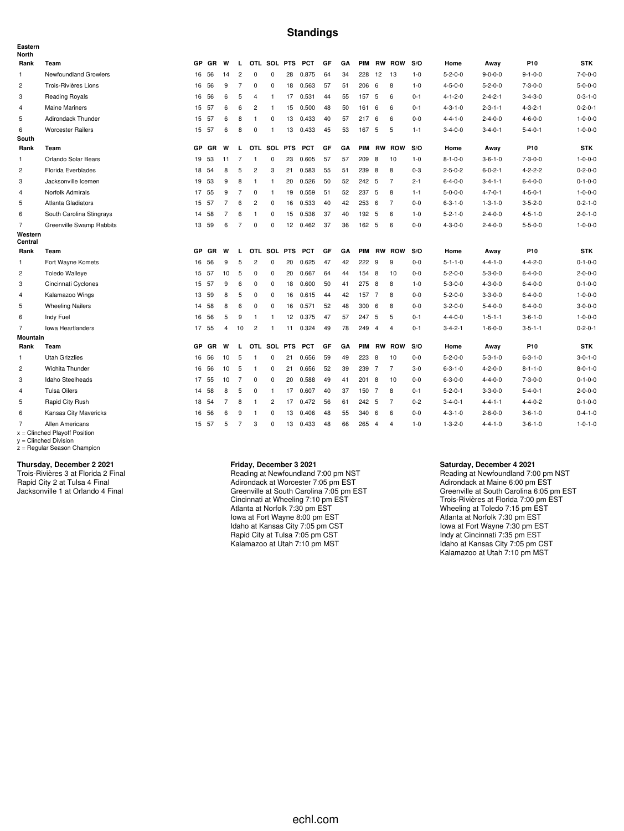#### **Standings**

| Eastern<br><b>North</b> |                                                    |           |           |                |                |                |                |                 |            |    |    |            |                |                |         |                 |                 |                 |                 |
|-------------------------|----------------------------------------------------|-----------|-----------|----------------|----------------|----------------|----------------|-----------------|------------|----|----|------------|----------------|----------------|---------|-----------------|-----------------|-----------------|-----------------|
| Rank                    | Team                                               | <b>GP</b> | GR        | W              | L.             |                | OTL SOL PTS    |                 | <b>PCT</b> | GF | GA | PIM        |                | <b>RW ROW</b>  | S/O     | Home            | Away            | P <sub>10</sub> | <b>STK</b>      |
| 1                       | Newfoundland Growlers                              | 16        | 56        | 14             | $\overline{c}$ | $\mathbf 0$    | 0              | 28              | 0.875      | 64 | 34 | 228        | 12             | 13             | $1 - 0$ | $5 - 2 - 0 - 0$ | $9 - 0 - 0 - 0$ | $9 - 1 - 0 - 0$ | $7 - 0 - 0 - 0$ |
| 2                       | Trois-Rivières Lions                               | 16        | 56        | 9              | 7              | $\mathbf 0$    | 0              | 18              | 0.563      | 57 | 51 | 206        | 6              | 8              | $1 - 0$ | $4 - 5 - 0 - 0$ | $5 - 2 - 0 - 0$ | $7 - 3 - 0 - 0$ | $5 - 0 - 0 - 0$ |
| 3                       | <b>Reading Royals</b>                              | 16        | 56        | 6              | 5              | 4              | $\mathbf{1}$   | 17              | 0.531      | 44 | 55 | 157        | 5              | 6              | $0 - 1$ | $4 - 1 - 2 - 0$ | $2 - 4 - 2 - 1$ | $3 - 4 - 3 - 0$ | $0 - 3 - 1 - 0$ |
| 4                       | <b>Maine Mariners</b>                              | 15 57     |           | 6              | 6              | 2              | -1             | 15              | 0.500      | 48 | 50 | 161        | 6              | 6              | $0 - 1$ | $4 - 3 - 1 - 0$ | $2 - 3 - 1 - 1$ | $4 - 3 - 2 - 1$ | $0 - 2 - 0 - 1$ |
| 5                       | Adirondack Thunder                                 | 15        | 57        | 6              | 8              | $\mathbf{1}$   | 0              | 13              | 0.433      | 40 | 57 | 217        | 6              | 6              | $0 - 0$ | $4 - 4 - 1 - 0$ | $2 - 4 - 0 - 0$ | $4 - 6 - 0 - 0$ | $1 - 0 - 0 - 0$ |
| 6                       | <b>Worcester Railers</b>                           | 15        | 57        | 6              | 8              | $\mathbf 0$    | $\mathbf{1}$   | 13              | 0.433      | 45 | 53 | 167        | 5              | 5              | $1 - 1$ | $3 - 4 - 0 - 0$ | $3 - 4 - 0 - 1$ | $5 - 4 - 0 - 1$ | $1 - 0 - 0 - 0$ |
| South                   |                                                    |           |           |                |                |                |                |                 |            |    |    |            |                |                |         |                 |                 |                 |                 |
| Rank                    | Team                                               | <b>GP</b> | <b>GR</b> | W              | L              |                | OTL SOL PTS    |                 | <b>PCT</b> | GF | GA | <b>PIM</b> |                | <b>RW ROW</b>  | S/O     | Home            | Away            | P10             | <b>STK</b>      |
| 1                       | Orlando Solar Bears                                | 19        | 53        | 11             | $\overline{7}$ | $\overline{1}$ | 0              | 23              | 0.605      | 57 | 57 | 209        | 8              | 10             | $1 - 0$ | $8 - 1 - 0 - 0$ | $3 - 6 - 1 - 0$ | $7 - 3 - 0 - 0$ | $1 - 0 - 0 - 0$ |
| $\overline{c}$          | Florida Everblades                                 | 18        | -54       | 8              | 5              | 2              | 3              | 21              | 0.583      | 55 | 51 | 239        | 8              | 8              | $0 - 3$ | $2 - 5 - 0 - 2$ | $6 - 0 - 2 - 1$ | $4 - 2 - 2 - 2$ | $0 - 2 - 0 - 0$ |
| 3                       | Jacksonville Icemen                                | 19        | -53       | 9              | 8              | $\mathbf{1}$   | -1             | 20              | 0.526      | 50 | 52 | 242 5      |                | $\overline{7}$ | $2 - 1$ | $6 - 4 - 0 - 0$ | $3 - 4 - 1 - 1$ | $6 - 4 - 0 - 0$ | $0 - 1 - 0 - 0$ |
| 4                       | Norfolk Admirals                                   | 17        | 55        | 9              | $\overline{7}$ | $\mathsf 0$    | $\mathbf{1}$   | 19              | 0.559      | 51 | 52 | 237        | 5              | 8              | $1 - 1$ | $5 - 0 - 0 - 0$ | $4 - 7 - 0 - 1$ | $4 - 5 - 0 - 1$ | $1 - 0 - 0 - 0$ |
| 5                       | Atlanta Gladiators                                 | 15        | 57        | $\overline{7}$ | 6              | 2              | 0              | 16              | 0.533      | 40 | 42 | 253 6      |                | $\overline{7}$ | $0 - 0$ | $6 - 3 - 1 - 0$ | $1 - 3 - 1 - 0$ | $3 - 5 - 2 - 0$ | $0 - 2 - 1 - 0$ |
| 6                       | South Carolina Stingrays                           | 14        | 58        | $\overline{7}$ | 6              | $\overline{1}$ | 0              | 15              | 0.536      | 37 | 40 | 192 5      |                | 6              | $1 - 0$ | $5 - 2 - 1 - 0$ | $2 - 4 - 0 - 0$ | $4 - 5 - 1 - 0$ | $2 - 0 - 1 - 0$ |
| $\overline{7}$          | Greenville Swamp Rabbits                           | 13        | 59        | 6              | $\overline{7}$ | $\Omega$       | $\Omega$       | 12              | 0.462      | 37 | 36 | 162 5      |                | 6              | $0-0$   | $4 - 3 - 0 - 0$ | $2 - 4 - 0 - 0$ | $5 - 5 - 0 - 0$ | $1 - 0 - 0 - 0$ |
| Western<br>Central      |                                                    |           |           |                |                |                |                |                 |            |    |    |            |                |                |         |                 |                 |                 |                 |
| Rank                    | Team                                               | GP        | GR        | W              | L.             |                | OTL SOL PTS    |                 | <b>PCT</b> | GF | GA | <b>PIM</b> |                | <b>RW ROW</b>  | S/O     | Home            | Away            | P10             | <b>STK</b>      |
| 1                       | Fort Wayne Komets                                  | 16        | 56        | 9              | 5              | $\overline{2}$ | $\mathbf 0$    | 20              | 0.625      | 47 | 42 | 222        | - 9            | 9              | $0-0$   | $5 - 1 - 1 - 0$ | $4 - 4 - 1 - 0$ | $4 - 4 - 2 - 0$ | $0 - 1 - 0 - 0$ |
| $\overline{c}$          | <b>Toledo Walleye</b>                              | 15 57     |           | 10             | 5              | $\mathbf 0$    | $\mathbf 0$    | 20              | 0.667      | 64 | 44 | 154 8      |                | 10             | $0 - 0$ | $5 - 2 - 0 - 0$ | $5 - 3 - 0 - 0$ | $6 - 4 - 0 - 0$ | $2 - 0 - 0 - 0$ |
| 3                       | Cincinnati Cyclones                                | 15        | -57       | 9              | 6              | 0              | $\mathbf 0$    | 18              | 0.600      | 50 | 41 | 275        | - 8            | 8              | $1 - 0$ | $5 - 3 - 0 - 0$ | $4 - 3 - 0 - 0$ | $6 - 4 - 0 - 0$ | $0 - 1 - 0 - 0$ |
| $\overline{4}$          | Kalamazoo Wings                                    | 13        | 59        | 8              | 5              | 0              | 0              | 16              | 0.615      | 44 | 42 | 157 7      |                | 8              | $0 - 0$ | $5 - 2 - 0 - 0$ | $3 - 3 - 0 - 0$ | $6 - 4 - 0 - 0$ | $1 - 0 - 0 - 0$ |
| 5                       | <b>Wheeling Nailers</b>                            | 14        | 58        | 8              | 6              | 0              | 0              | 16              | 0.571      | 52 | 48 | 300        | 6              | 8              | $0 - 0$ | $3 - 2 - 0 - 0$ | $5 - 4 - 0 - 0$ | $6 - 4 - 0 - 0$ | $3 - 0 - 0 - 0$ |
| 6                       | Indy Fuel                                          | 16        | 56        | 5              | 9              | -1             | $\mathbf{1}$   | 12 <sup>2</sup> | 0.375      | 47 | 57 | 247        | 5              | 5              | $0 - 1$ | $4 - 4 - 0 - 0$ | $1 - 5 - 1 - 1$ | $3 - 6 - 1 - 0$ | $1 - 0 - 0 - 0$ |
| $\overline{7}$          | Iowa Heartlanders                                  | 17 55     |           | 4              | 10             | $\overline{c}$ | $\mathbf{1}$   | 11              | 0.324      | 49 | 78 | 249        | $\overline{4}$ | $\overline{4}$ | $0 - 1$ | $3 - 4 - 2 - 1$ | $1 - 6 - 0 - 0$ | $3 - 5 - 1 - 1$ | $0 - 2 - 0 - 1$ |
| <b>Mountain</b>         |                                                    |           |           |                |                |                |                |                 |            |    |    |            |                |                |         |                 |                 |                 |                 |
| Rank                    | Team                                               | <b>GP</b> | GR        | W              | L              |                | OTL SOL PTS    |                 | <b>PCT</b> | GF | GA | PIM        |                | <b>RW ROW</b>  | S/O     | Home            | Away            | P <sub>10</sub> | <b>STK</b>      |
| 1                       | <b>Utah Grizzlies</b>                              | 16        | 56        | 10             | 5              | $\mathbf{1}$   | 0              | 21              | 0.656      | 59 | 49 | 223 8      |                | 10             | $0-0$   | $5 - 2 - 0 - 0$ | $5 - 3 - 1 - 0$ | $6 - 3 - 1 - 0$ | $3 - 0 - 1 - 0$ |
| 2                       | Wichita Thunder                                    | 16        | 56        | 10             | 5              | $\overline{1}$ | 0              | 21              | 0.656      | 52 | 39 | 239 7      |                | $\overline{7}$ | $3-0$   | $6 - 3 - 1 - 0$ | $4 - 2 - 0 - 0$ | $8 - 1 - 1 - 0$ | $8 - 0 - 1 - 0$ |
| 3                       | Idaho Steelheads                                   | 17 55     |           | 10             | $\overline{7}$ | 0              | 0              | 20              | 0.588      | 49 | 41 | 201 8      |                | 10             | $0 - 0$ | $6 - 3 - 0 - 0$ | $4 - 4 - 0 - 0$ | $7 - 3 - 0 - 0$ | $0 - 1 - 0 - 0$ |
| 4                       | <b>Tulsa Oilers</b>                                | 14        | 58        | 8              | 5              | 0              | -1             | 17              | 0.607      | 40 | 37 | 150 7      |                | 8              | $0 - 1$ | $5 - 2 - 0 - 1$ | $3 - 3 - 0 - 0$ | $5 - 4 - 0 - 1$ | $2 - 0 - 0 - 0$ |
| 5                       | Rapid City Rush                                    | 18        | 54        | $\overline{7}$ | 8              | $\mathbf{1}$   | $\overline{2}$ | 17              | 0.472      | 56 | 61 | 242 5      |                | $\overline{7}$ | $0 - 2$ | $3 - 4 - 0 - 1$ | $4 - 4 - 1 - 1$ | $4 - 4 - 0 - 2$ | $0 - 1 - 0 - 0$ |
| 6                       | Kansas City Mavericks                              | 16        | 56        | 6              | 9              | $\mathbf{1}$   | 0              | 13              | 0.406      | 48 | 55 | 340        | 6              | 6              | $0-0$   | $4 - 3 - 1 - 0$ | $2 - 6 - 0 - 0$ | $3 - 6 - 1 - 0$ | $0 - 4 - 1 - 0$ |
| 7                       | Allen Americans<br>$x =$ Clinched Playoff Position | 15 57     |           | 5              | 7              | 3              | $\mathbf 0$    | 13              | 0.433      | 48 | 66 | 265 4      |                | $\overline{4}$ | $1 - 0$ | $1 - 3 - 2 - 0$ | $4 - 4 - 1 - 0$ | $3 - 6 - 1 - 0$ | $1 - 0 - 1 - 0$ |

x = Clinched Playoff Position y = Clinched Division z = Regular Season Champion

#### **Thursday, December 2 2021**

Trois-Rivières 3 at Florida 2 Final Rapid City 2 at Tulsa 4 Final Jacksonville 1 at Orlando 4 Final

#### **Friday, December 3 2021**

Reading at Newfoundland 7:00 pm NST Adirondack at Worcester 7:05 pm EST Greenville at South Carolina 7:05 pm EST Cincinnati at Wheeling 7:10 pm EST Atlanta at Norfolk 7:30 pm EST Iowa at Fort Wayne 8:00 pm EST Idaho at Kansas City 7:05 pm CST Rapid City at Tulsa 7:05 pm CST Kalamazoo at Utah 7:10 pm MST

#### **Saturday, December 4 2021**

Reading at Newfoundland 7:00 pm NST Adirondack at Maine 6:00 pm EST Greenville at South Carolina 6:05 pm EST Trois-Rivières at Florida 7:00 pm EST Wheeling at Toledo 7:15 pm EST Atlanta at Norfolk 7:30 pm EST Iowa at Fort Wayne 7:30 pm EST Indy at Cincinnati 7:35 pm EST Idaho at Kansas City 7:05 pm CST Kalamazoo at Utah 7:10 pm MST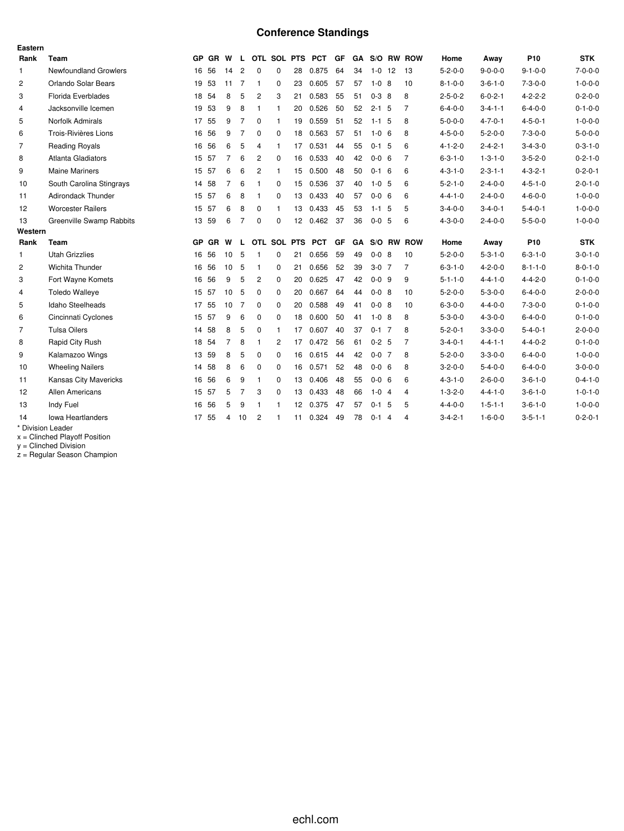# **Conference Standings**

| Eastern        |                                        |           |           |                |                |                |              |            |            |    |    |             |                |                |                 |                 |                 |                 |
|----------------|----------------------------------------|-----------|-----------|----------------|----------------|----------------|--------------|------------|------------|----|----|-------------|----------------|----------------|-----------------|-----------------|-----------------|-----------------|
| Rank           | <b>Team</b>                            | <b>GP</b> | <b>GR</b> | W              | L.             |                | OTL SOL PTS  |            | <b>PCT</b> | GF | GA | S/O RW      |                | <b>ROW</b>     | Home            | Away            | P <sub>10</sub> | <b>STK</b>      |
| $\mathbf{1}$   | <b>Newfoundland Growlers</b>           | 16        | 56        | 14             | $\overline{c}$ | 0              | $\mathbf 0$  | 28         | 0.875      | 64 | 34 | $1 - 0$     | 12             | 13             | $5 - 2 - 0 - 0$ | $9 - 0 - 0 - 0$ | $9 - 1 - 0 - 0$ | $7 - 0 - 0 - 0$ |
| $\overline{2}$ | Orlando Solar Bears                    |           | 19 53     | 11             | $\overline{7}$ | 1              | $\Omega$     | 23         | 0.605      | 57 | 57 | $1 - 0$ 8   |                | 10             | $8 - 1 - 0 - 0$ | $3 - 6 - 1 - 0$ | $7 - 3 - 0 - 0$ | $1 - 0 - 0 - 0$ |
| 3              | Florida Everblades                     |           | 18 54     | 8              | 5              | 2              | 3            | 21         | 0.583      | 55 | 51 | $0-3$ 8     |                | 8              | $2 - 5 - 0 - 2$ | $6 - 0 - 2 - 1$ | $4 - 2 - 2 - 2$ | $0 - 2 - 0 - 0$ |
| $\overline{4}$ | Jacksonville Icemen                    |           | 19 53     | 9              | 8              | 1              | $\mathbf{1}$ | 20         | 0.526      | 50 | 52 | $2 - 1$ 5   |                | $\overline{7}$ | $6 - 4 - 0 - 0$ | $3 - 4 - 1 - 1$ | $6 - 4 - 0 - 0$ | $0 - 1 - 0 - 0$ |
| 5              | Norfolk Admirals                       |           | 17 55     | 9              | $\overline{7}$ | 0              | $\mathbf{1}$ | 19         | 0.559      | 51 | 52 | $1 - 1$     | 5              | 8              | $5 - 0 - 0 - 0$ | $4 - 7 - 0 - 1$ | $4 - 5 - 0 - 1$ | $1 - 0 - 0 - 0$ |
| 6              | Trois-Rivières Lions                   | 16        | 56        | 9              | $\overline{7}$ | 0              | 0            | 18         | 0.563      | 57 | 51 | $1 - 0 = 6$ |                | 8              | $4 - 5 - 0 - 0$ | $5 - 2 - 0 - 0$ | $7 - 3 - 0 - 0$ | $5 - 0 - 0 - 0$ |
| 7              | <b>Reading Royals</b>                  |           | 16 56     | 6              | 5              | 4              | $\mathbf{1}$ | 17         | 0.531      | 44 | 55 | $0-1$ 5     |                | 6              | $4 - 1 - 2 - 0$ | $2 - 4 - 2 - 1$ | $3 - 4 - 3 - 0$ | $0 - 3 - 1 - 0$ |
| 8              | Atlanta Gladiators                     |           | 15 57     | $\overline{7}$ | 6              | $\overline{2}$ | $\Omega$     | 16         | 0.533      | 40 | 42 | $0 - 0 = 6$ |                | $\overline{7}$ | $6 - 3 - 1 - 0$ | $1 - 3 - 1 - 0$ | $3 - 5 - 2 - 0$ | $0 - 2 - 1 - 0$ |
| 9              | <b>Maine Mariners</b>                  |           | 15 57     | 6              | 6              | $\overline{2}$ | $\mathbf{1}$ | 15         | 0.500      | 48 | 50 | $0 - 1$     | 6              | 6              | $4 - 3 - 1 - 0$ | $2 - 3 - 1 - 1$ | $4 - 3 - 2 - 1$ | $0 - 2 - 0 - 1$ |
| 10             | South Carolina Stingrays               |           | 14 58     | $\overline{7}$ | 6              | 1              | $\mathbf 0$  | 15         | 0.536      | 37 | 40 | $1 - 0$ 5   |                | 6              | $5 - 2 - 1 - 0$ | $2 - 4 - 0 - 0$ | $4 - 5 - 1 - 0$ | $2 - 0 - 1 - 0$ |
| 11             | <b>Adirondack Thunder</b>              |           | 15 57     | 6              | 8              | 1              | $\mathbf 0$  | 13         | 0.433      | 40 | 57 | $0 - 0 = 6$ |                | 6              | $4 - 4 - 1 - 0$ | $2 - 4 - 0 - 0$ | $4 - 6 - 0 - 0$ | $1 - 0 - 0 - 0$ |
| 12             | <b>Worcester Railers</b>               |           | 15 57     | 6              | 8              | $\mathbf 0$    | $\mathbf{1}$ | 13         | 0.433      | 45 | 53 | $1 - 1$ 5   |                | 5              | $3 - 4 - 0 - 0$ | $3 - 4 - 0 - 1$ | $5 - 4 - 0 - 1$ | $1 - 0 - 0 - 0$ |
| 13             | Greenville Swamp Rabbits               |           | 13 59     | 6              | $\overline{7}$ | 0              | $\mathbf 0$  | 12         | 0.462      | 37 | 36 | $0 - 0 = 5$ |                | 6              | $4 - 3 - 0 - 0$ | $2 - 4 - 0 - 0$ | $5 - 5 - 0 - 0$ | $1 - 0 - 0 - 0$ |
| Western        |                                        |           |           |                |                |                |              |            |            |    |    |             |                |                |                 |                 |                 |                 |
| Rank           | Team                                   | <b>GP</b> | <b>GR</b> | W              | L              |                | OTL SOL      | <b>PTS</b> | <b>PCT</b> | GF | GA | S/O RW      |                | <b>ROW</b>     | Home            | Away            | P <sub>10</sub> | <b>STK</b>      |
| $\mathbf{1}$   | <b>Utah Grizzlies</b>                  | 16        | 56        | 10             | 5              | 1              | 0            | 21         | 0.656      | 59 | 49 | $0 - 0$ 8   |                | 10             | $5 - 2 - 0 - 0$ | $5 - 3 - 1 - 0$ | $6 - 3 - 1 - 0$ | $3 - 0 - 1 - 0$ |
| $\overline{c}$ | Wichita Thunder                        |           | 16 56     | 10             | 5              | 1              | 0            | 21         | 0.656      | 52 | 39 | $3-0$ 7     |                | 7              | $6 - 3 - 1 - 0$ | $4 - 2 - 0 - 0$ | $8 - 1 - 1 - 0$ | $8 - 0 - 1 - 0$ |
| 3              | Fort Wayne Komets                      | 16        | 56        | 9              | 5              | 2              | $\mathbf 0$  | 20         | 0.625      | 47 | 42 | $0 - 0$ 9   |                | 9              | $5 - 1 - 1 - 0$ | $4 - 4 - 1 - 0$ | $4 - 4 - 2 - 0$ | $0 - 1 - 0 - 0$ |
| 4              | <b>Toledo Walleye</b>                  |           | 15 57     | 10             | 5              | 0              | $\Omega$     | 20         | 0.667      | 64 | 44 | $0 - 0$ 8   |                | 10             | $5 - 2 - 0 - 0$ | $5 - 3 - 0 - 0$ | $6 - 4 - 0 - 0$ | $2 - 0 - 0 - 0$ |
| 5              | Idaho Steelheads                       |           | 17 55     | 10             | 7              | 0              | 0            | 20         | 0.588      | 49 | 41 | $0 - 0$ 8   |                | 10             | $6 - 3 - 0 - 0$ | $4 - 4 - 0 - 0$ | $7 - 3 - 0 - 0$ | $0 - 1 - 0 - 0$ |
| 6              | Cincinnati Cyclones                    | 15        | 57        | 9              | 6              | $\Omega$       | $\Omega$     | 18         | 0.600      | 50 | 41 | $1-0.8$     |                | 8              | $5 - 3 - 0 - 0$ | $4 - 3 - 0 - 0$ | $6 - 4 - 0 - 0$ | $0 - 1 - 0 - 0$ |
| 7              | <b>Tulsa Oilers</b>                    | 14        | 58        | 8              | 5              | 0              | 1            | 17         | 0.607      | 40 | 37 | $0-1$ 7     |                | 8              | $5 - 2 - 0 - 1$ | $3 - 3 - 0 - 0$ | $5 - 4 - 0 - 1$ | $2 - 0 - 0 - 0$ |
| 8              | Rapid City Rush                        |           | 18 54     | $\overline{7}$ | 8              | 1              | 2            | 17         | 0.472      | 56 | 61 | $0 - 2 = 5$ |                | $\overline{7}$ | $3 - 4 - 0 - 1$ | $4 - 4 - 1 - 1$ | $4 - 4 - 0 - 2$ | $0 - 1 - 0 - 0$ |
| 9              | Kalamazoo Wings                        |           | 13 59     | 8              | 5              | 0              | $\Omega$     | 16         | 0.615      | 44 | 42 | $0 - 0$ 7   |                | 8              | $5 - 2 - 0 - 0$ | $3 - 3 - 0 - 0$ | $6 - 4 - 0 - 0$ | $1 - 0 - 0 - 0$ |
| 10             | <b>Wheeling Nailers</b>                |           | 14 58     | 8              | 6              | 0              | 0            | 16         | 0.571      | 52 | 48 | $0 - 0 = 6$ |                | 8              | $3 - 2 - 0 - 0$ | $5 - 4 - 0 - 0$ | $6 - 4 - 0 - 0$ | $3 - 0 - 0 - 0$ |
| 11             | <b>Kansas City Mavericks</b>           |           | 16 56     | 6              | 9              | 1              | $\Omega$     | 13         | 0.406      | 48 | 55 | $0 - 0 = 6$ |                | 6              | $4 - 3 - 1 - 0$ | $2 - 6 - 0 - 0$ | $3 - 6 - 1 - 0$ | $0 - 4 - 1 - 0$ |
| 12             | <b>Allen Americans</b>                 |           | 15 57     | 5              | $\overline{7}$ | 3              | $\Omega$     | 13         | 0.433      | 48 | 66 | $1-0$ 4     |                | $\overline{4}$ | $1 - 3 - 2 - 0$ | $4 - 4 - 1 - 0$ | $3 - 6 - 1 - 0$ | $1 - 0 - 1 - 0$ |
|                |                                        |           |           |                |                |                |              |            |            |    |    |             |                |                |                 |                 |                 |                 |
| 13             | Indy Fuel                              | 16        | 56        | 5              | 9              | 1              | 1            | 12         | 0.375      | 47 | 57 | $0 - 1$     | 5              | 5              | $4 - 4 - 0 - 0$ | $1 - 5 - 1 - 1$ | $3 - 6 - 1 - 0$ | $1 - 0 - 0 - 0$ |
| 14             | Iowa Heartlanders<br>* Division Leader | 17        | 55        | $\overline{4}$ | 10             | 2              | 1            | 11         | 0.324      | 49 | 78 | $0 - 1$     | $\overline{4}$ | $\overline{4}$ | $3 - 4 - 2 - 1$ | $1 - 6 - 0 - 0$ | $3 - 5 - 1 - 1$ | $0 - 2 - 0 - 1$ |

x = Clinched Playoff Position

y = Clinched Division

z = Regular Season Champion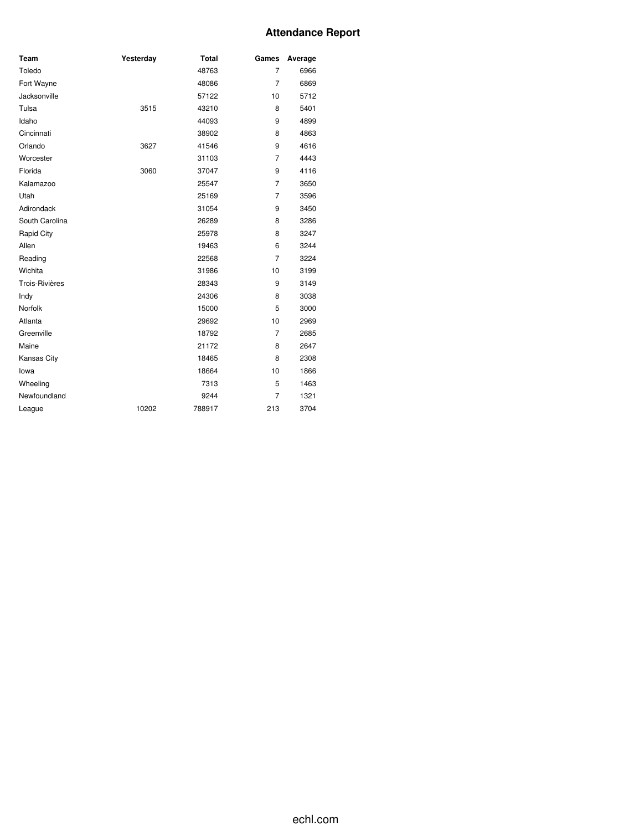### **Attendance Report**

| Team           | Yesterday | <b>Total</b> | Games          | Average |
|----------------|-----------|--------------|----------------|---------|
| Toledo         |           | 48763        | $\overline{7}$ | 6966    |
| Fort Wayne     |           | 48086        | $\overline{7}$ | 6869    |
| Jacksonville   |           | 57122        | 10             | 5712    |
| Tulsa          | 3515      | 43210        | 8              | 5401    |
| Idaho          |           | 44093        | 9              | 4899    |
| Cincinnati     |           | 38902        | 8              | 4863    |
| Orlando        | 3627      | 41546        | 9              | 4616    |
| Worcester      |           | 31103        | $\overline{7}$ | 4443    |
| Florida        | 3060      | 37047        | 9              | 4116    |
| Kalamazoo      |           | 25547        | $\overline{7}$ | 3650    |
| Utah           |           | 25169        | $\overline{7}$ | 3596    |
| Adirondack     |           | 31054        | 9              | 3450    |
| South Carolina |           | 26289        | 8              | 3286    |
| Rapid City     |           | 25978        | 8              | 3247    |
| Allen          |           | 19463        | 6              | 3244    |
| Reading        |           | 22568        | $\overline{7}$ | 3224    |
| Wichita        |           | 31986        | 10             | 3199    |
| Trois-Rivières |           | 28343        | 9              | 3149    |
| Indy           |           | 24306        | 8              | 3038    |
| Norfolk        |           | 15000        | 5              | 3000    |
| Atlanta        |           | 29692        | 10             | 2969    |
| Greenville     |           | 18792        | $\overline{7}$ | 2685    |
| Maine          |           | 21172        | 8              | 2647    |
| Kansas City    |           | 18465        | 8              | 2308    |
| lowa           |           | 18664        | 10             | 1866    |
| Wheeling       |           | 7313         | 5              | 1463    |
| Newfoundland   |           | 9244         | 7              | 1321    |
| League         | 10202     | 788917       | 213            | 3704    |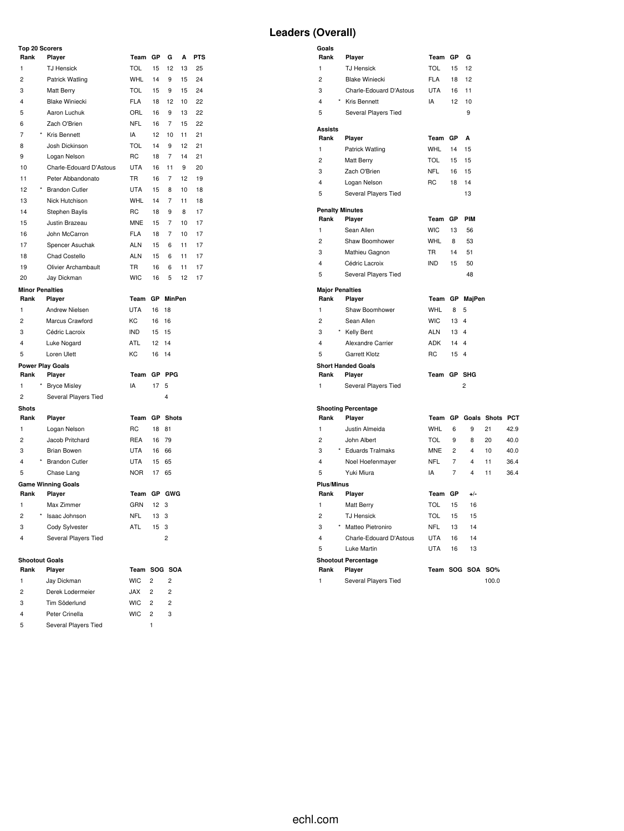# **Leaders (Overall)**

| Top 20 Scorers          |                                     |            |    |                |    |            |
|-------------------------|-------------------------------------|------------|----|----------------|----|------------|
| Rank                    | Player                              | Team       | GP | G              | A  | <b>PTS</b> |
| 1                       | <b>TJ Hensick</b>                   | <b>TOL</b> | 15 | 12             | 13 | 25         |
| $\overline{2}$          | Patrick Watling                     | <b>WHL</b> | 14 | 9              | 15 | 24         |
| 3                       | <b>Matt Berry</b>                   | <b>TOL</b> | 15 | 9              | 15 | 24         |
| 4                       | <b>Blake Winiecki</b>               | <b>FLA</b> | 18 | 12             | 10 | 22         |
| 5                       | Aaron Luchuk                        | ORL        | 16 | 9              | 13 | 22         |
| 6                       | Zach O'Brien                        | <b>NFL</b> | 16 | $\overline{7}$ | 15 | 22         |
| 7                       | <b>Kris Bennett</b>                 | IA         | 12 | 10             | 11 | 21         |
| 8                       | Josh Dickinson                      | <b>TOL</b> | 14 | 9              | 12 | 21         |
| 9                       | Logan Nelson                        | <b>RC</b>  | 18 | $\overline{7}$ | 14 | 21         |
| 10                      | Charle-Edouard D'Astous             | <b>UTA</b> | 16 | 11             | 9  | 20         |
| 11                      | Peter Abbandonato                   | <b>TR</b>  | 16 | $\overline{7}$ | 12 | 19         |
| 12                      | <b>Brandon Cutler</b>               | <b>UTA</b> | 15 | 8              | 10 | 18         |
| 13                      | Nick Hutchison                      | <b>WHL</b> | 14 | 7              | 11 | 18         |
| 14                      | Stephen Baylis                      | <b>RC</b>  | 18 | 9              | 8  | 17         |
| 15                      | Justin Brazeau                      | <b>MNE</b> | 15 | 7              | 10 | 17         |
| 16                      | John McCarron                       | <b>FLA</b> | 18 | 7              | 10 | 17         |
| 17                      | Spencer Asuchak                     | <b>ALN</b> | 15 | 6              | 11 | 17         |
| 18                      | Chad Costello                       | <b>ALN</b> | 15 | 6              | 11 | 17         |
| 19                      | Olivier Archambault                 | TR.        | 16 | 6              | 11 | 17         |
| 20                      | Jay Dickman                         | <b>WIC</b> | 16 | 5              | 12 | 17         |
| <b>Minor Penalties</b>  |                                     |            |    |                |    |            |
| Rank                    | Player                              | Team       | GP | <b>MinPen</b>  |    |            |
| $\mathbf{1}$            | <b>Andrew Nielsen</b>               | <b>UTA</b> | 16 | 18             |    |            |
| $\overline{2}$          | Marcus Crawford                     | KC         | 16 | 16             |    |            |
| 3                       | Cédric Lacroix                      | <b>IND</b> | 15 | 15             |    |            |
| $\overline{\mathbf{4}}$ | Luke Nogard                         | <b>ATL</b> | 12 | 14             |    |            |
| 5                       | Loren Ulett                         | KC         | 16 | 14             |    |            |
|                         | <b>Power Play Goals</b>             |            |    |                |    |            |
| Rank                    | Player                              | Team       | GP | PPG            |    |            |
| $\mathbf{1}$            | <b>Bryce Misley</b>                 | IA         | 17 | 5              |    |            |
| $\overline{2}$          | Several Players Tied                |            |    | 4              |    |            |
| <b>Shots</b><br>Rank    |                                     | Team       | GP | <b>Shots</b>   |    |            |
| $\mathbf{1}$            | Player<br>Logan Nelson              | <b>RC</b>  | 18 | 81             |    |            |
| $\overline{c}$          | Jacob Pritchard                     | <b>REA</b> | 16 | 79             |    |            |
| 3                       | <b>Brian Bowen</b>                  | <b>UTA</b> | 16 | 66             |    |            |
| 4                       | <b>Brandon Cutler</b>               | <b>UTA</b> | 15 | 65             |    |            |
| 5                       |                                     | <b>NOR</b> | 17 | 65             |    |            |
|                         | Chase Lang                          |            |    |                |    |            |
| Rank                    | <b>Game Winning Goals</b><br>Player | Team       | GP | <b>GWG</b>     |    |            |
| $\mathbf{1}$            | Max Zimmer                          | GRN        | 12 | 3              |    |            |
| $\overline{c}$          | Isaac Johnson                       | <b>NFL</b> | 13 | 3              |    |            |
| 3                       | Cody Sylvester                      | <b>ATL</b> | 15 | 3              |    |            |
| 4                       | Several Players Tied                |            |    | $\overline{2}$ |    |            |
|                         |                                     |            |    |                |    |            |
|                         |                                     |            |    |                |    |            |

# **Shootout Goals**

| snootout Goals |                      |              |                |               |
|----------------|----------------------|--------------|----------------|---------------|
| Rank           | <b>Plaver</b>        | Team SOG SOA |                |               |
| 1              | Jay Dickman          | <b>WIC</b>   | $\overline{2}$ | 2             |
| 2              | Derek Lodermeier     | <b>XAL.</b>  | $\mathcal{P}$  | $\mathcal{P}$ |
| 3              | Tim Söderlund        | <b>WIC</b>   | $\mathcal{P}$  | 2             |
| 4              | Peter Crinella       | <b>WIC</b>   | $\mathcal{P}$  | 3             |
| 5              | Several Players Tied |              |                |               |

| Goals                   |                            |            |                |                |                        |      |
|-------------------------|----------------------------|------------|----------------|----------------|------------------------|------|
| Rank                    | Player                     | Team       | GP             | G              |                        |      |
| $\mathbf{1}$            | <b>TJ Hensick</b>          | <b>TOL</b> | 15             | 12             |                        |      |
| $\overline{2}$          | <b>Blake Winiecki</b>      | <b>FLA</b> | 18             | 12             |                        |      |
| 3                       | Charle-Edouard D'Astous    | <b>UTA</b> | 16             | 11             |                        |      |
| 4                       | * Kris Bennett             | IA         | 12             | 10             |                        |      |
| 5                       | Several Players Tied       |            |                | 9              |                        |      |
| <b>Assists</b>          |                            |            |                |                |                        |      |
| Rank                    | Player                     | Team       | GP             | A              |                        |      |
| $\mathbf{1}$            | Patrick Watling            | WHL        | 14             | 15             |                        |      |
| 2                       | Matt Berry                 | <b>TOL</b> | 15             | 15             |                        |      |
| 3                       | Zach O'Brien               | <b>NFL</b> | 16             | 15             |                        |      |
| 4                       | Logan Nelson               | <b>RC</b>  | 18             | 14             |                        |      |
| 5                       | Several Players Tied       |            |                | 13             |                        |      |
|                         | <b>Penalty Minutes</b>     |            |                |                |                        |      |
| Rank                    | Player                     | Team       | GP             | PIM            |                        |      |
| 1                       | Sean Allen                 | <b>WIC</b> | 13             | 56             |                        |      |
| $\overline{2}$          | Shaw Boomhower             | WHL        | 8              | 53             |                        |      |
| 3                       | Mathieu Gagnon             | <b>TR</b>  | 14             | 51             |                        |      |
| 4                       | Cédric Lacroix             | <b>IND</b> | 15             | 50             |                        |      |
| 5                       | Several Players Tied       |            |                | 48             |                        |      |
| <b>Major Penalties</b>  |                            |            |                |                |                        |      |
| Rank                    | Player                     | Team       | GP             | MajPen         |                        |      |
| 1                       | Shaw Boomhower             | <b>WHL</b> | 8              | 5              |                        |      |
| $\overline{2}$          | Sean Allen                 | <b>WIC</b> | 13             | $\overline{4}$ |                        |      |
| 3                       | Kelly Bent                 | <b>ALN</b> | 13             | $\overline{4}$ |                        |      |
| 4                       | Alexandre Carrier          | <b>ADK</b> | 14             | 4              |                        |      |
| 5                       | <b>Garrett Klotz</b>       | RC         | 15             | $\overline{4}$ |                        |      |
|                         | <b>Short Handed Goals</b>  |            |                |                |                        |      |
| Rank                    | Player                     | Team       | GP             | <b>SHG</b>     |                        |      |
| 1                       | Several Players Tied       |            |                | $\overline{c}$ |                        |      |
|                         | <b>Shooting Percentage</b> |            |                |                |                        |      |
| Rank                    | Player                     | Team       | GP             |                | <b>Goals Shots PCT</b> |      |
| $\mathbf{1}$            | Justin Almeida             | <b>WHL</b> | 6              | 9              | 21                     | 42.9 |
| $\overline{2}$          | John Albert                | <b>TOL</b> | 9              | 8              | 20                     | 40.0 |
| 3                       | <b>Eduards Tralmaks</b>    | <b>MNE</b> | 2              | 4              | 10                     | 40.0 |
| 4                       | Noel Hoefenmayer           | <b>NFL</b> | 7              | 4              | 11                     | 36.4 |
| 5                       | Yuki Miura                 | IA         | $\overline{7}$ | $\overline{4}$ | 11                     | 36.4 |
| <b>Plus/Minus</b>       |                            |            |                |                |                        |      |
| Rank                    | Player                     | Team       | GP             | $+/-$          |                        |      |
| 1                       | Matt Berry                 | <b>TOL</b> | 15             | 16             |                        |      |
| $\overline{2}$          | <b>TJ Hensick</b>          | TOL        | 15             | 15             |                        |      |
| 3                       | * Matteo Pietroniro        | <b>NFL</b> | 13             | 14             |                        |      |
| $\overline{\mathbf{4}}$ | Charle-Edouard D'Astous    | <b>UTA</b> | 16             | 14             |                        |      |
|                         |                            |            |                |                |                        |      |

| Rank | Player                     | Team SOG SOA SO% |    |     |  |
|------|----------------------------|------------------|----|-----|--|
|      | <b>Shootout Percentage</b> |                  |    |     |  |
| 5    | Luke Martin                | I ITA            | 16 | 13  |  |
| 4    | Charle-Edouard D'Astous    | <b>UTA</b>       | 16 | 14  |  |
| 3    | * Matteo Pietroniro        | NFI              | 13 | 14  |  |
| - 2  | <b>IJ Hensick</b>          | IOL 15.          |    | -15 |  |

| . | $\cdots$             | $100111$ 000 000 00% |       |
|---|----------------------|----------------------|-------|
|   | Several Players Tied |                      | 100.0 |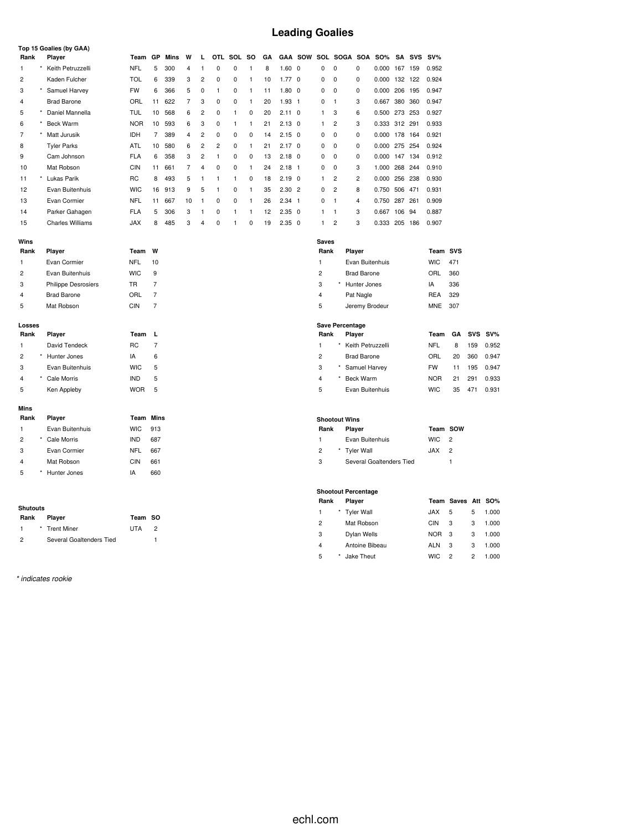# **Leading Goalies**

|                         |          | Top 15 Goalies (by GAA)    |            |                |      |                |                |            |              |              |    |                |                |                         |                        |                            |               |     |     |            |                    |            |        |
|-------------------------|----------|----------------------------|------------|----------------|------|----------------|----------------|------------|--------------|--------------|----|----------------|----------------|-------------------------|------------------------|----------------------------|---------------|-----|-----|------------|--------------------|------------|--------|
| Rank                    |          | Player                     | Team       | GP             | Mins | W              | L              | <b>OTL</b> | SOL          | so           | GΑ |                | <b>GAA SOW</b> |                         |                        | SOL SOGA SOA               | <b>SO%</b>    |     |     | SA SVS SV% |                    |            |        |
| $\mathbf{1}$            |          | Keith Petruzzelli          | <b>NFL</b> | 5              | 300  | 4              | 1              | 0          | 0            | $\mathbf{1}$ | 8  | $1.60$ 0       |                | $\mathbf 0$             | $\mathbf 0$            | 0                          | 0.000 167 159 |     |     | 0.952      |                    |            |        |
| $\overline{c}$          |          | Kaden Fulcher              | <b>TOL</b> | 6              | 339  | 3              | $\overline{c}$ | 0          | 0            | 1            | 10 | 1.770          |                | $\mathbf 0$             | $\mathbf 0$            | $\mathbf 0$                | 0.000 132 122 |     |     | 0.924      |                    |            |        |
| 3                       | *        | Samuel Harvey              | <b>FW</b>  | 6              | 366  | 5              | $\mathbf 0$    | 1          | 0            | $\mathbf{1}$ | 11 | 1.80 0         |                | 0                       | 0                      | 0                          | 0.000 206 195 |     |     | 0.947      |                    |            |        |
| 4                       |          | <b>Brad Barone</b>         | ORL        | 11             | 622  | $\overline{7}$ | 3              | 0          | 0            | 1            | 20 | $1.93 \quad 1$ |                | 0                       | $\mathbf{1}$           | 3                          | 0.667         | 380 | 360 | 0.947      |                    |            |        |
| 5                       |          | Daniel Mannella            | TUL        | 10             | 568  | 6              | $\overline{c}$ | 0          | 1            | 0            | 20 | $2.11 \quad 0$ |                | 1                       | 3                      | 6                          | 0.500 273 253 |     |     | 0.927      |                    |            |        |
| 6                       |          | <b>Beck Warm</b>           | <b>NOR</b> | 10             | 593  | 6              | 3              | 0          | $\mathbf{1}$ | 1            | 21 | $2.13 \quad 0$ |                | 1                       | $\overline{2}$         | 3                          | 0.333 312 291 |     |     | 0.933      |                    |            |        |
| 7                       |          | Matt Jurusik               | <b>IDH</b> | $\overline{7}$ | 389  | 4              | $\overline{c}$ | 0          | $\mathbf 0$  | 0            | 14 | $2.15$ 0       |                | 0                       | 0                      | 0                          | 0.000 178 164 |     |     | 0.921      |                    |            |        |
| 8                       |          | <b>Tyler Parks</b>         | ATL        | 10             | 580  | 6              | $\overline{c}$ | 2          | 0            | $\mathbf{1}$ | 21 | $2.17 \quad 0$ |                | $\mathbf 0$             | $\mathbf 0$            | 0                          | 0.000 275 254 |     |     | 0.924      |                    |            |        |
| 9                       |          | Cam Johnson                | <b>FLA</b> | 6              | 358  | 3              | $\overline{c}$ | 1          | 0            | 0            | 13 | $2.18$ 0       |                | 0                       | 0                      | 0                          | 0.000 147 134 |     |     | 0.912      |                    |            |        |
| 10                      |          | Mat Robson                 | <b>CIN</b> | 11             | 661  | $\overline{7}$ | $\overline{4}$ | 0          | $\mathbf 0$  | 1            | 24 | $2.18$ 1       |                | 0                       | $\mathbf 0$            | 3                          | 1.000 268 244 |     |     | 0.910      |                    |            |        |
| 11                      |          | * Lukas Parik              | <b>RC</b>  | 8              | 493  | 5              | 1              | 1          | $\mathbf{1}$ | 0            | 18 | $2.19$ 0       |                | 1                       | $\overline{2}$         | $\overline{2}$             | 0.000 256 238 |     |     | 0.930      |                    |            |        |
| 12                      |          | Evan Buitenhuis            | <b>WIC</b> | 16             | 913  | 9              | 5              | 1          | 0            | $\mathbf{1}$ | 35 | $2.30$ 2       |                | 0                       | $\overline{c}$         | 8                          | 0.750 506 471 |     |     | 0.931      |                    |            |        |
| 13                      |          | Evan Cormier               | <b>NFL</b> | 11             | 667  | 10             | $\mathbf{1}$   | 0          | 0            | 1            | 26 | $2.34$ 1       |                | 0                       | $\mathbf{1}$           | 4                          | 0.750 287     |     | 261 | 0.909      |                    |            |        |
| 14                      |          | Parker Gahagen             | <b>FLA</b> | 5              | 306  | 3              | $\mathbf{1}$   | 0          | $\mathbf{1}$ | $\mathbf{1}$ | 12 | $2.35$ 0       |                | $\mathbf{1}$            | $\mathbf{1}$           | 3                          | 0.667         | 106 | 94  | 0.887      |                    |            |        |
| 15                      |          | <b>Charles Williams</b>    | <b>JAX</b> | 8              | 485  | 3              | $\overline{4}$ | 0          | $\mathbf{1}$ | $\mathbf 0$  | 19 | $2.35$ 0       |                | 1                       | $\overline{2}$         | 3                          | 0.333 205 186 |     |     | 0.907      |                    |            |        |
|                         |          |                            |            |                |      |                |                |            |              |              |    |                |                |                         |                        |                            |               |     |     |            |                    |            |        |
| Wins<br>Rank            |          | Player                     | Team       | W              |      |                |                |            |              |              |    |                |                | <b>Saves</b><br>Rank    |                        | Player                     |               |     |     | Team SVS   |                    |            |        |
| $\mathbf{1}$            |          | Evan Cormier               | NFL        | 10             |      |                |                |            |              |              |    |                |                | $\mathbf{1}$            |                        | Evan Buitenhuis            |               |     |     | <b>WIC</b> | 471                |            |        |
| $\overline{c}$          |          | Evan Buitenhuis            | <b>WIC</b> | 9              |      |                |                |            |              |              |    |                |                | $\overline{c}$          |                        | <b>Brad Barone</b>         |               |     |     | ORL        | 360                |            |        |
| 3                       |          | <b>Philippe Desrosiers</b> | <b>TR</b>  | 7              |      |                |                |            |              |              |    |                |                | 3                       |                        | Hunter Jones               |               |     |     | IA         | 336                |            |        |
| $\overline{\mathbf{4}}$ |          | <b>Brad Barone</b>         | ORL        | $\overline{7}$ |      |                |                |            |              |              |    |                |                | $\overline{\mathbf{4}}$ |                        | Pat Nagle                  |               |     |     | <b>REA</b> | 329                |            |        |
| 5                       |          | Mat Robson                 | <b>CIN</b> | $\overline{7}$ |      |                |                |            |              |              |    |                |                | 5                       |                        | Jeremy Brodeur             |               |     |     | <b>MNE</b> | 307                |            |        |
|                         |          |                            |            |                |      |                |                |            |              |              |    |                |                |                         |                        |                            |               |     |     |            |                    |            |        |
| Losses                  |          |                            |            |                |      |                |                |            |              |              |    |                |                |                         | <b>Save Percentage</b> |                            |               |     |     |            |                    |            |        |
| Rank                    |          | Player                     | Team       | L              |      |                |                |            |              |              |    |                |                | Rank                    |                        | Player                     |               |     |     | Team       | GA                 | <b>SVS</b> | $SV\%$ |
| $\mathbf{1}$            |          | David Tendeck              | RC         | $\overline{7}$ |      |                |                |            |              |              |    |                |                | $\mathbf{1}$            | $\star$                | Keith Petruzzelli          |               |     |     | <b>NFL</b> | 8                  | 159        | 0.952  |
| $\overline{c}$          |          | * Hunter Jones             | IA         | 6              |      |                |                |            |              |              |    |                |                | $\overline{2}$          |                        | <b>Brad Barone</b>         |               |     |     | ORL        | 20                 | 360        | 0.947  |
| 3                       |          | Evan Buitenhuis            | <b>WIC</b> | 5              |      |                |                |            |              |              |    |                |                | 3                       |                        | Samuel Harvey              |               |     |     | <b>FW</b>  | 11                 | 195        | 0.947  |
| $\overline{\mathbf{4}}$ | $^\star$ | Cale Morris                | <b>IND</b> | 5              |      |                |                |            |              |              |    |                |                | $\overline{4}$          |                        | Beck Warm                  |               |     |     | <b>NOR</b> | 21                 | 291        | 0.933  |
| 5                       |          | Ken Appleby                | <b>WOR</b> | 5              |      |                |                |            |              |              |    |                |                | 5                       |                        | Evan Buitenhuis            |               |     |     | <b>WIC</b> | 35                 | 471        | 0.931  |
|                         |          |                            |            |                |      |                |                |            |              |              |    |                |                |                         |                        |                            |               |     |     |            |                    |            |        |
| Mins<br>Rank            |          | Player                     | Team       | Mins           |      |                |                |            |              |              |    |                |                |                         | <b>Shootout Wins</b>   |                            |               |     |     |            |                    |            |        |
| 1                       |          | Evan Buitenhuis            | <b>WIC</b> | 913            |      |                |                |            |              |              |    |                |                | Rank                    |                        | Player                     |               |     |     | Team SOW   |                    |            |        |
| $\overline{c}$          |          | <b>Cale Morris</b>         | <b>IND</b> | 687            |      |                |                |            |              |              |    |                |                | $\mathbf{1}$            |                        | Evan Buitenhuis            |               |     |     | <b>WIC</b> | $\overline{2}$     |            |        |
| 3                       |          | Evan Cormier               | <b>NFL</b> | 667            |      |                |                |            |              |              |    |                |                | $\overline{c}$          |                        | <b>Tyler Wall</b>          |               |     |     | <b>JAX</b> | $\overline{2}$     |            |        |
| 4                       |          | Mat Robson                 | <b>CIN</b> | 661            |      |                |                |            |              |              |    |                |                | 3                       |                        | Several Goaltenders Tied   |               |     |     |            | $\mathbf{1}$       |            |        |
| 5                       |          | * Hunter Jones             | IA         | 660            |      |                |                |            |              |              |    |                |                |                         |                        |                            |               |     |     |            |                    |            |        |
|                         |          |                            |            |                |      |                |                |            |              |              |    |                |                |                         |                        |                            |               |     |     |            |                    |            |        |
|                         |          |                            |            |                |      |                |                |            |              |              |    |                |                |                         |                        | <b>Shootout Percentage</b> |               |     |     |            |                    |            |        |
|                         |          |                            |            |                |      |                |                |            |              |              |    |                |                | Rank                    |                        | Player                     |               |     |     |            | Team Saves Att SO% |            |        |
| <b>Shutouts</b><br>Rank |          | Player                     | Team SO    |                |      |                |                |            |              |              |    |                |                | $\mathbf{1}$            |                        | <b>Tyler Wall</b>          |               |     |     | <b>JAX</b> | 5                  | 5          | 1.000  |
|                         |          |                            |            |                |      |                |                |            |              |              |    |                |                | $\overline{2}$          |                        | Mat Robson                 |               |     |     | CIN        | 3                  | 3          | 1.000  |

|    | * Trent Miner            | <b>UTA</b> | 2 |
|----|--------------------------|------------|---|
| ່າ | Several Goaltenders Tied |            |   |

*\* indicates rookie*

 Dylan Wells NOR 3 3 1.000 Antoine Bibeau ALN 3 3 1.000 \* Jake Theut WIC 2 2 1.000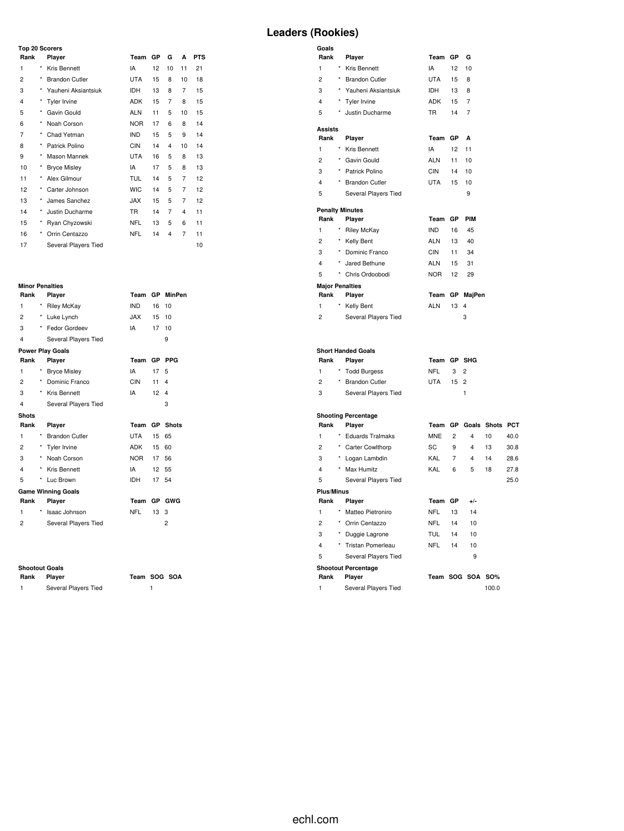#### **Top 20 Scorers**

| Rank<br>Player          |         | Team                  | GP         | G  | A  | <b>PTS</b> |    |
|-------------------------|---------|-----------------------|------------|----|----|------------|----|
| 1                       | *       | Kris Bennett          | IA         | 12 | 10 | 11         | 21 |
| 2                       | $\star$ | <b>Brandon Cutler</b> | <b>UTA</b> | 15 | 8  | 10         | 18 |
| 3                       | $\star$ | Yauheni Aksiantsiuk   | <b>IDH</b> | 13 | 8  | 7          | 15 |
| $\overline{\mathbf{4}}$ |         | Tyler Irvine          | <b>ADK</b> | 15 | 7  | 8          | 15 |
| 5                       | *       | Gavin Gould           | <b>ALN</b> | 11 | 5  | 10         | 15 |
| 6                       | *       | Noah Corson           | <b>NOR</b> | 17 | 6  | 8          | 14 |
| 7                       | $\star$ | Chad Yetman           | <b>IND</b> | 15 | 5  | 9          | 14 |
| 8                       | $\star$ | Patrick Polino        | <b>CIN</b> | 14 | 4  | 10         | 14 |
| 9                       | $\star$ | Mason Mannek          | <b>UTA</b> | 16 | 5  | 8          | 13 |
| 10                      |         | <b>Bryce Misley</b>   | IA         | 17 | 5  | 8          | 13 |
| 11                      | *       | Alex Gilmour          | TUL        | 14 | 5  | 7          | 12 |
| 12                      | *       | Carter Johnson        | <b>WIC</b> | 14 | 5  | 7          | 12 |
| 13                      | $\star$ | James Sanchez         | JAX.       | 15 | 5  | 7          | 12 |
| 14                      | $\star$ | Justin Ducharme       | <b>TR</b>  | 14 | 7  | 4          | 11 |
| 15                      | *       | Ryan Chyzowski        | <b>NFL</b> | 13 | 5  | 6          | 11 |
| 16                      | *       | Orrin Centazzo        | <b>NFL</b> | 14 | 4  | 7          | 11 |
| 17                      |         | Several Players Tied  |            |    |    |            | 10 |

# **Minor Penalties**

| Rank           |         | Player                    | Team       | <b>GP</b> | <b>MinPen</b> |
|----------------|---------|---------------------------|------------|-----------|---------------|
| 1              | *       | <b>Riley McKay</b>        | <b>IND</b> | 16        | 10            |
| 2              | $\star$ | Luke Lynch                | JAX        | 15        | 10            |
| 3              | $\star$ | Fedor Gordeev             | IA         | 17        | 10            |
| 4              |         | Several Players Tied      |            |           | 9             |
|                |         | <b>Power Play Goals</b>   |            |           |               |
| Rank           |         | Player                    | Team       | <b>GP</b> | <b>PPG</b>    |
| 1              |         | <b>Bryce Misley</b>       | IA         | 17        | 5             |
| 2              |         | * Dominic Franco          | <b>CIN</b> | 11        | 4             |
| 3              |         | * Kris Bennett            | IA         | 12        | 4             |
| 4              |         | Several Players Tied      |            |           | 3             |
| <b>Shots</b>   |         |                           |            |           |               |
|                |         |                           | Team       | <b>GP</b> | <b>Shots</b>  |
| Rank           |         | Player                    |            |           |               |
| 1              |         | * Brandon Cutler          | <b>UTA</b> | 15        | 65            |
| $\overline{c}$ |         | * Tyler Irvine            | ADK        | 15        | 60            |
| 3              | $\star$ | Noah Corson               | NOR        | 17        | 56            |
| 4              | $\star$ | Kris Bennett              | IA         | 12        | 55            |
| 5              | *       | Luc Brown                 | <b>IDH</b> | 17        | 54            |
|                |         | <b>Game Winning Goals</b> |            |           |               |
| Rank           |         | Player                    | Team       |           | GP GWG        |
| 1              | *       | Isaac Johnson             | <b>NFL</b> | 13        | 3             |
| 2              |         | Several Players Tied      |            |           | 2             |

#### **Shootout Goals**

| Rank | Player               | Team SC |  |
|------|----------------------|---------|--|
|      | Several Players Tied |         |  |

**Rank Player Team SOG SOA**

# **Leaders (Rookies)**

| Goals<br>Rank             |          | Player                               | Team                     | GP             | G                           |            |      |
|---------------------------|----------|--------------------------------------|--------------------------|----------------|-----------------------------|------------|------|
| $\mathbf{1}$              |          | Kris Bennett                         | IA                       | 12             |                             |            |      |
| $\overline{2}$            |          | <b>Brandon Cutler</b>                | <b>UTA</b>               | 15             | 10<br>8                     |            |      |
| 3                         | *        | Yauheni Aksiantsiuk                  | IDH                      | 13             | 8                           |            |      |
| 4                         | ×        | Tyler Irvine                         | ADK                      | 15             | 7                           |            |      |
|                           | $\star$  |                                      | <b>TR</b>                |                | 7                           |            |      |
| 5                         |          | Justin Ducharme                      |                          | 14             |                             |            |      |
| <b>Assists</b><br>Rank    |          | Player                               | Team                     | GP             | A                           |            |      |
| $\mathbf{1}$              |          | Kris Bennett                         | IA                       | 12             | 11                          |            |      |
| $\overline{2}$            | ×        | Gavin Gould                          | <b>ALN</b>               | 11             | 10                          |            |      |
| 3                         | $\star$  | Patrick Polino                       | CIN                      | 14             | 10                          |            |      |
| 4                         |          | <b>Brandon Cutler</b>                | <b>UTA</b>               | 15             | 10                          |            |      |
| 5                         |          |                                      |                          |                | 9                           |            |      |
|                           |          | Several Players Tied                 |                          |                |                             |            |      |
|                           |          | <b>Penalty Minutes</b>               |                          |                |                             |            |      |
| Rank                      |          | Player                               | Team                     | GP             | PIM                         |            |      |
| 1                         | $^\star$ | <b>Riley McKay</b>                   | <b>IND</b>               | 16             | 45                          |            |      |
| $\overline{c}$            | $^\star$ | Kelly Bent                           | <b>ALN</b>               | 13             | 40                          |            |      |
| 3                         | $^\star$ | Dominic Franco                       | <b>CIN</b>               | 11             | 34                          |            |      |
| 4                         |          | Jared Bethune                        | <b>ALN</b>               | 15             | 31                          |            |      |
| 5                         | $\star$  | Chris Ordoobodi                      | <b>NOR</b>               | 12             | 29                          |            |      |
|                           |          | <b>Major Penalties</b>               |                          |                |                             |            |      |
| Rank<br>1                 |          | Player                               | Team<br><b>ALN</b>       | 13             | GP MajPen<br>$\overline{4}$ |            |      |
| $\overline{2}$            |          | Kelly Bent<br>Several Players Tied   |                          |                | 3                           |            |      |
|                           |          |                                      |                          |                |                             |            |      |
| Rank                      |          | <b>Short Handed Goals</b><br>Player  | Team                     |                | GP SHG                      |            |      |
| $\mathbf{1}$              | $\star$  | <b>Todd Burgess</b>                  | <b>NFL</b>               | 3              | $\overline{2}$              |            |      |
| $\overline{2}$            |          | * Brandon Cutler                     | <b>UTA</b>               | 15             | $\overline{2}$              |            |      |
| 3                         |          | Several Players Tied                 |                          |                | $\mathbf{1}$                |            |      |
|                           |          |                                      |                          |                |                             |            |      |
|                           |          | <b>Shooting Percentage</b>           |                          |                |                             |            |      |
| Rank                      |          | Player                               | Team                     | GP             | Goals                       | Shots PCT  |      |
| 1                         | $\star$  | <b>Eduards Tralmaks</b>              | <b>MNE</b>               | $\overline{c}$ | 4                           | 10         | 40.0 |
| $\overline{2}$            | $\star$  | Carter Cowlthorp                     | SC                       | 9              | 4                           | 13         | 30.8 |
| 3                         | $^\star$ | Logan Lambdin                        | KAL                      | 7              | 4                           | 14         | 28.6 |
| 4                         |          | * Max Humitz                         | KAL                      | 6              | 5                           | 18         | 27.8 |
| 5                         |          | Several Players Tied                 |                          |                |                             |            | 25.0 |
| <b>Plus/Minus</b><br>Rank |          |                                      | Team                     | GP             | $+/-$                       |            |      |
| $\mathbf{1}$              |          | Player                               |                          |                | 14                          |            |      |
| $\overline{2}$            | $^\star$ | Matteo Pietroniro                    | <b>NFL</b><br><b>NFL</b> | 13<br>14       | 10                          |            |      |
|                           |          | Orrin Centazzo                       |                          | 14             |                             |            |      |
| 3                         |          | Duggie Lagrone                       | <b>TUL</b><br><b>NFL</b> | 14             | 10                          |            |      |
| $\overline{4}$            |          | Tristan Pomerleau                    |                          |                | 10                          |            |      |
| 5                         |          | Several Players Tied                 |                          |                | 9                           |            |      |
| Rank                      |          | <b>Shootout Percentage</b><br>Player | Team SOG SOA             |                |                             | <b>SO%</b> |      |
| 1                         |          | Several Players Tied                 |                          |                |                             | 100.0      |      |
|                           |          |                                      |                          |                |                             |            |      |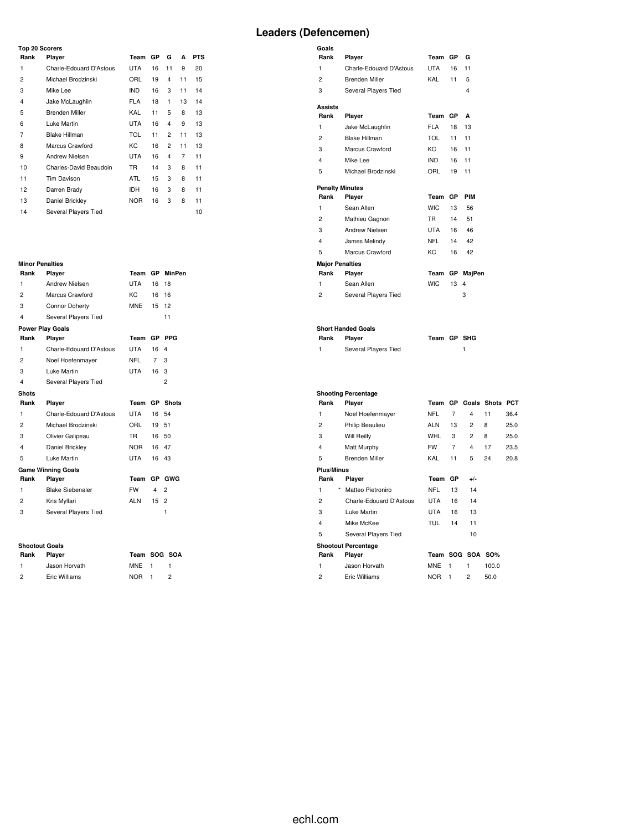#### **Top 20 Scorers**

| Rank           | Player                  | Team       | GP | G              | A              | <b>PTS</b> |
|----------------|-------------------------|------------|----|----------------|----------------|------------|
| 1              | Charle-Edouard D'Astous | UTA        | 16 | 11             | 9              | 20         |
| 2              | Michael Brodzinski      | ORL        | 19 | 4              | 11             | 15         |
| 3              | Mike Lee                | <b>IND</b> | 16 | 3              | 11             | 14         |
| $\overline{4}$ | Jake McLaughlin         | <b>FLA</b> | 18 | 1              | 13             | 14         |
| 5              | Brenden Miller          | KAL        | 11 | 5              | 8              | 13         |
| 6              | Luke Martin             | <b>UTA</b> | 16 | $\overline{4}$ | 9              | 13         |
| 7              | <b>Blake Hillman</b>    | <b>TOL</b> | 11 | 2              | 11             | 13         |
| 8              | Marcus Crawford         | КC         | 16 | 2              | 11             | 13         |
| 9              | Andrew Nielsen          | <b>UTA</b> | 16 | $\overline{4}$ | $\overline{7}$ | 11         |
| 10             | Charles-David Beaudoin  | <b>TR</b>  | 14 | 3              | 8              | 11         |
| 11             | <b>Tim Davison</b>      | <b>ATL</b> | 15 | 3              | 8              | 11         |
| 12             | Darren Brady            | IDH        | 16 | 3              | 8              | 11         |
| 13             | Daniel Brickley         | <b>NOR</b> | 16 | 3              | 8              | 11         |
| 14             | Several Players Tied    |            |    |                |                | 10         |

#### **Minor Penalties**

| Rank                    | Player                    | Team       | GP        | MinPen         |  |  |  |  |
|-------------------------|---------------------------|------------|-----------|----------------|--|--|--|--|
| 1                       | Andrew Nielsen            | <b>UTA</b> | 16        | 18             |  |  |  |  |
| 2                       | Marcus Crawford           | KC         | 16        | 16             |  |  |  |  |
| 3                       | <b>Connor Doherty</b>     | <b>MNE</b> | 15        | 12             |  |  |  |  |
| $\overline{\mathbf{4}}$ | Several Players Tied      |            |           | 11             |  |  |  |  |
| <b>Power Play Goals</b> |                           |            |           |                |  |  |  |  |
| Rank                    | Player                    | Team       | <b>GP</b> | <b>PPG</b>     |  |  |  |  |
| 1                       | Charle-Edouard D'Astous   | <b>UTA</b> | 16        | 4              |  |  |  |  |
| 2                       | Noel Hoefenmayer          | <b>NFL</b> | 7         | 3              |  |  |  |  |
| 3                       | Luke Martin               | <b>UTA</b> | 16        | 3              |  |  |  |  |
| 4                       | Several Players Tied      |            |           | $\overline{2}$ |  |  |  |  |
| <b>Shots</b>            |                           |            |           |                |  |  |  |  |
| Rank                    | Player                    | Team       | GP        | <b>Shots</b>   |  |  |  |  |
| 1                       | Charle-Edouard D'Astous   | UTA        | 16        | 54             |  |  |  |  |
| $\overline{2}$          | Michael Brodzinski        | ORL        | 19        | 51             |  |  |  |  |
| 3                       | Olivier Galipeau          | <b>TR</b>  | 16        | 50             |  |  |  |  |
| 4                       | Daniel Brickley           | NOR        | 16        | 47             |  |  |  |  |
| 5                       | Luke Martin               | <b>UTA</b> | 16        | 43             |  |  |  |  |
|                         | <b>Game Winning Goals</b> |            |           |                |  |  |  |  |
| Rank                    | Player                    | Team       | GP.       | GWG            |  |  |  |  |
| 1                       | <b>Blake Siebenaler</b>   | <b>FW</b>  | 4         | $\overline{2}$ |  |  |  |  |
| 2                       | Kris Myllari              | <b>ALN</b> | 15        | $\overline{c}$ |  |  |  |  |
| 3                       | Several Players Tied      |            |           | 1              |  |  |  |  |
|                         |                           |            |           |                |  |  |  |  |
|                         |                           |            |           |                |  |  |  |  |

# **Shootout Goals**

|                | onootout goals |              |  |
|----------------|----------------|--------------|--|
| Rank           | <b>Plaver</b>  | Team SOG SOA |  |
| 1.             | Jason Horvath  | MNE 1        |  |
| $\overline{2}$ | Eric Williams  | NOR 1        |  |

# **Leaders (Defencemen)**

| Goals                  |                           |             |     |        |
|------------------------|---------------------------|-------------|-----|--------|
| Rank                   | Player                    | Team        | GP  | G      |
| 1                      | Charle-Edouard D'Astous   | <b>UTA</b>  | 16  | 11     |
| $\overline{c}$         | Brenden Miller            | KAL         | 11  | 5      |
| 3                      | Several Players Tied      |             |     | 4      |
| Assists                |                           |             |     |        |
| Rank                   | Player                    | Team        | GP  | A      |
| 1                      | Jake McLaughlin           | <b>FLA</b>  | 18  | 13     |
| 2                      | <b>Blake Hillman</b>      | TOL         | 11  | 11     |
| 3                      | Marcus Crawford           | KC.         | 16  | 11     |
| 4                      | Mike Lee                  | IND.        | 16  | 11     |
| 5                      | Michael Brodzinski        | ORL         | 19  | 11     |
|                        | <b>Penalty Minutes</b>    |             |     |        |
| Rank                   | Player                    | Team        | GP  | PIM    |
| 1                      | Sean Allen                | <b>WIC</b>  | 13  | 56     |
| $\overline{c}$         | Mathieu Gagnon            | <b>TR</b>   | 14  | 51     |
| 3                      | <b>Andrew Nielsen</b>     | UTA         | 16  | 46     |
| 4                      | James Melindy             | <b>NFL</b>  | 14  | 42     |
| 5                      | Marcus Crawford           | KC.         | 16  | 42     |
| <b>Major Penalties</b> |                           |             |     |        |
| Rank                   | Player                    | Team        | GP. | MajPen |
| 1                      | Sean Allen                | <b>WIC</b>  | 13  | 4      |
| 2                      | Several Players Tied      |             |     | 3      |
|                        |                           |             |     |        |
| Rank                   | <b>Short Handed Goals</b> | Team GP SHG |     |        |
|                        | Player                    |             |     |        |
| 1                      | Several Players Tied      |             |     | 1      |
|                        |                           |             |     |        |

#### **Shooting Percentage**

| Rank              | Player                     | Team       | <b>GP</b> | Goals          | <b>Shots</b> | PCT  |
|-------------------|----------------------------|------------|-----------|----------------|--------------|------|
| 1                 | Noel Hoefenmayer           | <b>NFL</b> | 7         | 4              | 11           | 36.4 |
| 2                 | Philip Beaulieu            | <b>ALN</b> | 13        | 2              | 8            | 25.0 |
| 3                 | Will Reilly                | <b>WHL</b> | 3         | 2              | 8            | 25.0 |
| 4                 | Matt Murphy                | FW         | 7         | 4              | 17           | 23.5 |
| 5                 | Brenden Miller             | KAL        | 11        | 5              | 24           | 20.8 |
| <b>Plus/Minus</b> |                            |            |           |                |              |      |
| Rank              | Player                     | Team       | GP        | $+/-$          |              |      |
| $\star$<br>1      | Matteo Pietroniro          | NFL        | 13        | 14             |              |      |
| 2                 | Charle-Edouard D'Astous    | <b>UTA</b> | 16        | 14             |              |      |
| 3                 | Luke Martin                | <b>UTA</b> | 16        | 13             |              |      |
| 4                 | Mike McKee                 | TUL        | 14        | 11             |              |      |
| 5                 | Several Players Tied       |            |           | 10             |              |      |
|                   | <b>Shootout Percentage</b> |            |           |                |              |      |
| Rank              | Player                     | Team       |           | SOG SOA SO%    |              |      |
| 1                 | Jason Horvath              | <b>MNE</b> | 1         | 1              | 100.0        |      |
| $\overline{c}$    | Eric Williams              | <b>NOR</b> | 1         | $\overline{2}$ | 50.0         |      |
|                   |                            |            |           |                |              |      |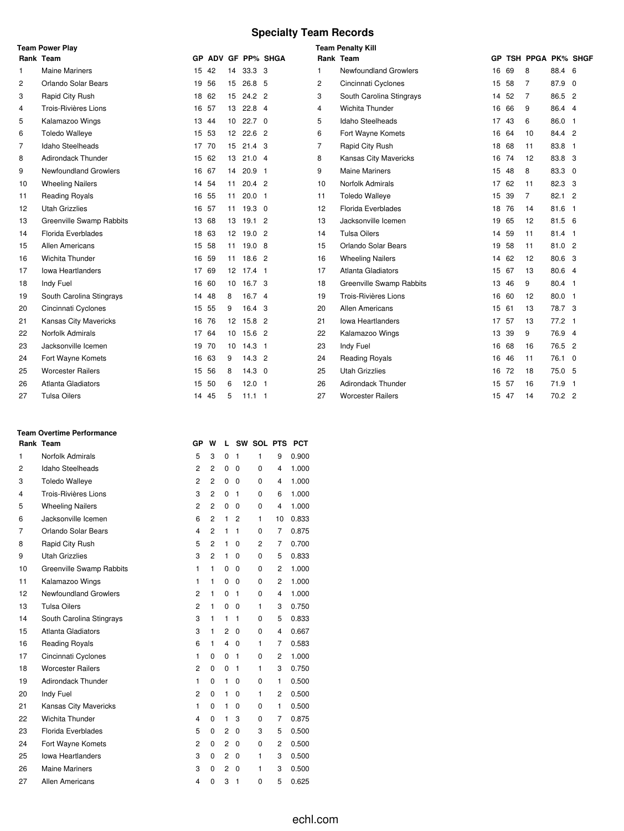# **Specialty Team Records**

|                | <b>Team Power Play</b>       |     |       |                 |                   |                 |    | <b>Team Penalty Kill</b>  |           |    |                   |                |              |
|----------------|------------------------------|-----|-------|-----------------|-------------------|-----------------|----|---------------------------|-----------|----|-------------------|----------------|--------------|
|                | Rank Team                    | GP. |       |                 |                   | ADV GF PP% SHGA |    | Rank Team                 | <b>GP</b> |    | TSH PPGA PK% SHGF |                |              |
| 1              | <b>Maine Mariners</b>        | 15  | 42    | 14              | 33.3 <sup>3</sup> |                 | 1. | Newfoundland Growlers     | 16        | 69 | 8                 | 88.4 6         |              |
| 2              | Orlando Solar Bears          |     | 19 56 | 15              | 26.8 <sub>5</sub> |                 | 2  | Cincinnati Cyclones       | 15 58     |    | 7                 | 87.9 0         |              |
| 3              | Rapid City Rush              |     | 18 62 | 15              | 24.2 2            |                 | 3  | South Carolina Stingrays  | 14        | 52 | 7                 | 86.5 2         |              |
| 4              | Trois-Rivières Lions         | 16  | 57    | 13              | $22.8$ 4          |                 | 4  | Wichita Thunder           | 16        | 66 | 9                 | 86.4 4         |              |
| 5              | Kalamazoo Wings              |     | 13 44 | 10 <sup>°</sup> | $22.7\quad0$      |                 | 5  | Idaho Steelheads          | 17        | 43 | 6                 | 86.0 1         |              |
| 6              | <b>Toledo Walleye</b>        |     | 15 53 | 12 <sup>°</sup> | 22.6 <sup>2</sup> |                 | 6  | Fort Wayne Komets         | 16 64     |    | 10                | 84.4 2         |              |
| $\overline{7}$ | Idaho Steelheads             |     | 17 70 | 15              | 21.4 <sup>3</sup> |                 | 7  | Rapid City Rush           | 18 68     |    | 11                | 83.8           | $\mathbf{1}$ |
| 8              | <b>Adirondack Thunder</b>    |     | 15 62 | 13              | 21.04             |                 | 8  | Kansas City Mavericks     | 16 74     |    | 12                | 83.8 3         |              |
| 9              | <b>Newfoundland Growlers</b> |     | 16 67 | 14              | 20.9 <sub>1</sub> |                 | 9  | <b>Maine Mariners</b>     | 15        | 48 | 8                 | 83.3 0         |              |
| 10             | <b>Wheeling Nailers</b>      |     | 14 54 | 11              | $20.4$ 2          |                 | 10 | Norfolk Admirals          | 17        | 62 | 11                | 82.3 3         |              |
| 11             | <b>Reading Royals</b>        |     | 16 55 | 11              | $20.0$ 1          |                 | 11 | <b>Toledo Walleye</b>     | 15        | 39 | $\overline{7}$    | 82.1 2         |              |
| 12             | <b>Utah Grizzlies</b>        |     | 16 57 | 11              | $19.3 \quad 0$    |                 | 12 | Florida Everblades        | 18        | 76 | 14                | 81.6           | $\mathbf{1}$ |
| 13             | Greenville Swamp Rabbits     |     | 13 68 | 13              | 19.12             |                 | 13 | Jacksonville Icemen       | 19 65     |    | 12                | 81.5 6         |              |
| 14             | Florida Everblades           |     | 18 63 | 12              | 19.02             |                 | 14 | <b>Tulsa Oilers</b>       | 14        | 59 | 11                | 81.4 1         |              |
| 15             | <b>Allen Americans</b>       |     | 15 58 |                 | 11 19.0 8         |                 | 15 | Orlando Solar Bears       | 19 58     |    | 11                | 81.0 2         |              |
| 16             | Wichita Thunder              |     | 16 59 | 11              | 18.6 2            |                 | 16 | <b>Wheeling Nailers</b>   | 14 62     |    | 12                | 80.6 3         |              |
| 17             | <b>Iowa Heartlanders</b>     |     | 17 69 | 12              | $17.4$ 1          |                 | 17 | Atlanta Gladiators        | 15 67     |    | 13                | 80.6 4         |              |
| 18             | Indy Fuel                    |     | 16 60 |                 | 10 16.7 3         |                 | 18 | Greenville Swamp Rabbits  | 13 46     |    | 9                 | 80.4 1         |              |
| 19             | South Carolina Stingrays     | 14  | 48    | 8               | 16.74             |                 | 19 | Trois-Rivières Lions      | 16 60     |    | 12                | $80.0$ 1       |              |
| 20             | Cincinnati Cyclones          |     | 15 55 | 9               | 16.4 <sup>3</sup> |                 | 20 | <b>Allen Americans</b>    | 15 61     |    | 13                | 78.7 3         |              |
| 21             | Kansas City Mavericks        |     | 16 76 | 12              | 15.8 2            |                 | 21 | <b>Iowa Heartlanders</b>  | 17 57     |    | 13                | $77.2 \quad 1$ |              |
| 22             | Norfolk Admirals             |     | 17 64 | 10 <sup>°</sup> | 15.6 2            |                 | 22 | Kalamazoo Wings           | 13        | 39 | 9                 | 76.9 4         |              |
| 23             | Jacksonville Icemen          |     | 19 70 | 10              | $14.3$ 1          |                 | 23 | Indy Fuel                 | 16 68     |    | 16                | 76.5 2         |              |
| 24             | Fort Wayne Komets            |     | 16 63 | 9               | $14.3$ 2          |                 | 24 | Reading Royals            | 16        | 46 | 11                | 76.1 0         |              |
| 25             | <b>Worcester Railers</b>     |     | 15 56 | 8               | $14.3 \quad 0$    |                 | 25 | <b>Utah Grizzlies</b>     | 16        | 72 | 18                | 75.0 5         |              |
| 26             | Atlanta Gladiators           |     | 15 50 | 6               | $12.0$ 1          |                 | 26 | <b>Adirondack Thunder</b> | 15 57     |    | 16                | $71.9$ 1       |              |
| 27             | <b>Tulsa Oilers</b>          |     | 14 45 | 5               | $11.1$ 1          |                 | 27 | <b>Worcester Railers</b>  | 15 47     |    | 14                | 70.2 2         |              |

### **Team Overtime Performance**

| Rank Team      |                              | GP                      | w              | L              |              | SW SOL PTS     |                         | <b>PCT</b> |
|----------------|------------------------------|-------------------------|----------------|----------------|--------------|----------------|-------------------------|------------|
| 1              | Norfolk Admirals             | 5                       | 3              | 0              | 1            | 1              | 9                       | 0.900      |
| $\overline{2}$ | Idaho Steelheads             | 2                       | $\overline{c}$ | 0              | $\Omega$     | $\Omega$       | $\overline{\mathbf{4}}$ | 1.000      |
| 3              | <b>Toledo Walleye</b>        | $\overline{c}$          | 2              | 0              | $\mathbf 0$  | 0              | 4                       | 1.000      |
| 4              | Trois-Rivières Lions         | 3                       | $\overline{c}$ | $\mathbf 0$    | $\mathbf{1}$ | $\Omega$       | 6                       | 1.000      |
| 5              | <b>Wheeling Nailers</b>      | 2                       | 2              | 0              | 0            | 0              | 4                       | 1.000      |
| 6              | Jacksonville Icemen          | 6                       | $\overline{2}$ | 1              | 2            | 1              | 10                      | 0.833      |
| 7              | Orlando Solar Bears          | $\overline{\mathbf{4}}$ | 2              | 1              | $\mathbf{1}$ | 0              | 7                       | 0.875      |
| 8              | Rapid City Rush              | 5                       | $\overline{2}$ | 1              | 0            | $\overline{c}$ | 7                       | 0.700      |
| 9              | <b>Utah Grizzlies</b>        | 3                       | $\overline{c}$ | 1              | $\mathbf 0$  | 0              | 5                       | 0.833      |
| 10             | Greenville Swamp Rabbits     | 1                       | 1              | 0              | 0            | 0              | $\overline{2}$          | 1.000      |
| 11             | Kalamazoo Wings              | 1                       | 1              | 0              | 0            | 0              | 2                       | 1.000      |
| 12             | <b>Newfoundland Growlers</b> | $\overline{c}$          | 1              | 0              | $\mathbf{1}$ | $\Omega$       | $\overline{\mathbf{4}}$ | 1.000      |
| 13             | <b>Tulsa Oilers</b>          | 2                       | 1              | 0              | $\mathbf 0$  | 1              | 3                       | 0.750      |
| 14             | South Carolina Stingrays     | 3                       | 1              | 1              | 1            | 0              | 5                       | 0.833      |
| 15             | Atlanta Gladiators           | 3                       | 1              | 2              | 0            | 0              | 4                       | 0.667      |
| 16             | <b>Reading Royals</b>        | 6                       | 1              | 4              | 0            | 1              | 7                       | 0.583      |
| 17             | Cincinnati Cyclones          | 1                       | 0              | $\mathbf 0$    | $\mathbf{1}$ | 0              | 2                       | 1.000      |
| 18             | <b>Worcester Railers</b>     | $\overline{c}$          | 0              | $\mathbf 0$    | 1            | 1              | 3                       | 0.750      |
| 19             | Adirondack Thunder           | 1                       | 0              | 1              | 0            | 0              | 1                       | 0.500      |
| 20             | Indy Fuel                    | $\overline{2}$          | 0              | 1              | 0            | 1              | 2                       | 0.500      |
| 21             | Kansas City Mavericks        | 1                       | 0              | 1              | 0            | 0              | 1                       | 0.500      |
| 22             | Wichita Thunder              | $\overline{\mathbf{4}}$ | 0              | 1              | 3            | 0              | 7                       | 0.875      |
| 23             | Florida Everblades           | 5                       | 0              | 2              | 0            | 3              | 5                       | 0.500      |
| 24             | Fort Wayne Komets            | $\overline{c}$          | 0              | $\overline{2}$ | 0            | 0              | 2                       | 0.500      |
| 25             | <b>Iowa Heartlanders</b>     | 3                       | 0              | $\overline{2}$ | 0            | 1              | 3                       | 0.500      |
| 26             | <b>Maine Mariners</b>        | 3                       | 0              | $\overline{2}$ | $\mathbf 0$  | 1              | 3                       | 0.500      |
| 27             | Allen Americans              | 4                       | 0              | 3              | 1            | 0              | 5                       | 0.625      |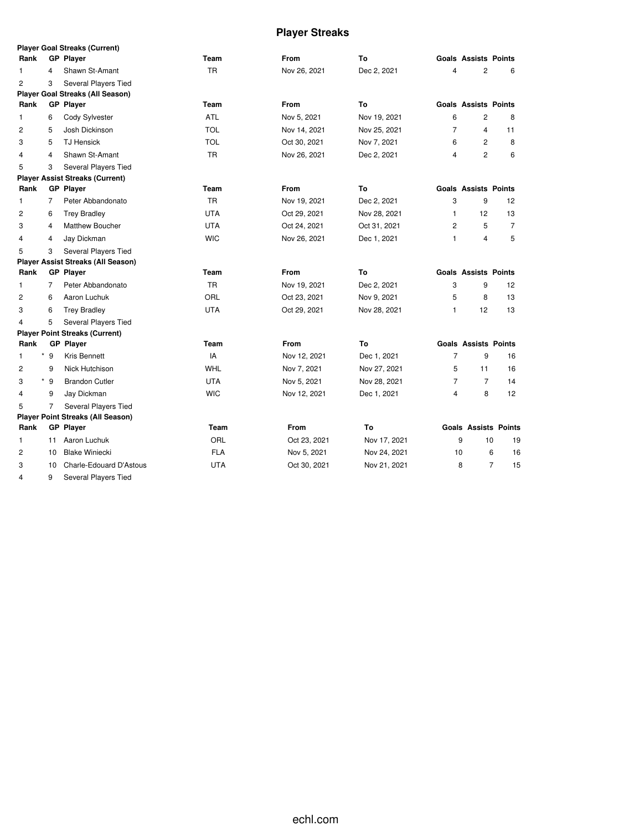# **Player Streaks**

|                |                | <b>Player Goal Streaks (Current)</b>      |            |              |              |                |                             |    |
|----------------|----------------|-------------------------------------------|------------|--------------|--------------|----------------|-----------------------------|----|
| Rank           |                | <b>GP Player</b>                          | Team       | <b>From</b>  | To           |                | <b>Goals Assists Points</b> |    |
| 1              | 4              | Shawn St-Amant                            | <b>TR</b>  | Nov 26, 2021 | Dec 2, 2021  | 4              | $\overline{2}$              | 6  |
| $\overline{2}$ | 3              | Several Players Tied                      |            |              |              |                |                             |    |
|                |                | <b>Player Goal Streaks (All Season)</b>   |            |              |              |                |                             |    |
| Rank           |                | <b>GP</b> Player                          | Team       | From         | Τo           |                | <b>Goals Assists Points</b> |    |
| 1              | 6              | Cody Sylvester                            | ATL        | Nov 5, 2021  | Nov 19, 2021 | 6              | 2                           | 8  |
| $\overline{c}$ | 5              | Josh Dickinson                            | <b>TOL</b> | Nov 14, 2021 | Nov 25, 2021 | 7              | 4                           | 11 |
| 3              | 5              | <b>TJ Hensick</b>                         | <b>TOL</b> | Oct 30, 2021 | Nov 7, 2021  | 6              | $\overline{c}$              | 8  |
| $\overline{4}$ | 4              | Shawn St-Amant                            | <b>TR</b>  | Nov 26, 2021 | Dec 2, 2021  | 4              | $\overline{2}$              | 6  |
| 5              | 3              | <b>Several Players Tied</b>               |            |              |              |                |                             |    |
|                |                | <b>Player Assist Streaks (Current)</b>    |            |              |              |                |                             |    |
| Rank           |                | <b>GP Player</b>                          | Team       | From         | To           |                | <b>Goals Assists Points</b> |    |
| $\mathbf{1}$   | $\overline{7}$ | Peter Abbandonato                         | <b>TR</b>  | Nov 19, 2021 | Dec 2, 2021  | 3              | 9                           | 12 |
| $\overline{c}$ | 6              | <b>Trey Bradley</b>                       | <b>UTA</b> | Oct 29, 2021 | Nov 28, 2021 | 1              | 12                          | 13 |
| 3              | 4              | <b>Matthew Boucher</b>                    | <b>UTA</b> | Oct 24, 2021 | Oct 31, 2021 | 2              | 5                           | 7  |
| $\overline{4}$ | 4              | Jay Dickman                               | <b>WIC</b> | Nov 26, 2021 | Dec 1, 2021  | 1              | $\overline{\mathbf{4}}$     | 5  |
| 5              | 3              | Several Players Tied                      |            |              |              |                |                             |    |
|                |                | <b>Player Assist Streaks (All Season)</b> |            |              |              |                |                             |    |
| Rank           |                | <b>GP Player</b>                          | Team       | <b>From</b>  | To           |                | <b>Goals Assists Points</b> |    |
| 1              | 7              | Peter Abbandonato                         | <b>TR</b>  | Nov 19, 2021 | Dec 2, 2021  | 3              | 9                           | 12 |
| $\overline{c}$ | 6              | Aaron Luchuk                              | ORL        | Oct 23, 2021 | Nov 9, 2021  | 5              | 8                           | 13 |
| 3              | 6              | <b>Trey Bradley</b>                       | <b>UTA</b> | Oct 29, 2021 | Nov 28, 2021 | 1              | 12                          | 13 |
| $\overline{4}$ | 5              | Several Players Tied                      |            |              |              |                |                             |    |
|                |                | <b>Player Point Streaks (Current)</b>     |            |              |              |                |                             |    |
| Rank           |                | <b>GP Player</b>                          | Team       | <b>From</b>  | To           |                | <b>Goals Assists Points</b> |    |
| 1              | $*$ 9          | Kris Bennett                              | IA         | Nov 12, 2021 | Dec 1, 2021  | 7              | 9                           | 16 |
| $\overline{c}$ | 9              | Nick Hutchison                            | <b>WHL</b> | Nov 7, 2021  | Nov 27, 2021 | 5              | 11                          | 16 |
| 3              | $*$ 9          | <b>Brandon Cutler</b>                     | <b>UTA</b> | Nov 5, 2021  | Nov 28, 2021 | $\overline{7}$ | $\overline{7}$              | 14 |
| 4              | 9              | Jay Dickman                               | <b>WIC</b> | Nov 12, 2021 | Dec 1, 2021  | 4              | 8                           | 12 |
| 5              | $\overline{7}$ | Several Players Tied                      |            |              |              |                |                             |    |
|                |                | <b>Player Point Streaks (All Season)</b>  |            |              |              |                |                             |    |
| Rank           |                | <b>GP</b> Player                          | Team       | From         | To           |                | <b>Goals Assists Points</b> |    |
| 1              | 11             | Aaron Luchuk                              | ORL        | Oct 23, 2021 | Nov 17, 2021 | 9              | 10                          | 19 |
| $\overline{c}$ | 10             | <b>Blake Winiecki</b>                     | <b>FLA</b> | Nov 5, 2021  | Nov 24, 2021 | 10             | 6                           | 16 |
| 3              | 10             | Charle-Edouard D'Astous                   | <b>UTA</b> | Oct 30, 2021 | Nov 21, 2021 | 8              | 7                           | 15 |
| $\overline{4}$ | 9              | <b>Several Players Tied</b>               |            |              |              |                |                             |    |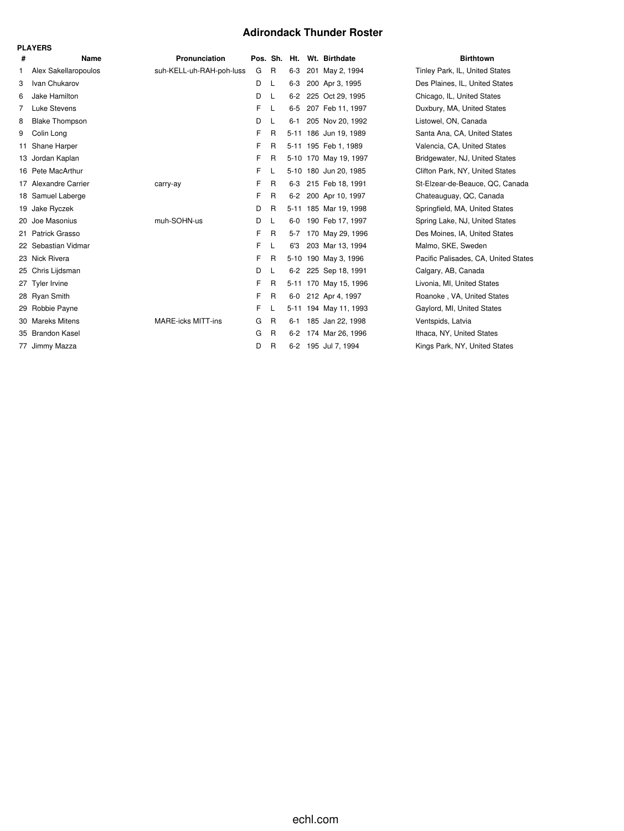#### **Adirondack Thunder Roster**

|    | <b>PLAYERS</b>        |                           |          |              |         |                       |                                      |
|----|-----------------------|---------------------------|----------|--------------|---------|-----------------------|--------------------------------------|
| #  | Name                  | Pronunciation             | Pos. Sh. |              | Ht.     | Wt. Birthdate         | <b>Birthtown</b>                     |
| 1. | Alex Sakellaropoulos  | suh-KELL-uh-RAH-poh-luss  | G        | $\mathsf{R}$ | $6-3$   | 201 May 2, 1994       | Tinley Park, IL, United States       |
| 3  | Ivan Chukarov         |                           | D        | L            | $6-3$   | 200 Apr 3, 1995       | Des Plaines, IL, United States       |
| 6  | Jake Hamilton         |                           | D        | L            | $6-2$   | 225 Oct 29, 1995      | Chicago, IL, United States           |
| 7  | <b>Luke Stevens</b>   |                           | F        | L            | $6 - 5$ | 207 Feb 11, 1997      | Duxbury, MA, United States           |
| 8  | <b>Blake Thompson</b> |                           | D        | L            | $6 - 1$ | 205 Nov 20, 1992      | Listowel, ON, Canada                 |
| 9  | Colin Long            |                           | F        | R            |         | 5-11 186 Jun 19, 1989 | Santa Ana, CA, United States         |
| 11 | Shane Harper          |                           | F        | R            |         | 5-11 195 Feb 1, 1989  | Valencia, CA, United States          |
| 13 | Jordan Kaplan         |                           | F        | R            |         | 5-10 170 May 19, 1997 | Bridgewater, NJ, United States       |
|    | 16 Pete MacArthur     |                           | F.       | L            |         | 5-10 180 Jun 20, 1985 | Clifton Park, NY, United States      |
|    | 17 Alexandre Carrier  | carry-ay                  | F        | R            | $6-3$   | 215 Feb 18, 1991      | St-Elzear-de-Beauce, QC, Canada      |
|    | 18 Samuel Laberge     |                           | F        | R            | $6-2$   | 200 Apr 10, 1997      | Chateauguay, QC, Canada              |
| 19 | Jake Ryczek           |                           | D        | R            |         | 5-11 185 Mar 19, 1998 | Springfield, MA, United States       |
| 20 | Joe Masonius          | muh-SOHN-us               | D        | L            | $6-0$   | 190 Feb 17, 1997      | Spring Lake, NJ, United States       |
|    | 21 Patrick Grasso     |                           | F        | R            | $5-7$   | 170 May 29, 1996      | Des Moines, IA, United States        |
|    | 22 Sebastian Vidmar   |                           | F.       | L            | 6'3     | 203 Mar 13, 1994      | Malmo, SKE, Sweden                   |
|    | 23 Nick Rivera        |                           | F        | R            |         | 5-10 190 May 3, 1996  | Pacific Palisades, CA, United States |
|    | 25 Chris Lijdsman     |                           | D        | L            | $6-2$   | 225 Sep 18, 1991      | Calgary, AB, Canada                  |
|    | 27 Tyler Irvine       |                           | F        | R            |         | 5-11 170 May 15, 1996 | Livonia, MI, United States           |
|    | 28 Ryan Smith         |                           | F        | $\mathsf{R}$ | $6-0$   | 212 Apr 4, 1997       | Roanoke, VA, United States           |
| 29 | Robbie Payne          |                           | F.       | L            |         | 5-11 194 May 11, 1993 | Gaylord, MI, United States           |
|    | 30 Mareks Mitens      | <b>MARE-icks MITT-ins</b> | G        | R            | $6 - 1$ | 185 Jan 22, 1998      | Ventspids, Latvia                    |
|    | 35 Brandon Kasel      |                           | G        | R            | $6-2$   | 174 Mar 26, 1996      | Ithaca, NY, United States            |
|    | 77 Jimmy Mazza        |                           | D        | R            | $6 - 2$ | 195 Jul 7, 1994       | Kings Park, NY, United States        |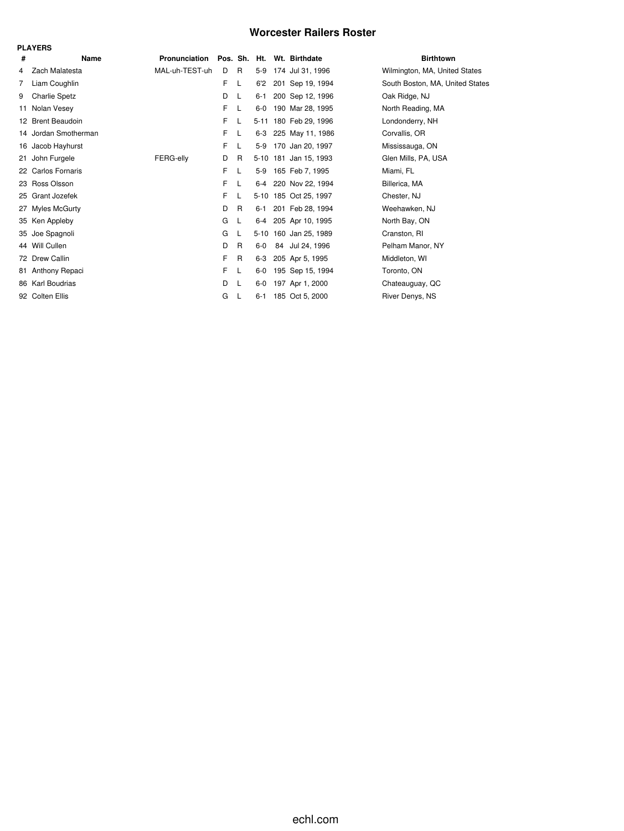### **Worcester Railers Roster**

|    | <b>PLAYERS</b>       |                |   |    |         |  |                            |                                 |  |  |  |  |  |
|----|----------------------|----------------|---|----|---------|--|----------------------------|---------------------------------|--|--|--|--|--|
| #  | Name                 | Pronunciation  |   |    |         |  | Pos. Sh. Ht. Wt. Birthdate | <b>Birthtown</b>                |  |  |  |  |  |
| 4  | Zach Malatesta       | MAL-uh-TEST-uh | D | R  | $5-9$   |  | 174 Jul 31, 1996           | Wilmington, MA, United States   |  |  |  |  |  |
| 7  | Liam Coughlin        |                | F | L  | 6'2     |  | 201 Sep 19, 1994           | South Boston, MA, United States |  |  |  |  |  |
| 9  | <b>Charlie Spetz</b> |                | D | L  | 6-1     |  | 200 Sep 12, 1996           | Oak Ridge, NJ                   |  |  |  |  |  |
| 11 | Nolan Vesey          |                | F | L  | $6-0$   |  | 190 Mar 28, 1995           | North Reading, MA               |  |  |  |  |  |
|    | 12 Brent Beaudoin    |                | F | L  |         |  | 5-11 180 Feb 29, 1996      | Londonderry, NH                 |  |  |  |  |  |
| 14 | Jordan Smotherman    |                | F | L  | 6-3     |  | 225 May 11, 1986           | Corvallis, OR                   |  |  |  |  |  |
|    | 16 Jacob Hayhurst    |                | F | L  | $5-9$   |  | 170 Jan 20, 1997           | Mississauga, ON                 |  |  |  |  |  |
| 21 | John Furgele         | FERG-elly      | D | R  |         |  | 5-10 181 Jan 15, 1993      | Glen Mills, PA, USA             |  |  |  |  |  |
|    | 22 Carlos Fornaris   |                | F | L  |         |  | 5-9 165 Feb 7, 1995        | Miami, FL                       |  |  |  |  |  |
|    | 23 Ross Olsson       |                | F |    |         |  | 6-4 220 Nov 22, 1994       | Billerica, MA                   |  |  |  |  |  |
|    | 25 Grant Jozefek     |                | F |    |         |  | 5-10 185 Oct 25, 1997      | Chester, NJ                     |  |  |  |  |  |
| 27 | Myles McGurty        |                | D | R  | 6-1     |  | 201 Feb 28, 1994           | Weehawken, NJ                   |  |  |  |  |  |
|    | 35 Ken Appleby       |                | G | L. | 6-4     |  | 205 Apr 10, 1995           | North Bay, ON                   |  |  |  |  |  |
|    | 35 Joe Spagnoli      |                | G | L  |         |  | 5-10 160 Jan 25, 1989      | Cranston, RI                    |  |  |  |  |  |
|    | 44 Will Cullen       |                | D | R  | 6-0     |  | 84 Jul 24, 1996            | Pelham Manor, NY                |  |  |  |  |  |
|    | 72 Drew Callin       |                | F | R  | $6 - 3$ |  | 205 Apr 5, 1995            | Middleton, WI                   |  |  |  |  |  |
| 81 | Anthony Repaci       |                | F | L  | 6-0     |  | 195 Sep 15, 1994           | Toronto, ON                     |  |  |  |  |  |
|    | 86 Karl Boudrias     |                | D | -L | $6-0$   |  | 197 Apr 1, 2000            | Chateauguay, QC                 |  |  |  |  |  |
|    | 92 Colten Ellis      |                | G | L  | 6-1     |  | 185 Oct 5, 2000            | River Denys, NS                 |  |  |  |  |  |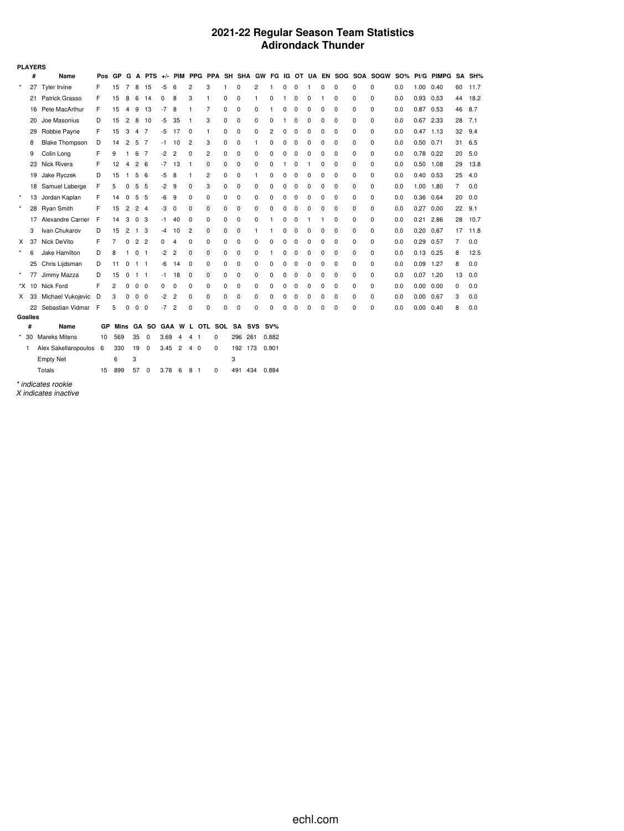#### **2021-22 Regular Season Team Statistics Adirondack Thunder**

|          | <b>PLAYERS</b> |                       |     |     |                |                |                          |      |                |                |                                       |   |          |          |       |   |   |          |          |             |          |                                                             |            |                   |            |    |        |
|----------|----------------|-----------------------|-----|-----|----------------|----------------|--------------------------|------|----------------|----------------|---------------------------------------|---|----------|----------|-------|---|---|----------|----------|-------------|----------|-------------------------------------------------------------|------------|-------------------|------------|----|--------|
|          | #              | Name                  | Pos | GP  | G              |                |                          |      |                |                |                                       |   |          |          |       |   |   |          |          |             |          | A PTS +/- PIM PPG PPA SH SHA GW FG IG OT UA EN SOG SOA SOGW | <b>SO%</b> |                   | Pt/G PIMPG |    | SA SH% |
| $\star$  | 27             | Tyler Irvine          | F   | 15  | 7              | 8              | 15                       | $-5$ | 6              | 2              | 3                                     | 1 | 0        | 2        | 1     | 0 | 0 | 1        | 0        | 0           | $\Omega$ | $\Omega$                                                    | 0.0        | 1.00 0.40         |            | 60 | 11.7   |
|          |                | 21 Patrick Grasso     | F   | 15  | 8              | 6              | 14                       | 0    | 8              | 3              | $\mathbf{1}$                          | 0 | 0        | 1        | 0     | 1 | 0 | 0        | 1        | 0           | 0        | $\Omega$                                                    | 0.0        | 0.93 0.53         |            | 44 | 18.2   |
|          | 16             | Pete MacArthur        | F   | 15  | 4              | 9              | 13                       | $-7$ | 8              | 1              | 7                                     | 0 | $\Omega$ | 0        |       | 0 | 0 | $\Omega$ | 0        | 0           | 0        | $\Omega$                                                    | 0.0        | $0.87$ 0.53       |            | 46 | 8.7    |
|          | 20             | Joe Masonius          | D   | 15  | 2              | 8              | 10                       | -5   | 35             | -1             | 3                                     | 0 | 0        | 0        | 0     |   | 0 | 0        | 0        | 0           | 0        | $\Omega$                                                    | 0.0        | 0.67              | 2.33       | 28 | 7.1    |
|          | 29             | Robbie Payne          | F   | 15  | 3              | 4 7            |                          | -5   | 17             | $\Omega$       | 1                                     | 0 | 0        | 0        | 2     | 0 | 0 | $\Omega$ | 0        | $\Omega$    | 0        | $\Omega$                                                    | 0.0        | $0.47$ 1.13       |            | 32 | 9.4    |
|          | 8              | <b>Blake Thompson</b> | D   | 14  | 2              | 5              | $\overline{7}$           | -1   | 10             | $\overline{2}$ | 3                                     | 0 | 0        | 1        | 0     | 0 | 0 | 0        | 0        | 0           | 0        | $\Omega$                                                    | 0.0        | $0.50$ $0.71$     |            | 31 | 6.5    |
|          | 9              | Colin Long            | F   | 9   | 1.             | 6              | $\overline{7}$           | $-2$ | $\overline{c}$ | 0              | $\overline{2}$                        | 0 | 0        | 0        | 0     | 0 | 0 | $\Omega$ | 0        | 0           | 0        | $\Omega$                                                    | 0.0        | $0.78$ 0.22       |            | 20 | 5.0    |
|          | 23             | Nick Rivera           | F   | 12  | 4              | 2 <sub>6</sub> |                          | -7   | 13             | -1             | 0                                     | 0 | 0        | 0        | 0     |   | 0 |          | 0        | 0           | 0        | $\Omega$                                                    | 0.0        | $0.50$ 1.08       |            | 29 | 13.8   |
|          | 19             | Jake Ryczek           | D   | 15  | -1             | 5              | - 6                      | -5   | 8              | 1              | $\overline{2}$                        | 0 | 0        | 1        | 0     | 0 | 0 | 0        | 0        | $\mathbf 0$ | 0        | $\Omega$                                                    | 0.0        | $0.40$ $0.53$     |            | 25 | 4.0    |
|          |                | 18 Samuel Laberge     | F   | 5   | 0              | 5              | - 5                      | -2   | 9              | 0              | 3                                     | 0 | 0        | 0        | 0     | 0 | 0 | 0        | 0        | 0           | 0        | 0                                                           | 0.0        | 1.00 1.80         |            | 7  | 0.0    |
| $\star$  | 13             | Jordan Kaplan         | F   | 14  | 0              | 5              | - 5                      | -6   | 9              | $\Omega$       | 0                                     | 0 | 0        | 0        | 0     | 0 | 0 | $\Omega$ | 0        | 0           | 0        | $\Omega$                                                    | 0.0        | 0.36 0.64         |            | 20 | 0.0    |
| $\star$  |                | 28 Ryan Smith         | F   | 15  | $\overline{2}$ | 2 <sub>4</sub> |                          | -3   | 0              | 0              | 0                                     | 0 | 0        | 0        | 0     | 0 | 0 | 0        | 0        | 0           | 0        | 0                                                           | 0.0        | 0.27              | 0.00       | 22 | 9.1    |
|          | 17             | Alexandre Carrier     | F   | 14  | 3              | $\mathbf 0$    | 3                        | -1   | 40             | 0              | 0                                     | 0 | 0        | 0        | 1     | 0 | 0 | 1        | 1        | 0           | 0        | $\Omega$                                                    | 0.0        | 0.21              | 2.86       | 28 | 10.7   |
|          | 3              | Ivan Chukarov         | D   | 15  | 2              | $\mathbf{1}$   | 3                        | -4   | 10             | $\overline{2}$ | 0                                     | 0 | 0        | 1        |       | 0 | 0 | 0        | 0        | 0           | 0        | 0                                                           | 0.0        | $0.20$ 0.67       |            | 17 | 11.8   |
| X        | 37             | Nick DeVito           | F   | 7   | 0              | $\overline{2}$ | $\overline{2}$           | 0    | 4              | 0              | 0                                     | 0 | 0        | 0        |       | 0 | 0 | $\Omega$ | 0        | 0           | 0        | 0                                                           | 0.0        | $0.29$ 0.57       |            | 7  | 0.0    |
| $\star$  | 6              | Jake Hamilton         | D   | 8   |                | 0              | -1                       | -2   | 2              | $\Omega$       | 0                                     | 0 | 0        | 0        |       | 0 | 0 | 0        | 0        | 0           | 0        | 0                                                           | 0.0        | $0.13$ 0.25       |            | 8  | 12.5   |
|          | 25             | Chris Lijdsman        | D   | 11  | 0              | $1 \quad 1$    |                          | -6   | 14             | 0              | 0                                     | 0 | 0        | 0        | 0     | 0 | 0 | 0        | 0        | 0           | 0        | $\Omega$                                                    | 0.0        | $0.09$ 1.27       |            | 8  | 0.0    |
| $\star$  | 77             | Jimmy Mazza           | D   | 15  | 0              | $1 \quad 1$    |                          | -1   | 18             | 0              | 0                                     | 0 | 0        | 0        | 0     | 0 | 0 | 0        | 0        | 0           | 0        | 0                                                           | 0.0        | $0.07$ 1.20       |            | 13 | 0.0    |
|          |                | *X 10 Nick Ford       | F   | 2   | 0              | 0              | - 0                      | 0    | $\Omega$       | $\Omega$       | 0                                     | 0 | 0        | 0        | 0     | 0 | 0 | $\Omega$ | 0        | 0           | 0        | 0                                                           | 0.0        | $0.00 \quad 0.00$ |            | 0  | 0.0    |
| X.       | 33             | Michael Vukojevic     | D   | 3   | 0              | 0              | $\overline{\phantom{0}}$ | -2   | 2              | 0              | 0                                     | 0 | 0        | 0        | 0     | 0 | 0 | 0        | 0        | 0           | 0        | 0                                                           | 0.0        | 0.00              | 0.67       | 3  | 0.0    |
|          |                | 22 Sebastian Vidmar F |     | 5   | $\Omega$       | 0              | 0                        | -7   | 2              | 0              | 0                                     | 0 | 0        | $\Omega$ | O     | 0 | 0 | $\Omega$ | $\Omega$ | C           | 0        | $\Omega$                                                    | 0.0        | $0.00 \quad 0.40$ |            | 8  | 0.0    |
|          | Goalies        |                       |     |     |                |                |                          |      |                |                |                                       |   |          |          |       |   |   |          |          |             |          |                                                             |            |                   |            |    |        |
|          | #              | Name                  | GP  |     |                |                |                          |      |                |                | Mins GA SO GAA W L OTL SOL SA SVS SV% |   |          |          |       |   |   |          |          |             |          |                                                             |            |                   |            |    |        |
| $^\star$ | 30             | <b>Mareks Mitens</b>  | 10  | 569 |                | 35             | $\mathbf 0$              | 3.69 | 4              | 4<br>-1        | 0                                     |   | 296      | 261      | 0.882 |   |   |          |          |             |          |                                                             |            |                   |            |    |        |
|          | -1             | Alex Sakellaropoulos  | - 6 | 330 |                | 19             | $\mathbf 0$              | 3.45 | $\overline{2}$ | 4 0            | 0                                     |   | 192 173  |          | 0.901 |   |   |          |          |             |          |                                                             |            |                   |            |    |        |
|          |                | <b>Empty Net</b>      |     | 6   |                | 3              |                          |      |                |                |                                       | 3 |          |          |       |   |   |          |          |             |          |                                                             |            |                   |            |    |        |

*\* indicates rookie*

Totals 15 899 57 0 3.78 6 8 1 0 491 434 0.884

*X indicates inactive*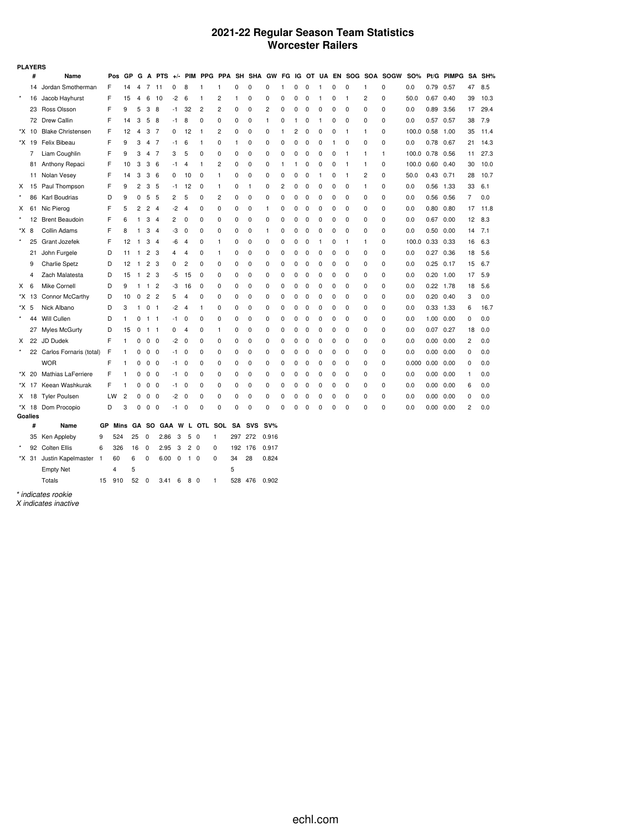#### **2021-22 Regular Season Team Statistics Worcester Railers**

|         | <b>PLAYERS</b> |                            |            |                |                |                |                |       |                |                |                |           |              |              |              |              |             |   |          |              |                |                       |            |                   |              |              |      |
|---------|----------------|----------------------------|------------|----------------|----------------|----------------|----------------|-------|----------------|----------------|----------------|-----------|--------------|--------------|--------------|--------------|-------------|---|----------|--------------|----------------|-----------------------|------------|-------------------|--------------|--------------|------|
|         | #              | Name                       | Pos        | GP             | G              | A              | <b>PTS</b>     | $+/-$ |                |                | PIM PPG PPA    |           | SH SHA GW    |              | FG IG        |              |             |   |          |              |                | OT UA EN SOG SOA SOGW | <b>SO%</b> | Pt/G              | <b>PIMPG</b> | SA           | SH%  |
|         | 14             | Jordan Smotherman          | F          | 14             | 4              | 7              | 11             | 0     | 8              | 1              | 1              | 0         | 0            | 0            | $\mathbf{1}$ | 0            | 0           | 1 | 0        | 0            | 1              | 0                     | 0.0        | 0.79 0.57         |              | 47           | 8.5  |
| $\star$ | 16             | Jacob Hayhurst             | F          | 15             | 4              | 6              | 10             | $-2$  | 6              | 1              | 2              | 1         | 0            | 0            | 0            | 0            | 0           | 1 | 0        | $\mathbf{1}$ | 2              | 0                     | 50.0       | $0.67$ 0.40       |              | 39           | 10.3 |
|         | 23             | Ross Olsson                | F          | 9              | 5              | 3              | 8              | -1    | 32             | $\overline{c}$ | 2              | 0         | 0            | 2            | 0            | 0            | 0           | 0 | 0        | 0            | 0              | 0                     | 0.0        | 0.89 3.56         |              | 17           | 29.4 |
|         |                | 72 Drew Callin             | F          | 14             | 3              | 5              | 8              | -1    | 8              | 0              | 0              | 0         | $\mathbf 0$  | $\mathbf{1}$ | 0            | $\mathbf{1}$ | 0           | 1 | 0        | 0            | 0              | 0                     | 0.0        | $0.57$ 0.57       |              | 38           | 7.9  |
|         | *X 10          | <b>Blake Christensen</b>   | F          | 12             | 4              | 3              | -7             | 0     | 12             | $\mathbf{1}$   | 2              | 0         | 0            | 0            | 1            | 2            | 0           | 0 | 0        | 1            | 1              | 0                     | 100.0 0.58 |                   | 1.00         | 35           | 11.4 |
|         | *X 19          | Felix Bibeau               | F          | 9              | 3              | 4              | -7             | -1    | 6              | 1              | 0              | 1         | 0            | 0            | 0            | 0            | 0           | 0 | 1        | 0            | 0              | $\Omega$              | 0.0        | 0.78              | 0.67         | 21           | 14.3 |
|         | 7              | Liam Coughlin              | F          | 9              | 3              | 4              | -7             | 3     | 5              | 0              | 0              | 0         | 0            | 0            | 0            | 0            | 0           | 0 | 0        | $\mathbf{1}$ | 1              | 1                     | 100.0 0.78 |                   | 0.56         | 11           | 27.3 |
|         | 81             | Anthony Repaci             | F          | 10             | 3              | 3              | 6              | -1    | 4              | 1              | $\overline{2}$ | 0         | $\mathbf 0$  | 0            | 1            | $\mathbf{1}$ | 0           | 0 | 0        | $\mathbf{1}$ | 1              | 0                     | 100.0 0.60 |                   | 0.40         | 30           | 10.0 |
|         | 11             | Nolan Vesey                | F          | 14             | 3              | 3              | 6              | 0     | 10             | 0              | $\mathbf{1}$   | 0         | 0            | 0            | 0            | 0            | 0           | 1 | 0        | $\mathbf{1}$ | $\overline{c}$ | 0                     | 50.0       | $0.43$ 0.71       |              | 28           | 10.7 |
| X       | 15             | Paul Thompson              | F          | 9              | 2              | 3              | -5             | -1    | 12             | 0              | $\mathbf{1}$   | 0         | $\mathbf{1}$ | 0            | 2            | 0            | 0           | 0 | 0        | 0            | 1              | 0                     | 0.0        | 0.56 1.33         |              | 33           | 6.1  |
|         | 86             | Karl Boudrias              | D          | 9              | 0              | 5              | -5             | 2     | 5              | 0              | $\overline{2}$ | 0         | 0            | 0            | 0            | 0            | 0           | 0 | 0        | 0            | 0              | 0                     | 0.0        | 0.56 0.56         |              | 7            | 0.0  |
| X       | 61             | Nic Pierog                 | F          | 5              | $\overline{c}$ | 2              | -4             | $-2$  | 4              | 0              | 0              | 0         | $\mathbf 0$  | 1            | 0            | 0            | 0           | 0 | 0        | 0            | 0              | 0                     | 0.0        | $0.80$ $0.80$     |              | 17           | 11.8 |
|         | 12             | <b>Brent Beaudoin</b>      | F          | 6              | 1              | 3              | $\overline{4}$ | 2     | 0              | 0              | 0              | 0         | $\mathbf 0$  | 0            | 0            | $\mathbf 0$  | 0           | 0 | 0        | 0            | 0              | 0                     | 0.0        | $0.67$ 0.00       |              | 12           | 8.3  |
| *X 8    |                | Collin Adams               | F          | 8              | 1              | 3              | $\overline{4}$ | -3    | 0              | 0              | 0              | 0         | $\mathbf 0$  | 1            | 0            | $\mathbf 0$  | 0           | 0 | 0        | 0            | 0              | 0                     | 0.0        | 0.50              | 0.00         | 14           | 7.1  |
|         | 25             | Grant Jozefek              | F          | 12             | 1              | 3              | $\overline{4}$ | -6    | 4              | 0              | $\mathbf{1}$   | 0         | $\mathbf 0$  | 0            | 0            | $\mathbf 0$  | 0           | 1 | 0        | 1            | 1              | 0                     | 100.0      | 0.33              | 0.33         | 16           | 6.3  |
|         | 21             | John Furgele               | D          | 11             | 1              | $\overline{c}$ | 3              | 4     | 4              | 0              | $\mathbf{1}$   | 0         | $\mathbf 0$  | 0            | 0            | 0            | 0           | 0 | 0        | 0            | 0              | 0                     | 0.0        | 0.27 0.36         |              | 18           | 5.6  |
|         | 9              | <b>Charlie Spetz</b>       | D          | 12             | 1              | 2              | 3              | 0     | $\overline{c}$ | 0              | 0              | 0         | $\mathbf 0$  | 0            | 0            | 0            | 0           | 0 | 0        | 0            | 0              | 0                     | 0.0        | $0.25$ 0.17       |              | 15           | 6.7  |
|         | 4              | Zach Malatesta             | D          | 15             | $\mathbf{1}$   | 2              | -3             | -5    | 15             | $\mathbf 0$    | 0              | 0         | $\mathbf 0$  | 0            | 0            | 0            | 0           | 0 | 0        | 0            | 0              | 0                     | 0.0        | $0.20$ 1.00       |              | 17           | 5.9  |
| X       | 6              | Mike Cornell               | D          | 9              | 1              | 1              | $\overline{2}$ | -3    | 16             | $\mathbf 0$    | 0              | 0         | $\mathbf 0$  | 0            | 0            | 0            | 0           | 0 | 0        | 0            | 0              | 0                     | 0.0        | $0.22$ 1.78       |              | 18           | 5.6  |
|         | *X 13          | Connor McCarthy            | D          | 10             | 0              | $\overline{2}$ | $\overline{2}$ | 5     | 4              | 0              | 0              | 0         | $\mathbf 0$  | 0            | 0            | 0            | $\mathbf 0$ | 0 | 0        | 0            | 0              | 0                     | 0.0        | $0.20$ $0.40$     |              | 3            | 0.0  |
| *X 5    |                | Nick Albano                | D          | 3              | 1              | $\mathbf 0$    | - 1            | $-2$  | $\overline{4}$ | 1              | 0              | 0         | $\mathbf 0$  | 0            | 0            | 0            | $\mathbf 0$ | 0 | 0        | 0            | 0              | 0                     | 0.0        | 0.33 1.33         |              | 6            | 16.7 |
|         | 44             | Will Cullen                | D          | 1              | 0              | $1 \quad 1$    |                | -1    | 0              | 0              | 0              | 0         | 0            | 0            | 0            | 0            | 0           | 0 | 0        | 0            | 0              | 0                     | 0.0        | $1.00$ $0.00$     |              | 0            | 0.0  |
|         |                | 27 Myles McGurty           | D          | 15             | 0              | $1 \quad 1$    |                | 0     | $\overline{4}$ | 0              | $\mathbf{1}$   | 0         | 0            | 0            | 0            | 0            | 0           | 0 | 0        | 0            | 0              | 0                     | 0.0        | $0.07$ 0.27       |              | 18           | 0.0  |
| X       |                | 22 JD Dudek                | F          | 1              | 0              | 0              | 0              | -2    | 0              | 0              | 0              | 0         | 0            | 0            | 0            | 0            | 0           | 0 | 0        | 0            | 0              | 0                     | 0.0        | $0.00 \quad 0.00$ |              | 2            | 0.0  |
|         |                | 22 Carlos Fornaris (total) | F          | 1              | 0              | 0              | $\mathbf 0$    | -1    | 0              | 0              | 0              | 0         | 0            | 0            | 0            | 0            | 0           | 0 | 0        | 0            | 0              | 0                     | 0.0        | $0.00\,$          | 0.00         | 0            | 0.0  |
|         |                | <b>WOR</b>                 | F          | 1              | 0              | 0              | $\mathbf 0$    | -1    | 0              | 0              | 0              | 0         | 0            | 0            | 0            | 0            | 0           | 0 | 0        | 0            | 0              | 0                     | 0.000      | 0.00              | 0.00         | 0            | 0.0  |
|         | *X 20          | <b>Mathias LaFerriere</b>  | F          | 1              | 0              | 0              | $\mathbf 0$    | -1    | 0              | 0              | 0              | 0         | $\mathbf 0$  | 0            | 0            | 0            | $\mathbf 0$ | 0 | 0        | 0            | 0              | 0                     | 0.0        | 0.00              | 0.00         | $\mathbf{1}$ | 0.0  |
|         | *X 17          | Keean Washkurak            | F          | 1              | 0              | 0              | $\mathbf 0$    | -1    | 0              | 0              | 0              | 0         | $\mathbf 0$  | 0            | 0            | 0            | $\mathbf 0$ | 0 | 0        | 0            | 0              | 0                     | 0.0        | 0.00              | 0.00         | 6            | 0.0  |
| X       | 18             | <b>Tyler Poulsen</b>       | LW         | $\overline{2}$ | 0              | 0              | $\mathbf 0$    | $-2$  | 0              | 0              | 0              | 0         | 0            | 0            | 0            | 0            | 0           | 0 | 0        | 0            | 0              | 0                     | 0.0        | 0.00              | 0.00         | 0            | 0.0  |
|         |                | *X 18 Dom Procopio         | D          | 3              | 0              | 0              | $\mathbf 0$    | -1    | 0              | 0              | 0              | 0         | $\mathbf 0$  | 0            | 0            | 0            | 0           | 0 | $\Omega$ | 0            | 0              | 0                     | 0.0        | 0.00 0.00         |              | 2            | 0.0  |
|         | <b>Goalies</b> |                            |            |                |                |                |                |       |                |                |                |           |              |              |              |              |             |   |          |              |                |                       |            |                   |              |              |      |
|         | #              | Name                       | GP<br>Mins |                | GА             | <b>SO</b>      | <b>GAA</b>     | W     | L              | OTL SOL        |                | <b>SA</b> | <b>SVS</b>   | $SV\%$       |              |              |             |   |          |              |                |                       |            |                   |              |              |      |
|         |                | 35 Ken Appleby<br>9        | 524        |                | 25             | 0              | 2.86           | 3     | 5<br>0         |                | 1              | 297       | 272          | 0.916        |              |              |             |   |          |              |                |                       |            |                   |              |              |      |
| $\star$ | 92             | <b>Colten Ellis</b><br>6   | 326        |                | 16             | 0              | 2.95           | 3     | 2<br>0         |                | 0              | 192       | 176          | 0.917        |              |              |             |   |          |              |                |                       |            |                   |              |              |      |
|         | *X 31          | Justin Kapelmaster<br>-1   | 60         |                | 6              | 0              | 6.00           | 0     | $1\quad0$      |                | 0              | 34        | 28           | 0.824        |              |              |             |   |          |              |                |                       |            |                   |              |              |      |
|         |                | <b>Empty Net</b>           | 4          |                | 5              |                |                |       |                |                |                | 5         |              |              |              |              |             |   |          |              |                |                       |            |                   |              |              |      |

Totals 15 910 52 0 3.41 6 8 0 1 528 476 0.902

*\* indicates rookie*

*X indicates inactive*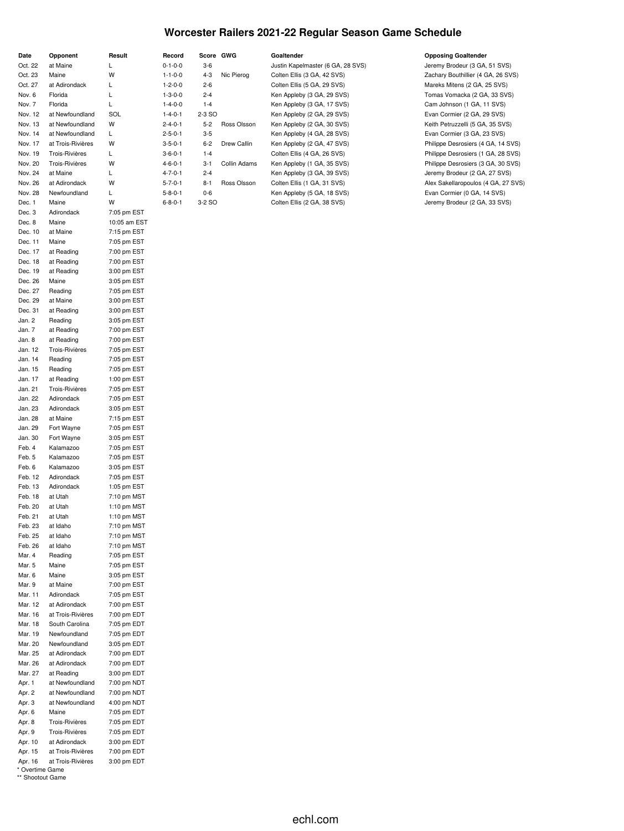# **Worcester Railers 2021-22 Regular Season Game Schedule**

| Date              | Opponent          | Result                      | Record          |         | Score GWG    | Goaltender                        | <b>Opposing Goaltender</b>          |
|-------------------|-------------------|-----------------------------|-----------------|---------|--------------|-----------------------------------|-------------------------------------|
| Oct. 22           | at Maine          | L                           | $0 - 1 - 0 - 0$ | $3-6$   |              | Justin Kapelmaster (6 GA, 28 SVS) | Jeremy Brodeur (3 GA, 51 SVS)       |
| Oct. 23           | Maine             | W                           | $1 - 1 - 0 - 0$ | $4 - 3$ | Nic Pierog   | Colten Ellis (3 GA, 42 SVS)       | Zachary Bouthillier (4 GA, 26 SVS)  |
| Oct. 27           | at Adirondack     | L                           | $1 - 2 - 0 - 0$ | $2 - 6$ |              | Colten Ellis (5 GA, 29 SVS)       | Mareks Mitens (2 GA, 25 SVS)        |
| Nov. 6            | Florida           | L                           | $1 - 3 - 0 - 0$ | $2 - 4$ |              | Ken Appleby (3 GA, 29 SVS)        | Tomas Vomacka (2 GA, 33 SVS)        |
| Nov. 7            | Florida           | Г                           | $1 - 4 - 0 - 0$ | $1 - 4$ |              | Ken Appleby (3 GA, 17 SVS)        | Cam Johnson (1 GA, 11 SVS)          |
| Nov. 12           | at Newfoundland   | SOL                         | $1 - 4 - 0 - 1$ | 2-3 SO  |              | Ken Appleby (2 GA, 29 SVS)        | Evan Cormier (2 GA, 29 SVS)         |
| Nov. 13           | at Newfoundland   | W                           | $2 - 4 - 0 - 1$ | $5-2$   | Ross Olsson  | Ken Appleby (2 GA, 30 SVS)        | Keith Petruzzelli (5 GA, 35 SVS)    |
| Nov. 14           | at Newfoundland   | L                           | $2 - 5 - 0 - 1$ | $3 - 5$ |              | Ken Appleby (4 GA, 28 SVS)        | Evan Cormier (3 GA, 23 SVS)         |
| Nov. 17           | at Trois-Rivières | W                           | $3 - 5 - 0 - 1$ | $6 - 2$ | Drew Callin  | Ken Appleby (2 GA, 47 SVS)        | Philippe Desrosiers (4 GA, 14 SVS)  |
| Nov. 19           | Trois-Rivières    | L                           | $3 - 6 - 0 - 1$ | $1 - 4$ |              | Colten Ellis (4 GA, 26 SVS)       | Philippe Desrosiers (1 GA, 28 SVS)  |
| Nov. 20           | Trois-Rivières    | W                           | $4 - 6 - 0 - 1$ | $3-1$   | Collin Adams | Ken Appleby (1 GA, 35 SVS)        | Philippe Desrosiers (3 GA, 30 SVS)  |
| Nov. 24           | at Maine          | L                           | $4 - 7 - 0 - 1$ | $2 - 4$ |              | Ken Appleby (3 GA, 39 SVS)        | Jeremy Brodeur (2 GA, 27 SVS)       |
| Nov. 26           | at Adirondack     | W                           | $5 - 7 - 0 - 1$ | $8 - 1$ | Ross Olsson  | Colten Ellis (1 GA, 31 SVS)       | Alex Sakellaropoulos (4 GA, 27 SVS) |
| Nov. 28           | Newfoundland      | L                           | $5 - 8 - 0 - 1$ | $0 - 6$ |              | Ken Appleby (5 GA, 18 SVS)        | Evan Cormier (0 GA, 14 SVS)         |
| Dec. 1            | Maine             | W                           | $6 - 8 - 0 - 1$ | 3-2 SO  |              | Colten Ellis (2 GA, 38 SVS)       | Jeremy Brodeur (2 GA, 33 SVS)       |
| Dec. 3            | Adirondack        | 7:05 pm EST                 |                 |         |              |                                   |                                     |
| Dec. 8<br>Dec. 10 | Maine<br>at Maine | 10:05 am EST<br>7:15 pm EST |                 |         |              |                                   |                                     |
| Dec. 11           | Maine             | 7:05 pm EST                 |                 |         |              |                                   |                                     |
| Dec. 17           | at Reading        | 7:00 pm EST                 |                 |         |              |                                   |                                     |
| Dec. 18           | at Reading        | 7:00 pm EST                 |                 |         |              |                                   |                                     |
| Dec. 19           | at Reading        | 3:00 pm EST                 |                 |         |              |                                   |                                     |
| Dec. 26           | Maine             | 3:05 pm EST                 |                 |         |              |                                   |                                     |
| Dec. 27           | Reading           | 7:05 pm EST                 |                 |         |              |                                   |                                     |
| Dec. 29           | at Maine          | 3:00 pm EST                 |                 |         |              |                                   |                                     |
| Dec. 31           | at Reading        | 3:00 pm EST                 |                 |         |              |                                   |                                     |
| Jan. 2            | Reading           | 3:05 pm EST                 |                 |         |              |                                   |                                     |
| Jan. 7            | at Reading        | 7:00 pm EST                 |                 |         |              |                                   |                                     |
| Jan. 8            | at Reading        | 7:00 pm EST                 |                 |         |              |                                   |                                     |
| Jan. 12           | Trois-Rivières    | 7:05 pm EST                 |                 |         |              |                                   |                                     |
| Jan. 14           | Reading           | 7:05 pm EST                 |                 |         |              |                                   |                                     |
| Jan. 15           | Reading           | 7:05 pm EST                 |                 |         |              |                                   |                                     |
| Jan. 17           | at Reading        | 1:00 pm EST                 |                 |         |              |                                   |                                     |
| Jan. 21           | Trois-Rivières    | 7:05 pm EST                 |                 |         |              |                                   |                                     |
| Jan. 22           | Adirondack        | 7:05 pm EST                 |                 |         |              |                                   |                                     |
| Jan. 23           | Adirondack        | 3:05 pm EST                 |                 |         |              |                                   |                                     |
| Jan. 28           | at Maine          | 7:15 pm EST                 |                 |         |              |                                   |                                     |
| Jan. 29           | Fort Wayne        | 7:05 pm EST                 |                 |         |              |                                   |                                     |
| Jan. 30           | Fort Wayne        | 3:05 pm EST                 |                 |         |              |                                   |                                     |
| Feb. 4            | Kalamazoo         | 7:05 pm EST                 |                 |         |              |                                   |                                     |
| Feb. 5            | Kalamazoo         | 7:05 pm EST                 |                 |         |              |                                   |                                     |
| Feb. 6            | Kalamazoo         | 3:05 pm EST                 |                 |         |              |                                   |                                     |
| Feb. 12           | Adirondack        | 7:05 pm EST                 |                 |         |              |                                   |                                     |
| Feb. 13           | Adirondack        | 1:05 pm EST                 |                 |         |              |                                   |                                     |
| Feb. 18           | at Utah           | 7:10 pm MST                 |                 |         |              |                                   |                                     |
| Feb. 20           | at Utah           | 1:10 pm MST                 |                 |         |              |                                   |                                     |
| Feb. 21           | at Utah           | 1:10 pm $MST$               |                 |         |              |                                   |                                     |
| Feb. 23           | at Idaho          | 7:10 pm MST                 |                 |         |              |                                   |                                     |
| Feb. 25           | at Idaho          | 7:10 pm MST                 |                 |         |              |                                   |                                     |
| Feb. 26           | at Idaho          | 7:10 pm MST                 |                 |         |              |                                   |                                     |
| Mar. 4            | Reading           | 7:05 pm EST                 |                 |         |              |                                   |                                     |
| Mar. 5<br>Mar. 6  | Maine<br>Maine    | 7:05 pm EST<br>3:05 pm EST  |                 |         |              |                                   |                                     |
| Mar. 9            | at Maine          | 7:00 pm EST                 |                 |         |              |                                   |                                     |
| Mar. 11           | Adirondack        | 7:05 pm EST                 |                 |         |              |                                   |                                     |
| Mar. 12           | at Adirondack     | 7:00 pm EST                 |                 |         |              |                                   |                                     |
| Mar. 16           | at Trois-Rivières | 7:00 pm EDT                 |                 |         |              |                                   |                                     |
| Mar. 18           | South Carolina    | 7:05 pm EDT                 |                 |         |              |                                   |                                     |
| Mar. 19           | Newfoundland      | 7:05 pm EDT                 |                 |         |              |                                   |                                     |
| Mar. 20           | Newfoundland      | 3:05 pm EDT                 |                 |         |              |                                   |                                     |
| Mar. 25           | at Adirondack     | 7:00 pm EDT                 |                 |         |              |                                   |                                     |
| Mar. 26           | at Adirondack     | 7:00 pm EDT                 |                 |         |              |                                   |                                     |
| Mar. 27           | at Reading        | 3:00 pm EDT                 |                 |         |              |                                   |                                     |
| Apr. 1            | at Newfoundland   | 7:00 pm NDT                 |                 |         |              |                                   |                                     |
| Apr. 2            | at Newfoundland   | 7:00 pm NDT                 |                 |         |              |                                   |                                     |
| Apr. 3            | at Newfoundland   | 4:00 pm NDT                 |                 |         |              |                                   |                                     |
| Apr. 6            | Maine             | 7:05 pm EDT                 |                 |         |              |                                   |                                     |
| Apr. 8            | Trois-Rivières    | 7:05 pm EDT                 |                 |         |              |                                   |                                     |
| Apr. 9            | Trois-Rivières    | 7:05 pm EDT                 |                 |         |              |                                   |                                     |
| Apr. 10           | at Adirondack     | 3:00 pm EDT                 |                 |         |              |                                   |                                     |
| Apr. 15           | at Trois-Rivières | 7:00 pm EDT                 |                 |         |              |                                   |                                     |

Apr. 16 at Trois-Rivières 3:00 pm EDT

\* Overtime Game \*\* Shootout Game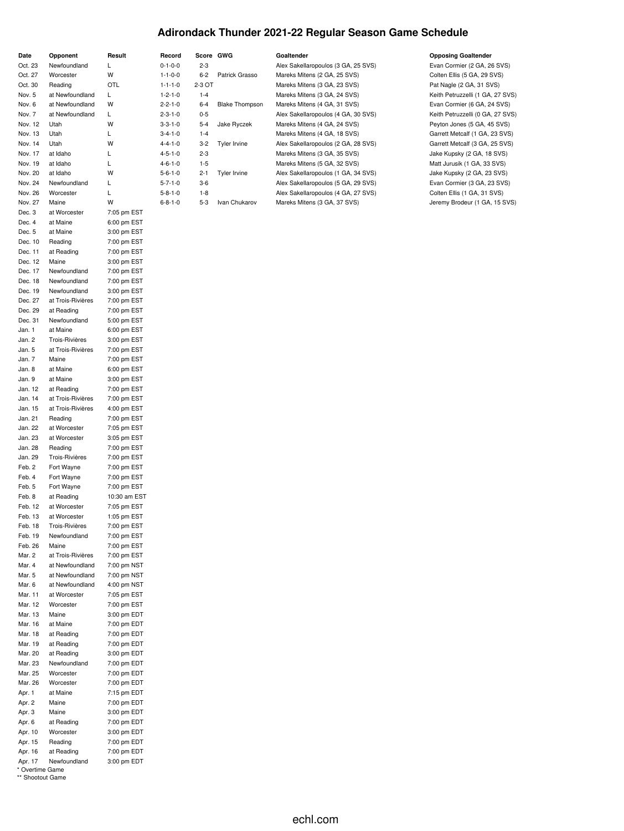# **Adirondack Thunder 2021-22 Regular Season Game Schedule**

| Date               | Opponent                       | Result                     | Record                             | Score GWG        |                       | Goaltender                                                          | <b>Opposing Goaltender</b>                                   |
|--------------------|--------------------------------|----------------------------|------------------------------------|------------------|-----------------------|---------------------------------------------------------------------|--------------------------------------------------------------|
| Oct. 23            | Newfoundland                   | Г                          | $0 - 1 - 0 - 0$                    | $2 - 3$          |                       | Alex Sakellaropoulos (3 GA, 25 SVS)                                 | Evan Cormier (2 GA, 26 SVS)                                  |
| Oct. 27            | Worcester                      | W                          | $1 - 1 - 0 - 0$                    | $6 - 2$          | Patrick Grasso        | Mareks Mitens (2 GA, 25 SVS)                                        | Colten Ellis (5 GA, 29 SVS)                                  |
| Oct. 30            | Reading                        | OTL                        | $1 - 1 - 1 - 0$                    | 2-3 OT           |                       | Mareks Mitens (3 GA, 23 SVS)                                        | Pat Nagle (2 GA, 31 SVS)                                     |
| Nov. 5             | at Newfoundland                | L                          | $1 - 2 - 1 - 0$                    | $1 - 4$          |                       | Mareks Mitens (3 GA, 24 SVS)                                        | Keith Petruzzelli (1 GA, 27 SVS)                             |
| Nov. 6             | at Newfoundland                | W                          | $2 - 2 - 1 - 0$                    | $6 - 4$          | <b>Blake Thompson</b> | Mareks Mitens (4 GA, 31 SVS)                                        | Evan Cormier (6 GA, 24 SVS)                                  |
| Nov. 7             | at Newfoundland                | L                          | $2 - 3 - 1 - 0$                    | $0 - 5$          |                       | Alex Sakellaropoulos (4 GA, 30 SVS)                                 | Keith Petruzzelli (0 GA, 27 SVS)                             |
| Nov. 12            | Utah                           | W                          | $3 - 3 - 1 - 0$                    | $5 - 4$          | Jake Ryczek           | Mareks Mitens (4 GA, 24 SVS)                                        | Peyton Jones (5 GA, 45 SVS)                                  |
| Nov. 13            | Utah                           | Г                          | $3 - 4 - 1 - 0$                    | $1 - 4$          |                       | Mareks Mitens (4 GA, 18 SVS)                                        | Garrett Metcalf (1 GA, 23 SVS)                               |
| Nov. 14            | Utah                           | W                          | $4 - 4 - 1 - 0$                    | $3 - 2$          | <b>Tyler Irvine</b>   | Alex Sakellaropoulos (2 GA, 28 SVS)                                 | Garrett Metcalf (3 GA, 25 SVS)                               |
| Nov. 17            | at Idaho                       | L                          | $4 - 5 - 1 - 0$                    | $2 - 3$          |                       | Mareks Mitens (3 GA, 35 SVS)                                        | Jake Kupsky (2 GA, 18 SVS)                                   |
| Nov. 19            | at Idaho                       | L                          | $4 - 6 - 1 - 0$                    | $1 - 5$          |                       | Mareks Mitens (5 GA, 32 SVS)                                        | Matt Jurusik (1 GA, 33 SVS)                                  |
| Nov. 20            | at Idaho                       | W                          | $5 - 6 - 1 - 0$                    | $2 - 1$          | <b>Tyler Irvine</b>   | Alex Sakellaropoulos (1 GA, 34 SVS)                                 | Jake Kupsky (2 GA, 23 SVS)                                   |
| Nov. 24            | Newfoundland                   | L<br>Г                     | $5 - 7 - 1 - 0$                    | $3-6$            |                       | Alex Sakellaropoulos (5 GA, 29 SVS)                                 | Evan Cormier (3 GA, 23 SVS)                                  |
| Nov. 26<br>Nov. 27 | Worcester<br>Maine             | W                          | $5 - 8 - 1 - 0$<br>$6 - 8 - 1 - 0$ | $1 - 8$<br>$5-3$ | Ivan Chukarov         | Alex Sakellaropoulos (4 GA, 27 SVS)<br>Mareks Mitens (3 GA, 37 SVS) | Colten Ellis (1 GA, 31 SVS)<br>Jeremy Brodeur (1 GA, 15 SVS) |
| Dec. 3             | at Worcester                   | 7:05 pm EST                |                                    |                  |                       |                                                                     |                                                              |
| Dec. 4             | at Maine                       | 6:00 pm EST                |                                    |                  |                       |                                                                     |                                                              |
| Dec. 5             | at Maine                       | 3:00 pm EST                |                                    |                  |                       |                                                                     |                                                              |
| Dec. 10            | Reading                        | 7:00 pm EST                |                                    |                  |                       |                                                                     |                                                              |
| Dec. 11            | at Reading                     | 7:00 pm EST                |                                    |                  |                       |                                                                     |                                                              |
| Dec. 12            | Maine                          | 3:00 pm EST                |                                    |                  |                       |                                                                     |                                                              |
| Dec. 17            | Newfoundland                   | 7:00 pm EST                |                                    |                  |                       |                                                                     |                                                              |
| Dec. 18            | Newfoundland                   | 7:00 pm EST                |                                    |                  |                       |                                                                     |                                                              |
| Dec. 19            | Newfoundland                   | 3:00 pm EST                |                                    |                  |                       |                                                                     |                                                              |
| Dec. 27            | at Trois-Rivières              | 7:00 pm EST                |                                    |                  |                       |                                                                     |                                                              |
| Dec. 29            | at Reading                     | 7:00 pm EST                |                                    |                  |                       |                                                                     |                                                              |
| Dec. 31            | Newfoundland                   | 5:00 pm EST                |                                    |                  |                       |                                                                     |                                                              |
| Jan. 1             | at Maine                       | 6:00 pm EST                |                                    |                  |                       |                                                                     |                                                              |
| Jan. 2             | Trois-Rivières                 | 3:00 pm EST                |                                    |                  |                       |                                                                     |                                                              |
| Jan. 5<br>Jan. 7   | at Trois-Rivières              | 7:00 pm EST                |                                    |                  |                       |                                                                     |                                                              |
| Jan. 8             | Maine<br>at Maine              | 7:00 pm EST<br>6:00 pm EST |                                    |                  |                       |                                                                     |                                                              |
| Jan. 9             | at Maine                       | 3:00 pm EST                |                                    |                  |                       |                                                                     |                                                              |
| Jan. 12            | at Reading                     | 7:00 pm EST                |                                    |                  |                       |                                                                     |                                                              |
| Jan. 14            | at Trois-Rivières              | 7:00 pm EST                |                                    |                  |                       |                                                                     |                                                              |
| Jan. 15            | at Trois-Rivières              | 4:00 pm EST                |                                    |                  |                       |                                                                     |                                                              |
| Jan. 21            | Reading                        | 7:00 pm EST                |                                    |                  |                       |                                                                     |                                                              |
| Jan. 22            | at Worcester                   | 7:05 pm EST                |                                    |                  |                       |                                                                     |                                                              |
| Jan. 23            | at Worcester                   | 3:05 pm EST                |                                    |                  |                       |                                                                     |                                                              |
| Jan. 28            | Reading                        | 7:00 pm EST                |                                    |                  |                       |                                                                     |                                                              |
| Jan. 29            | Trois-Rivières                 | 7:00 pm EST                |                                    |                  |                       |                                                                     |                                                              |
| Feb. 2             | Fort Wayne                     | 7:00 pm EST                |                                    |                  |                       |                                                                     |                                                              |
| Feb. 4             | Fort Wayne                     | 7:00 pm EST                |                                    |                  |                       |                                                                     |                                                              |
| Feb. 5             | Fort Wayne                     | 7:00 pm EST                |                                    |                  |                       |                                                                     |                                                              |
| Feb. 8             | at Reading                     | 10:30 am EST               |                                    |                  |                       |                                                                     |                                                              |
| Feb. 12            | at Worcester                   | 7:05 pm EST                |                                    |                  |                       |                                                                     |                                                              |
| Feb. 13            | at Worcester<br>Trois-Rivières | 1:05 pm EST                |                                    |                  |                       |                                                                     |                                                              |
| Feb. 18<br>Feb. 19 | Newfoundland                   | 7:00 pm EST<br>7:00 pm EST |                                    |                  |                       |                                                                     |                                                              |
| Feb. 26            | Maine                          | 7:00 pm EST                |                                    |                  |                       |                                                                     |                                                              |
| Mar. 2             | at Trois-Rivières              | 7:00 pm EST                |                                    |                  |                       |                                                                     |                                                              |
| Mar. 4             | at Newfoundland                | 7:00 pm NST                |                                    |                  |                       |                                                                     |                                                              |
| Mar. 5             | at Newfoundland                | 7:00 pm NST                |                                    |                  |                       |                                                                     |                                                              |
| Mar. 6             | at Newfoundland                | 4:00 pm NST                |                                    |                  |                       |                                                                     |                                                              |
| Mar. 11            | at Worcester                   | 7:05 pm EST                |                                    |                  |                       |                                                                     |                                                              |
| Mar. 12            | Worcester                      | 7:00 pm EST                |                                    |                  |                       |                                                                     |                                                              |
| Mar. 13            | Maine                          | 3:00 pm EDT                |                                    |                  |                       |                                                                     |                                                              |
| Mar. 16            | at Maine                       | 7:00 pm EDT                |                                    |                  |                       |                                                                     |                                                              |
| Mar. 18            | at Reading                     | 7:00 pm EDT                |                                    |                  |                       |                                                                     |                                                              |
| Mar. 19            | at Reading                     | 7:00 pm EDT                |                                    |                  |                       |                                                                     |                                                              |
| Mar. 20            | at Reading                     | 3:00 pm EDT                |                                    |                  |                       |                                                                     |                                                              |
| Mar. 23            | Newfoundland                   | 7:00 pm EDT                |                                    |                  |                       |                                                                     |                                                              |
| Mar. 25            | Worcester                      | 7:00 pm EDT<br>7:00 pm EDT |                                    |                  |                       |                                                                     |                                                              |
| Mar. 26<br>Apr. 1  | Worcester<br>at Maine          | 7:15 pm EDT                |                                    |                  |                       |                                                                     |                                                              |
| Apr. 2             | Maine                          | 7:00 pm EDT                |                                    |                  |                       |                                                                     |                                                              |
| Apr. 3             | Maine                          | 3:00 pm EDT                |                                    |                  |                       |                                                                     |                                                              |
| Apr. 6             | at Reading                     | 7:00 pm EDT                |                                    |                  |                       |                                                                     |                                                              |
| Apr. 10            | Worcester                      | 3:00 pm EDT                |                                    |                  |                       |                                                                     |                                                              |
| Apr. 15            | Reading                        | 7:00 pm EDT                |                                    |                  |                       |                                                                     |                                                              |
| Apr. 16            | at Reading                     | 7:00 pm EDT                |                                    |                  |                       |                                                                     |                                                              |
| Apr. 17            | Newfoundland                   | 3:00 pm EDT                |                                    |                  |                       |                                                                     |                                                              |

\* Overtime Game \*\* Shootout Game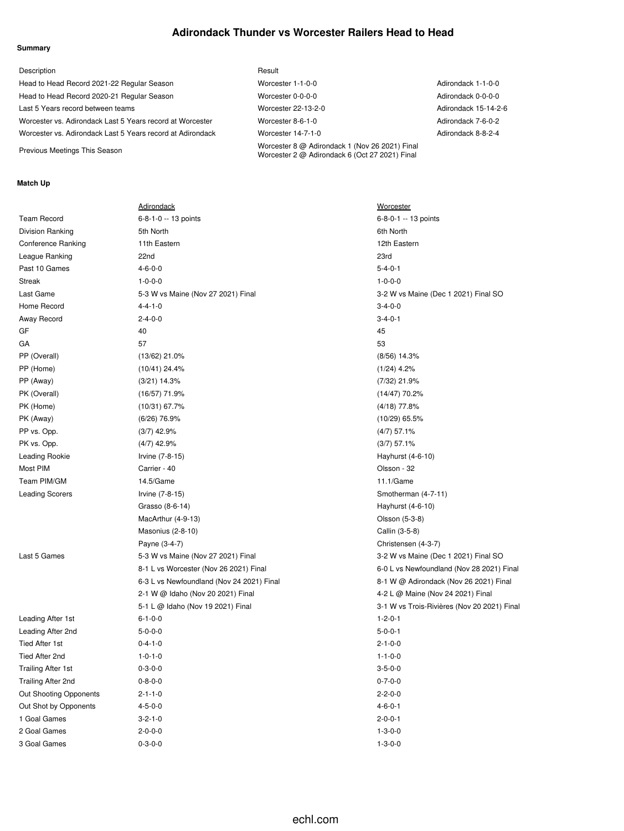### **Adirondack Thunder vs Worcester Railers Head to Head**

#### **Summary**

| Description                                                | Result                                                                                           |                      |
|------------------------------------------------------------|--------------------------------------------------------------------------------------------------|----------------------|
| Head to Head Record 2021-22 Regular Season                 | Worcester 1-1-0-0                                                                                | Adirondack 1-1-0-0   |
| Head to Head Record 2020-21 Regular Season                 | Worcester 0-0-0-0                                                                                | Adirondack 0-0-0-0   |
| Last 5 Years record between teams                          | Worcester 22-13-2-0                                                                              | Adirondack 15-14-2-6 |
| Worcester vs. Adirondack Last 5 Years record at Worcester  | Worcester 8-6-1-0                                                                                | Adirondack 7-6-0-2   |
| Worcester vs. Adirondack Last 5 Years record at Adirondack | Worcester 14-7-1-0                                                                               | Adirondack 8-8-2-4   |
| Previous Meetings This Season                              | Worcester 8 @ Adirondack 1 (Nov 26 2021) Final<br>Worcester 2 @ Adirondack 6 (Oct 27 2021) Final |                      |

#### **Match Up**

|                           | <b>Adirondack</b>                         | <b>Worcester</b>                            |
|---------------------------|-------------------------------------------|---------------------------------------------|
| <b>Team Record</b>        | 6-8-1-0 -- 13 points                      | 6-8-0-1 -- 13 points                        |
| Division Ranking          | 5th North                                 | 6th North                                   |
| Conference Ranking        | 11th Eastern                              | 12th Eastern                                |
| League Ranking            | 22nd                                      | 23rd                                        |
| Past 10 Games             | $4 - 6 - 0 - 0$                           | $5 - 4 - 0 - 1$                             |
| <b>Streak</b>             | $1 - 0 - 0 - 0$                           | $1 - 0 - 0 - 0$                             |
| Last Game                 | 5-3 W vs Maine (Nov 27 2021) Final        | 3-2 W vs Maine (Dec 1 2021) Final SO        |
| Home Record               | $4 - 4 - 1 - 0$                           | $3 - 4 - 0 - 0$                             |
| Away Record               | $2 - 4 - 0 - 0$                           | $3 - 4 - 0 - 1$                             |
| GF                        | 40                                        | 45                                          |
| GA                        | 57                                        | 53                                          |
| PP (Overall)              | $(13/62)$ 21.0%                           | $(8/56)$ 14.3%                              |
| PP (Home)                 | $(10/41)$ 24.4%                           | $(1/24)$ 4.2%                               |
| PP (Away)                 | $(3/21)$ 14.3%                            | $(7/32)$ 21.9%                              |
| PK (Overall)              | $(16/57)$ 71.9%                           | $(14/47)$ 70.2%                             |
| PK (Home)                 | $(10/31)$ 67.7%                           | $(4/18)$ 77.8%                              |
| PK (Away)                 | $(6/26)$ 76.9%                            | $(10/29)$ 65.5%                             |
| PP vs. Opp.               | $(3/7)$ 42.9%                             | $(4/7)$ 57.1%                               |
| PK vs. Opp.               | $(4/7)$ 42.9%                             | $(3/7)$ 57.1%                               |
| <b>Leading Rookie</b>     | Irvine (7-8-15)                           | Hayhurst (4-6-10)                           |
| Most PIM                  | Carrier - 40                              | Olsson - 32                                 |
| Team PIM/GM               | 14.5/Game                                 | 11.1/Game                                   |
| <b>Leading Scorers</b>    | Irvine (7-8-15)                           | Smotherman (4-7-11)                         |
|                           | Grasso (8-6-14)                           | Hayhurst (4-6-10)                           |
|                           | MacArthur (4-9-13)                        | Olsson (5-3-8)                              |
|                           | <b>Masonius (2-8-10)</b>                  | Callin (3-5-8)                              |
|                           | Payne (3-4-7)                             | Christensen (4-3-7)                         |
| Last 5 Games              | 5-3 W vs Maine (Nov 27 2021) Final        | 3-2 W vs Maine (Dec 1 2021) Final SO        |
|                           | 8-1 L vs Worcester (Nov 26 2021) Final    | 6-0 L vs Newfoundland (Nov 28 2021) Final   |
|                           | 6-3 L vs Newfoundland (Nov 24 2021) Final | 8-1 W @ Adirondack (Nov 26 2021) Final      |
|                           | 2-1 W @ Idaho (Nov 20 2021) Final         | 4-2 L @ Maine (Nov 24 2021) Final           |
|                           | 5-1 L @ Idaho (Nov 19 2021) Final         | 3-1 W vs Trois-Rivières (Nov 20 2021) Final |
| Leading After 1st         | $6 - 1 - 0 - 0$                           | $1 - 2 - 0 - 1$                             |
| Leading After 2nd         | $5 - 0 - 0 - 0$                           | $5 - 0 - 0 - 1$                             |
| Tied After 1st            | $0 - 4 - 1 - 0$                           | $2 - 1 - 0 - 0$                             |
| Tied After 2nd            | $1 - 0 - 1 - 0$                           | $1 - 1 - 0 - 0$                             |
| <b>Trailing After 1st</b> | $0 - 3 - 0 - 0$                           | $3 - 5 - 0 - 0$                             |
| <b>Trailing After 2nd</b> | $0 - 8 - 0 - 0$                           | $0 - 7 - 0 - 0$                             |
| Out Shooting Opponents    | $2 - 1 - 1 - 0$                           | $2 - 2 - 0 - 0$                             |
| Out Shot by Opponents     | $4 - 5 - 0 - 0$                           | $4 - 6 - 0 - 1$                             |
| 1 Goal Games              | $3 - 2 - 1 - 0$                           | $2 - 0 - 0 - 1$                             |
| 2 Goal Games              | $2 - 0 - 0 - 0$                           | $1 - 3 - 0 - 0$                             |
| 3 Goal Games              | $0 - 3 - 0 - 0$                           | $1 - 3 - 0 - 0$                             |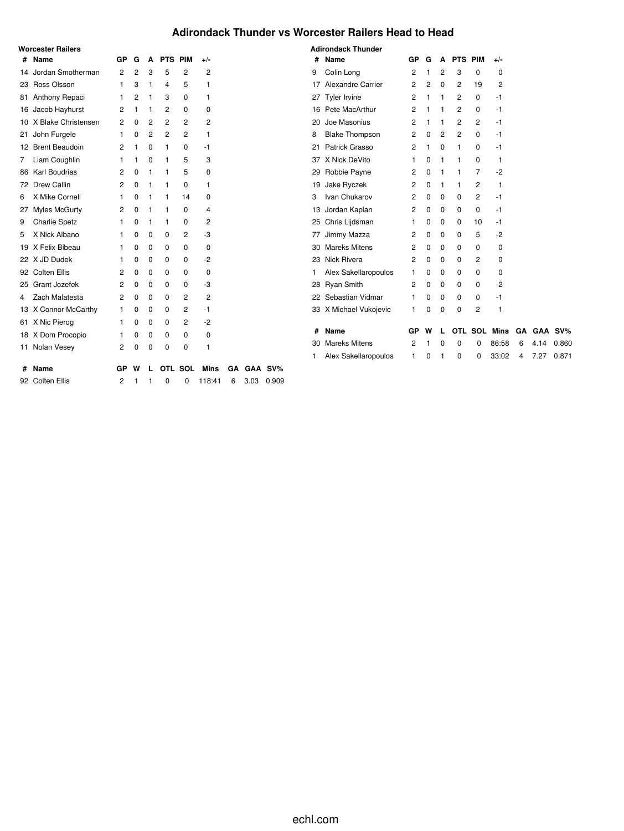### **Adirondack Thunder vs Worcester Railers Head to Head**

|   | Worcester Railers      |    |   |             |         |             |              |           |      |         |    | <b>Adirondack Thunder</b> |    |             |             |                |    |                     |   |      |       |
|---|------------------------|----|---|-------------|---------|-------------|--------------|-----------|------|---------|----|---------------------------|----|-------------|-------------|----------------|----|---------------------|---|------|-------|
|   | # Name                 | GP | G | A           | PTS PIM |             | $+/-$        |           |      |         | #  | Name                      | GP | G           | A           | <b>PTS PIM</b> |    | $+/-$               |   |      |       |
|   | 14 Jordan Smotherman   | 2  | 2 | 3           | 5       | 2           | 2            |           |      |         | 9  | Colin Long                | 2  |             | 2           | 3              | 0  | 0                   |   |      |       |
|   | 23 Ross Olsson         |    | 3 |             | 4       | 5           | 1            |           |      |         |    | 17 Alexandre Carrier      | 2  | 2           | $\mathbf 0$ | 2              | 19 | 2                   |   |      |       |
|   | 81 Anthony Repaci      |    | 2 |             | 3       | 0           | 1            |           |      |         |    | 27 Tyler Irvine           | 2  |             | -1          | 2              | 0  | -1                  |   |      |       |
|   | 16 Jacob Hayhurst      | 2  |   |             | 2       | 0           | 0            |           |      |         |    | 16 Pete MacArthur         | 2  |             |             | 2              | 0  | -1                  |   |      |       |
|   | 10 X Blake Christensen | 2  | 0 | 2           | 2       | 2           | 2            |           |      |         |    | 20 Joe Masonius           | 2  |             |             | 2              | 2  | -1                  |   |      |       |
|   | 21 John Furgele        |    | 0 | 2           | 2       | 2           |              |           |      |         | 8  | <b>Blake Thompson</b>     | 2  | $\Omega$    | 2           | 2              | 0  | -1                  |   |      |       |
|   | 12 Brent Beaudoin      | 2  |   | 0           |         | 0           | -1           |           |      |         | 21 | Patrick Grasso            | 2  |             | 0           |                | 0  | -1                  |   |      |       |
|   | 7 Liam Coughlin        |    |   | $\Omega$    |         | 5           | 3            |           |      |         |    | 37 X Nick DeVito          |    | $\Omega$    |             |                | 0  | 1                   |   |      |       |
|   | 86 Karl Boudrias       | 2  |   |             |         | 5           | 0            |           |      |         |    | 29 Robbie Payne           | 2  | 0           |             |                | 7  | -2                  |   |      |       |
|   | 72 Drew Callin         | 2  |   |             |         | 0           | 1            |           |      |         |    | 19 Jake Ryczek            | 2  | 0           |             |                | 2  | 1                   |   |      |       |
| 6 | X Mike Cornell         |    |   |             |         | 14          | 0            |           |      |         | 3  | Ivan Chukarov             | 2  | $\Omega$    | $\Omega$    | $\Omega$       | 2  | -1                  |   |      |       |
|   | 27 Myles McGurty       | 2  | 0 |             |         | 0           | 4            |           |      |         |    | 13 Jordan Kaplan          | 2  | 0           | 0           | 0              | 0  | -1                  |   |      |       |
| 9 | <b>Charlie Spetz</b>   |    | 0 |             |         | 0           | 2            |           |      |         |    | 25 Chris Lijdsman         |    | 0           | 0           | 0              | 10 | -1                  |   |      |       |
| 5 | X Nick Albano          |    |   | 0           | 0       | 2           | -3           |           |      |         |    | 77 Jimmy Mazza            | 2  | 0           | 0           | 0              | 5  | $-2$                |   |      |       |
|   | 19 X Felix Bibeau      |    | 0 | 0           | 0       | 0           | 0            |           |      |         |    | 30 Mareks Mitens          | 2  | 0           | 0           | 0              | 0  | 0                   |   |      |       |
|   | 22 X JD Dudek          |    | 0 | 0           | 0       | 0           | $-2$         |           |      |         |    | 23 Nick Rivera            | 2  | $\mathbf 0$ | $\Omega$    | 0              | 2  | 0                   |   |      |       |
|   | 92 Colten Ellis        | 2  | 0 | 0           | 0       | 0           | 0            |           |      |         |    | Alex Sakellaropoulos      |    | 0           | 0           | 0              | 0  | 0                   |   |      |       |
|   | 25 Grant Jozefek       | 2  | 0 | 0           | 0       | 0           | -3           |           |      |         |    | 28 Ryan Smith             | 2  | $\Omega$    | 0           | 0              | 0  | -2                  |   |      |       |
|   | 4 Zach Malatesta       | 2  | 0 | 0           | 0       | 2           | 2            |           |      |         |    | 22 Sebastian Vidmar       |    | 0           | 0           | 0              | 0  | -1                  |   |      |       |
|   | 13 X Connor McCarthy   |    | 0 | 0           | 0       | 2           | -1           |           |      |         |    | 33 X Michael Vukojevic    | 1  | 0           | 0           | 0              | 2  | 1                   |   |      |       |
|   | 61 X Nic Pierog        |    | 0 | $\mathbf 0$ | 0       | 2           | $-2$         |           |      |         |    |                           |    |             |             |                |    |                     |   |      |       |
|   | 18 X Dom Procopio      |    | 0 | 0           | 0       | $\mathbf 0$ | 0            |           |      |         | #  | <b>Name</b>               | GP | W           | L           | <b>OTL</b>     |    | SOL Mins GA GAA SV% |   |      |       |
|   | 11 Nolan Vesey         | 2  | 0 | 0           | 0       | 0           | $\mathbf{1}$ |           |      |         |    | 30 Mareks Mitens          | 2  |             | 0           | 0              | 0  | 86:58               | 6 | 4.14 | 0.860 |
|   |                        |    |   |             |         |             |              |           |      |         |    | Alex Sakellaropoulos      |    | 0           |             | 0              | 0  | 33:02               | 4 | 7.27 | 0.871 |
| # | Name                   | GP | w |             |         | OTL SOL     | <b>Mins</b>  | <b>GA</b> |      | GAA SV% |    |                           |    |             |             |                |    |                     |   |      |       |
|   | 92 Colten Ellis        | 2  |   |             | 0       | 0           | 118:41       | 6         | 3.03 | 0.909   |    |                           |    |             |             |                |    |                     |   |      |       |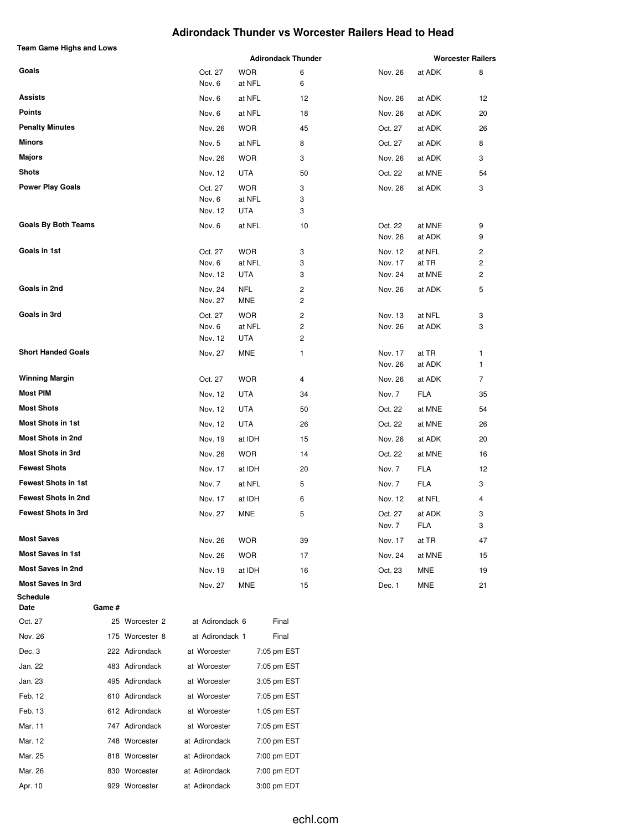#### **Adirondack Thunder vs Worcester Railers Head to Head**

| <b>Team Game Highs and Lows</b> |        |                 |                   |                      |                           |                    |                 |                          |
|---------------------------------|--------|-----------------|-------------------|----------------------|---------------------------|--------------------|-----------------|--------------------------|
|                                 |        |                 |                   |                      | <b>Adirondack Thunder</b> |                    |                 | <b>Worcester Railers</b> |
| Goals                           |        |                 | Oct. 27<br>Nov. 6 | <b>WOR</b><br>at NFL | 6<br>6                    | Nov. 26            | at ADK          | 8                        |
| Assists                         |        |                 | Nov. 6            | at NFL               | 12                        | Nov. 26            | at ADK          | 12                       |
| <b>Points</b>                   |        |                 | Nov. 6            | at NFL               | 18                        | Nov. 26            | at ADK          | 20                       |
| <b>Penalty Minutes</b>          |        |                 | Nov. 26           | <b>WOR</b>           | 45                        | Oct. 27            | at ADK          | 26                       |
| Minors                          |        |                 | Nov. 5            | at NFL               | 8                         | Oct. 27            | at ADK          | 8                        |
| <b>Majors</b>                   |        |                 | Nov. 26           | <b>WOR</b>           | 3                         | Nov. 26            | at ADK          | 3                        |
| <b>Shots</b>                    |        |                 | Nov. 12           | <b>UTA</b>           | 50                        | Oct. 22            | at MNE          | 54                       |
| <b>Power Play Goals</b>         |        |                 | Oct. 27           | <b>WOR</b>           | 3                         | Nov. 26            | at ADK          | 3                        |
|                                 |        |                 | Nov. 6            | at NFL               | 3                         |                    |                 |                          |
|                                 |        |                 | Nov. 12           | UTA                  | 3                         |                    |                 |                          |
| <b>Goals By Both Teams</b>      |        |                 | Nov. 6            | at NFL               | 10                        | Oct. 22            | at MNE          | 9                        |
|                                 |        |                 |                   |                      |                           | Nov. 26            | at ADK          | 9                        |
| Goals in 1st                    |        |                 | Oct. 27<br>Nov. 6 | <b>WOR</b><br>at NFL | 3<br>3                    | Nov. 12<br>Nov. 17 | at NFL<br>at TR | 2<br>2                   |
|                                 |        |                 | Nov. 12           | UTA                  | 3                         | Nov. 24            | at MNE          | 2                        |
| Goals in 2nd                    |        |                 | Nov. 24           | <b>NFL</b>           | 2                         | Nov. 26            | at ADK          | 5                        |
|                                 |        |                 | Nov. 27           | MNE                  | 2                         |                    |                 |                          |
| Goals in 3rd                    |        |                 | Oct. 27           | <b>WOR</b>           | 2                         | Nov. 13            | at NFL          | 3                        |
|                                 |        |                 | Nov. 6            | at NFL               | 2                         | Nov. 26            | at ADK          | 3                        |
| <b>Short Handed Goals</b>       |        |                 | Nov. 12           | UTA                  | 2                         |                    |                 |                          |
|                                 |        |                 | Nov. 27           | <b>MNE</b>           | 1                         | Nov. 17<br>Nov. 26 | at TR<br>at ADK | 1<br>1                   |
| <b>Winning Margin</b>           |        |                 | Oct. 27           | <b>WOR</b>           | 4                         | Nov. 26            | at ADK          | 7                        |
| <b>Most PIM</b>                 |        |                 | Nov. 12           | <b>UTA</b>           | 34                        | Nov. 7             | <b>FLA</b>      | 35                       |
| <b>Most Shots</b>               |        |                 | Nov. 12           | UTA                  | 50                        | Oct. 22            | at MNE          | 54                       |
| <b>Most Shots in 1st</b>        |        |                 | Nov. 12           | UTA                  | 26                        | Oct. 22            | at MNE          | 26                       |
| <b>Most Shots in 2nd</b>        |        |                 | Nov. 19           | at IDH               | 15                        | Nov. 26            | at ADK          | 20                       |
| <b>Most Shots in 3rd</b>        |        |                 | Nov. 26           | <b>WOR</b>           | 14                        | Oct. 22            | at MNE          | 16                       |
| <b>Fewest Shots</b>             |        |                 | Nov. 17           | at IDH               | 20                        | Nov. 7             | <b>FLA</b>      | 12                       |
| <b>Fewest Shots in 1st</b>      |        |                 | Nov. 7            | at NFL               | 5                         | Nov. 7             | <b>FLA</b>      | 3                        |
| <b>Fewest Shots in 2nd</b>      |        |                 | Nov. 17           | at IDH               | 6                         | Nov. 12            | at NFL          | 4                        |
| Fewest Shots in 3rd             |        |                 | Nov. 27           | <b>MNE</b>           | 5                         | Oct. 27            | at ADK          | 3                        |
|                                 |        |                 |                   |                      |                           | Nov. 7             | FLA             | 3                        |
| <b>Most Saves</b>               |        |                 | Nov. 26           | <b>WOR</b>           | 39                        | Nov. 17            | at TR           | 47                       |
| <b>Most Saves in 1st</b>        |        |                 | Nov. 26           | <b>WOR</b>           | 17                        | Nov. 24            | at MNE          | 15                       |
| <b>Most Saves in 2nd</b>        |        |                 | Nov. 19           | at IDH               | 16                        | Oct. 23            | MNE             | 19                       |
| <b>Most Saves in 3rd</b>        |        |                 | Nov. 27           | MNE                  | 15                        | Dec. 1             | MNE             | 21                       |
| Schedule                        |        |                 |                   |                      |                           |                    |                 |                          |
| Date<br>Oct. 27                 | Game # | 25 Worcester 2  | at Adirondack 6   |                      | Final                     |                    |                 |                          |
| Nov. 26                         |        | 175 Worcester 8 | at Adirondack 1   |                      | Final                     |                    |                 |                          |
| Dec. 3                          |        |                 |                   |                      |                           |                    |                 |                          |
|                                 |        | 222 Adirondack  | at Worcester      |                      | 7:05 pm EST               |                    |                 |                          |
| Jan. 22<br>Jan. 23              |        | 483 Adirondack  | at Worcester      |                      | 7:05 pm EST               |                    |                 |                          |
| Feb. 12                         |        | 495 Adirondack  | at Worcester      |                      | 3:05 pm EST               |                    |                 |                          |
|                                 |        | 610 Adirondack  | at Worcester      |                      | 7:05 pm EST               |                    |                 |                          |
| Feb. 13                         |        | 612 Adirondack  | at Worcester      |                      | 1:05 pm EST               |                    |                 |                          |
| Mar. 11                         |        | 747 Adirondack  | at Worcester      |                      | 7:05 pm EST               |                    |                 |                          |
| Mar. 12                         |        | 748 Worcester   | at Adirondack     |                      | 7:00 pm EST               |                    |                 |                          |
| Mar. 25                         |        | 818 Worcester   | at Adirondack     |                      | 7:00 pm EDT               |                    |                 |                          |
| Mar. 26                         |        | 830 Worcester   | at Adirondack     |                      | 7:00 pm EDT               |                    |                 |                          |
| Apr. 10                         |        | 929 Worcester   | at Adirondack     |                      | 3:00 pm EDT               |                    |                 |                          |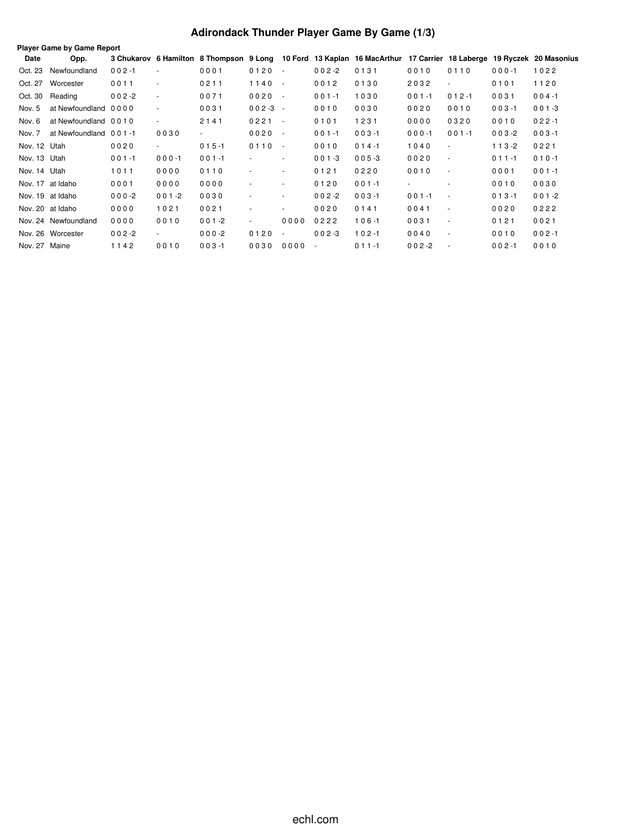# **Adirondack Thunder Player Game By Game (1/3)**

|               | Player Game by Game Report<br>3 Chukarov 6 Hamilton 8 Thompson 9 Long 10 Ford 13 Kaplan 16 MacArthur 17 Carrier 18 Laberge 19 Ryczek 20 Masonius |           |                          |           |                          |            |                          |           |           |                          |           |           |  |  |
|---------------|--------------------------------------------------------------------------------------------------------------------------------------------------|-----------|--------------------------|-----------|--------------------------|------------|--------------------------|-----------|-----------|--------------------------|-----------|-----------|--|--|
| Date          | Opp.                                                                                                                                             |           |                          |           |                          |            |                          |           |           |                          |           |           |  |  |
| Oct. 23       | Newfoundland                                                                                                                                     | $002 - 1$ | $\overline{\phantom{a}}$ | 0001      | 0120                     | $\sim$     | $002 - 2$                | 0131      | 0010      | 0110                     | $000 - 1$ | 1022      |  |  |
| Oct. 27       | Worcester                                                                                                                                        | 0011      | $\overline{\phantom{a}}$ | 0211      | 1140                     | $\sim$ $-$ | 0012                     | 0130      | 2032      | $\overline{\phantom{a}}$ | 0101      | 1120      |  |  |
| Oct. 30       | Reading                                                                                                                                          | $002 - 2$ | $\overline{\phantom{a}}$ | 0071      | 0020                     | $\sim$     | $001 - 1$                | 1030      | $001 - 1$ | $012 - 1$                | 0031      | $004 - 1$ |  |  |
| Nov. 5        | at Newfoundland 0000                                                                                                                             |           | $\overline{\phantom{a}}$ | 0031      | $002-3 -$                |            | 0010                     | 0030      | 0020      | 0010                     | $003 - 1$ | $001 - 3$ |  |  |
| Nov. 6        | at Newfoundland 0010                                                                                                                             |           | $\overline{\phantom{a}}$ | 2141      | $0221 -$                 |            | 0101                     | 1231      | 0000      | 0320                     | 0010      | $022 - 1$ |  |  |
| Nov. 7        | at Newfoundland 001-1                                                                                                                            |           | 0030                     | $\sim$    | 0020                     | $\sim$     | $001 - 1$                | $003 - 1$ | $000 - 1$ | $001 - 1$                | $003 - 2$ | $003 - 1$ |  |  |
| Nov. 12 Utah  |                                                                                                                                                  | 0020      | $\sim$                   | $015 - 1$ | 0110                     | $\sim$     | 0010                     | $014 - 1$ | 1040      | $\overline{\phantom{a}}$ | $113 - 2$ | 0221      |  |  |
| Nov. 13 Utah  |                                                                                                                                                  | $001 - 1$ | $000 - 1$                | $001 - 1$ | $\sim$                   | ٠          | $001 - 3$                | $005 - 3$ | 0020      | $\sim$                   | $011 - 1$ | $010 - 1$ |  |  |
| Nov. 14 Utah  |                                                                                                                                                  | 1011      | 0000                     | 0110      |                          | ٠          | 0121                     | 0220      | 0010      | $\sim$                   | 0001      | $001 - 1$ |  |  |
|               | Nov. 17 at Idaho                                                                                                                                 | 0001      | 0000                     | 0000      | $\sim$                   | $\sim$     | 0120                     | $001 - 1$ | $\sim$    | $\sim$                   | 0010      | 0030      |  |  |
|               | Nov. 19 at Idaho                                                                                                                                 | $000 - 2$ | $001 - 2$                | 0030      | ٠                        | $\sim$     | $002 - 2$                | $003 - 1$ | $001 - 1$ | $\overline{\phantom{a}}$ | $013 - 1$ | $001 - 2$ |  |  |
|               | Nov. 20 at Idaho                                                                                                                                 | 0000      | 1021                     | 0021      | ٠                        | $\sim$     | 0020                     | 0141      | 0041      | $\overline{\phantom{a}}$ | 0020      | 0222      |  |  |
|               | Nov. 24 Newfoundland                                                                                                                             | 0000      | 0010                     | $001 - 2$ | $\overline{\phantom{a}}$ | 0000       | 0222                     | $106 - 1$ | 0031      | $\overline{\phantom{a}}$ | 0121      | 0021      |  |  |
|               | Nov. 26 Worcester                                                                                                                                | $002 - 2$ | $\sim$                   | $000-2$   | 0120                     | ٠          | $002 - 3$                | $102 - 1$ | 0040      | $\overline{\phantom{a}}$ | 0010      | $002 - 1$ |  |  |
| Nov. 27 Maine |                                                                                                                                                  | 1142      | 0010                     | $003 - 1$ | 0030                     | 0000       | $\overline{\phantom{a}}$ | $011 - 1$ | $002 -2$  | $\sim$                   | $002 - 1$ | 0010      |  |  |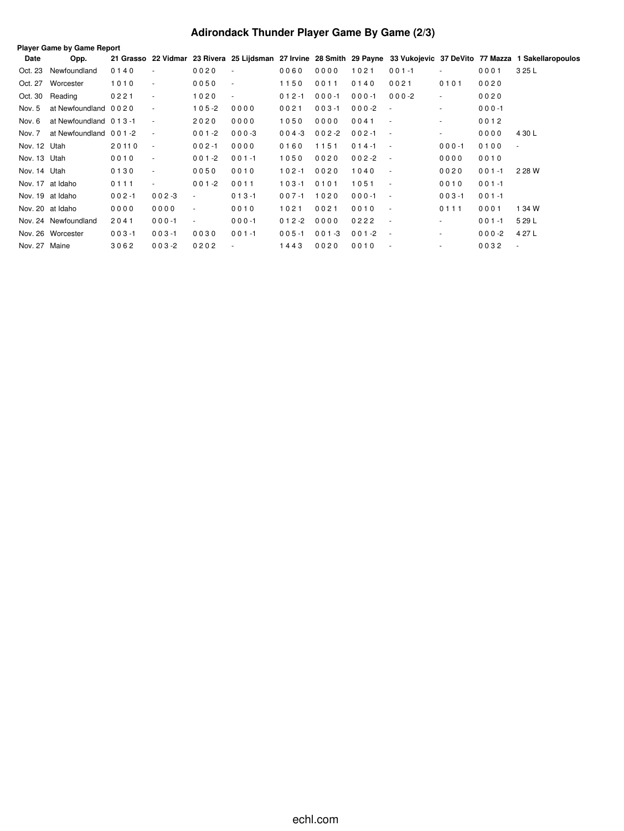# **Adirondack Thunder Player Game By Game (2/3)**

|               | Player Game by Game Report |           |                          |                          |                          |           |           |           |                          |           |           |                                                                                                                         |
|---------------|----------------------------|-----------|--------------------------|--------------------------|--------------------------|-----------|-----------|-----------|--------------------------|-----------|-----------|-------------------------------------------------------------------------------------------------------------------------|
| Date          | Opp.                       |           |                          |                          |                          |           |           |           |                          |           |           | 21 Grasso 22 Vidmar 23 Rivera 25 Lijdsman 27 Irvine 28 Smith 29 Payne 33 Vukojevic 37 DeVito 77 Mazza 1 Sakellaropoulos |
| Oct. 23       | Newfoundland               | 0140      | $\overline{\phantom{a}}$ | 0020                     | $\overline{\phantom{a}}$ | 0060      | 0000      | 1021      | $001 - 1$                | $\sim$    | 0001      | 3 25 L                                                                                                                  |
| Oct. 27       | Worcester                  | 1010      | $\overline{\phantom{a}}$ | 0050                     | $\overline{\phantom{a}}$ | 1150      | 0011      | 0140      | 0021                     | 0101      | 0020      |                                                                                                                         |
| Oct. 30       | Reading                    | 0221      | $\blacksquare$           | 1020                     | $\overline{\phantom{a}}$ | $012 - 1$ | $000 - 1$ | $000 - 1$ | $000 - 2$                | $\sim$    | 0020      |                                                                                                                         |
| Nov. 5        | at Newfoundland 0020       |           | $\overline{\phantom{a}}$ | $105 - 2$                | 0000                     | 0021      | $003 - 1$ | $000 - 2$ | $\sim$                   | $\sim$    | $000 - 1$ |                                                                                                                         |
| Nov. 6        | at Newfoundland 0 1 3 -1   |           | $\sim$                   | 2020                     | 0000                     | 1050      | 0000      | 0041      | $\overline{\phantom{a}}$ | $\sim$    | 0012      |                                                                                                                         |
| Nov. 7        | at Newfoundland 001-2      |           | $\sim$                   | $001 - 2$                | $000 - 3$                | $004 - 3$ | $002 - 2$ | $002 - 1$ | $\sim$                   | $\sim$    | 0000      | 4 30 L                                                                                                                  |
| Nov. 12 Utah  |                            | 20110     | $\sim$                   | $002 - 1$                | 0000                     | 0160      | 1151      | $014 - 1$ | $\sim$                   | $000 - 1$ | 0100      | $\sim$                                                                                                                  |
| Nov. 13 Utah  |                            | 0010      | $\sim$                   | $001 - 2$                | $001 - 1$                | 1050      | 0020      | $002 - 2$ | $\overline{\phantom{a}}$ | 0000      | 0010      |                                                                                                                         |
| Nov. 14 Utah  |                            | 0130      | $\overline{\phantom{a}}$ | 0050                     | 0010                     | $102 - 1$ | 0020      | 1040      | $\overline{\phantom{a}}$ | 0020      | $001 - 1$ | 2 28 W                                                                                                                  |
|               | Nov. 17 at Idaho           | 0111      | $\overline{\phantom{a}}$ | $001 - 2$                | 0011                     | $103 - 1$ | 0101      | 1051      | $\blacksquare$           | 0010      | $001 - 1$ |                                                                                                                         |
|               | Nov. 19 at Idaho           | $002 - 1$ | $002 - 3$                | $\overline{\phantom{a}}$ | $013 - 1$                | $007 - 1$ | 1020      | $000 - 1$ | $\sim$                   | $003 - 1$ | $001 - 1$ |                                                                                                                         |
|               | Nov. 20 at Idaho           | 0000      | 0000                     | $\sim$                   | 0010                     | 1021      | 0021      | 0010      | $\overline{\phantom{a}}$ | 0111      | 0001      | 1 34 W                                                                                                                  |
|               | Nov. 24 Newfoundland       | 2041      | $000 - 1$                | $\overline{\phantom{a}}$ | $000 - 1$                | $012 - 2$ | 0000      | 0222      | $\overline{\phantom{a}}$ | ٠         | $001 - 1$ | 5 29 L                                                                                                                  |
|               | Nov. 26 Worcester          | $003 - 1$ | $003 - 1$                | 0030                     | $001 - 1$                | $005 - 1$ | $001 - 3$ | $001 - 2$ | $\overline{\phantom{a}}$ | ٠         | $000-2$   | 4 27 L                                                                                                                  |
| Nov. 27 Maine |                            | 3062      | $003 - 2$                | 0202                     | $\sim$                   | 1443      | 0020      | 0010      |                          |           | 0032      | $\overline{\phantom{a}}$                                                                                                |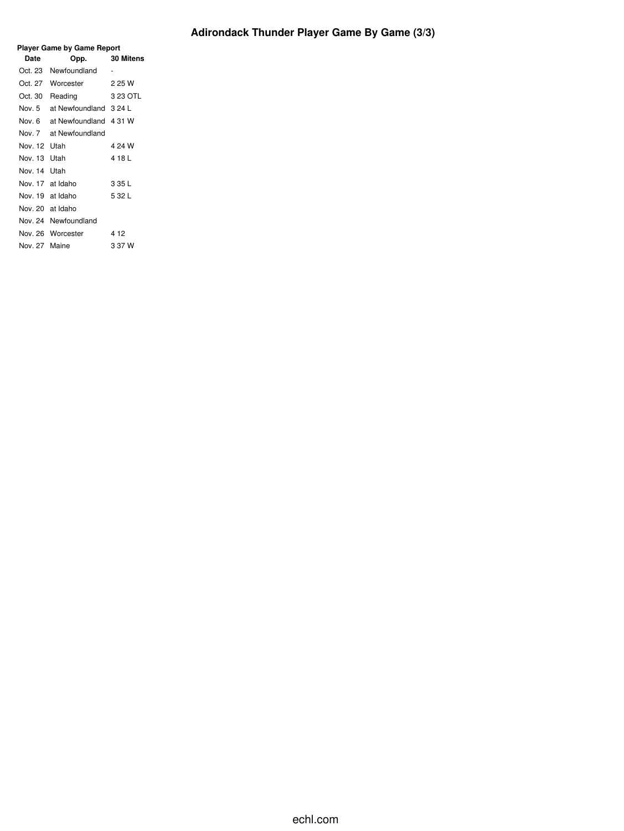| Player Game by Game Report |                       |                  |  |  |  |  |  |  |  |
|----------------------------|-----------------------|------------------|--|--|--|--|--|--|--|
| Date                       | Opp.                  | <b>30 Mitens</b> |  |  |  |  |  |  |  |
| Oct. 23                    | Newfoundland          | -                |  |  |  |  |  |  |  |
| Oct. 27                    | Worcester             | 2 25 W           |  |  |  |  |  |  |  |
| Oct. 30                    | Reading               | 3 23 OTL         |  |  |  |  |  |  |  |
| Nov. 5                     | at Newfoundland 324 L |                  |  |  |  |  |  |  |  |
| Nov. 6                     | at Newfoundland       | 4 31 W           |  |  |  |  |  |  |  |
| Nov <sub>7</sub>           | at Newfoundland       |                  |  |  |  |  |  |  |  |
| Nov. 12                    | <b>Utah</b>           | 4 24 W           |  |  |  |  |  |  |  |
| Nov 13                     | Utah                  | 4181             |  |  |  |  |  |  |  |
| Nov. 14                    | l Itah                |                  |  |  |  |  |  |  |  |
| Nov 17                     | at Idaho              | 3 35 L           |  |  |  |  |  |  |  |
| Nov 19                     | at Idaho              | 5 32 L           |  |  |  |  |  |  |  |
| Nov. 20                    | at Idaho              |                  |  |  |  |  |  |  |  |
| Nov. 24                    | Newfoundland          |                  |  |  |  |  |  |  |  |
|                            | Nov. 26 Worcester     | 4 12             |  |  |  |  |  |  |  |
| Nov 27                     | Maine                 | 3 37 W           |  |  |  |  |  |  |  |
|                            |                       |                  |  |  |  |  |  |  |  |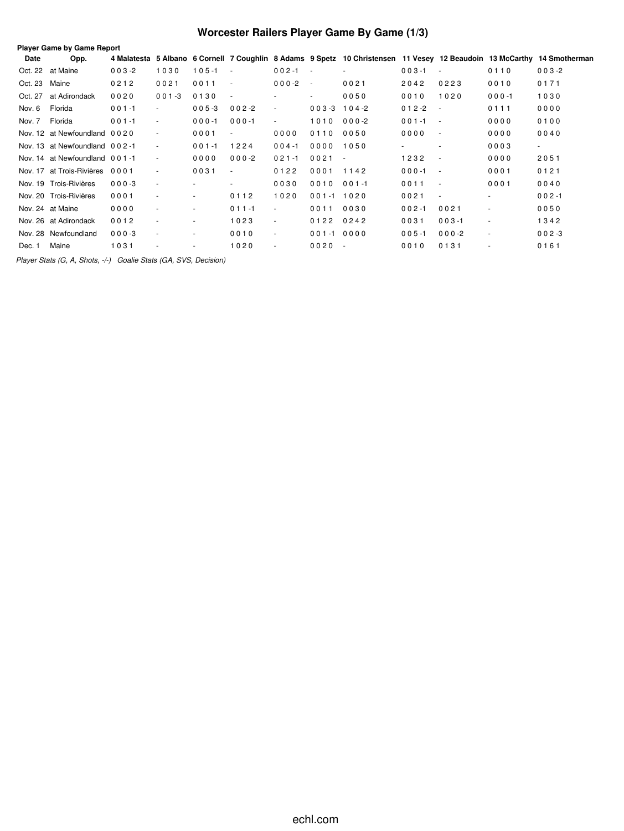# **Worcester Railers Player Game By Game (1/3)**

| Date          | Opp.                           |           |           |           |                          |                         |                | 4 Malatesta 5 Albano 6 Cornell 7 Coughlin 8 Adams 9 Spetz 10 Christensen 11 Vesey 12 Beaudoin 13 McCarthy 14 Smotherman |           |                          |                          |           |
|---------------|--------------------------------|-----------|-----------|-----------|--------------------------|-------------------------|----------------|-------------------------------------------------------------------------------------------------------------------------|-----------|--------------------------|--------------------------|-----------|
|               | Oct. 22 at Maine               | $003 - 2$ | 1030      | $105 - 1$ | $\sim$                   | $002 - 1$<br>$\sim 100$ |                | ٠                                                                                                                       | $003 - 1$ | $\overline{\phantom{a}}$ | 0110                     | $003 - 2$ |
| Oct. 23 Maine |                                | 0212      | 0021      | 0011      | $\overline{\phantom{a}}$ | $000-2$                 | $\sim$         | 0021                                                                                                                    | 2042      | 0223                     | 0010                     | 0171      |
| Oct. 27       | at Adirondack                  | 0020      | $001 - 3$ | 0130      | $\overline{\phantom{a}}$ | ٠                       | $\sim$         | 0050                                                                                                                    | 0010      | 1020                     | $000 - 1$                | 1030      |
| Nov. 6        | Florida                        | $001 - 1$ | $\sim$    | $005 - 3$ | $002 - 2$                | $\sim$                  | $003 - 3$      | $104 - 2$                                                                                                               | $012 - 2$ | $\sim$                   | 0111                     | 0000      |
| Nov. 7        | Florida                        | $001 - 1$ | ٠         | $000 - 1$ | $000 - 1$                | $\sim$                  | 1010           | $000-2$                                                                                                                 | $001 - 1$ | $\sim$ $-$               | 0000                     | 0100      |
|               | Nov. 12 at Newfoundland 0020   |           | $\sim$    | 0001      | $\overline{\phantom{a}}$ | 0000                    | 0110           | 0050                                                                                                                    | 0000      | $\sim$                   | 0000                     | 0040      |
|               | Nov. 13 at Newfoundland 002-1  |           | ٠         | $001 - 1$ | 1224                     | $004 - 1$               | 0000           | 1050                                                                                                                    |           | $\overline{\phantom{a}}$ | 0003                     | $\sim$    |
|               | Nov. 14 at Newfoundland 001-1  |           | ٠         | 0000      | $000-2$                  | $021 - 1$               | 0021           | $\sim$                                                                                                                  | 1232      | $\sim$                   | 0000                     | 2051      |
|               | Nov. 17 at Trois-Rivières 0001 |           | ٠         | 0031      | $\overline{\phantom{a}}$ | 0122                    | 0001           | 1142                                                                                                                    | $000 - 1$ | $\sim$                   | 0001                     | 0121      |
|               | Nov. 19 Trois-Rivières         | $000 - 3$ | $\sim$    |           |                          | 0030                    | 0010           | $001 - 1$                                                                                                               | 0011      | $\sim$                   | 0001                     | 0040      |
|               | Nov. 20 Trois-Rivières         | 0001      | ٠         | $\sim$    | 0112                     | 1020                    | $001 - 1$ 1020 |                                                                                                                         | 0021      | $\overline{\phantom{a}}$ | $\sim$                   | $002 - 1$ |
|               | Nov. 24 at Maine               | 0000      | ٠         | $\sim$    | $011 - 1$                | $\blacksquare$          | 0011           | 0030                                                                                                                    | $002 - 1$ | 0021                     | $\sim$                   | 0050      |
|               | Nov. 26 at Adirondack          | 0012      |           | $\sim$    | 1023                     | $\blacksquare$          | 0122 0242      |                                                                                                                         | 0031      | $003 - 1$                |                          | 1342      |
|               | Nov. 28 Newfoundland           | $000 - 3$ | ۰         | ٠         | 0010                     | $\sim$                  | $001 - 10000$  |                                                                                                                         | $005 - 1$ | $000 - 2$                | $\overline{\phantom{a}}$ | $002 - 3$ |
| Dec. 1        | Maine                          | 1031      |           | ٠         | 1020                     | $\sim$                  | $0020 -$       |                                                                                                                         | 0010      | 0131                     |                          | 0161      |
|               |                                |           |           |           |                          |                         |                |                                                                                                                         |           |                          |                          |           |

*Player Stats (G, A, Shots, -/-) Goalie Stats (GA, SVS, Decision)*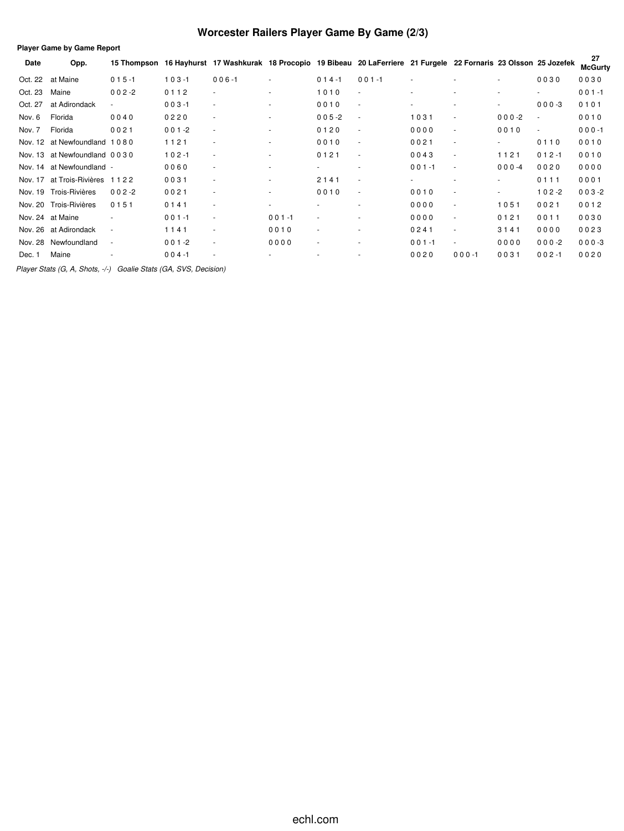# **Worcester Railers Player Game By Game (2/3)**

| <b>Player Game by Game Report</b> |                                |             |             |                                                                                              |                          |                          |                          |           |           |           |           |                      |
|-----------------------------------|--------------------------------|-------------|-------------|----------------------------------------------------------------------------------------------|--------------------------|--------------------------|--------------------------|-----------|-----------|-----------|-----------|----------------------|
| Date                              | Opp.                           | 15 Thompson | 16 Hayhurst | 17 Washkurak 18 Procopio 19 Bibeau 20 LaFerriere 21 Furgele 22 Fornaris 23 Olsson 25 Jozefek |                          |                          |                          |           |           |           |           | 27<br><b>McGurty</b> |
| Oct. 22                           | at Maine                       | $015 - 1$   | $103 - 1$   | $006 - 1$                                                                                    | $\overline{\phantom{a}}$ | $014 - 1$                | $001 - 1$                |           |           |           | 0030      | 0030                 |
| Oct. 23                           | Maine                          | $002 - 2$   | 0112        | $\sim$                                                                                       | ۰.                       | 1010                     | $\sim$                   |           |           |           | $\sim$    | $001 - 1$            |
| Oct. 27                           | at Adirondack                  |             | $003 - 1$   | ٠                                                                                            | $\sim$                   | 0010                     | $\sim$                   |           |           | $\sim$    | $000-3$   | 0101                 |
| Nov. 6                            | Florida                        | 0040        | 0220        | ٠                                                                                            | ٠                        | $005 - 2$                | $\overline{\phantom{a}}$ | 1031      | ٠         | $000-2$   | $\sim$    | 0010                 |
| Nov. 7                            | Florida                        | 0021        | $001 - 2$   | ٠                                                                                            | ٠                        | 0120                     | $\sim$                   | 0000      | ٠         | 0010      | $\sim$    | $000 - 1$            |
| Nov. 12                           | at Newfoundland 1080           |             | 1121        | $\overline{\phantom{a}}$                                                                     | ٠                        | 0010                     | $\sim$                   | 0021      | ٠         | $\sim$    | 0110      | 0010                 |
| Nov. 13                           | at Newfoundland 0030           |             | $102 - 1$   | $\sim$                                                                                       | ٠                        | 0121                     | $\sim$                   | 0043      | ٠         | 1121      | $012 - 1$ | 0010                 |
|                                   | Nov. 14 at Newfoundland -      |             | 0060        | ٠                                                                                            | ٠                        |                          | ٠                        | $001 - 1$ | ٠         | $000 - 4$ | 0020      | 0000                 |
|                                   | Nov. 17 at Trois-Rivières 1122 |             | 0031        | ٠                                                                                            | ٠                        | 2141                     | ٠                        |           | ٠         | $\sim$    | 0111      | 0001                 |
| Nov. 19                           | Trois-Rivières                 | $002 - 2$   | 0021        | ٠                                                                                            | $\overline{\phantom{0}}$ | 0010                     | $\sim$                   | 0010      | ٠         |           | $102 - 2$ | $003 - 2$            |
|                                   | Nov. 20 Trois-Rivières         | 0151        | 0141        | $\sim$                                                                                       | ٠                        |                          | ٠                        | 0000      | ٠         | 1051      | 0021      | 0012                 |
|                                   | Nov. 24 at Maine               |             | $001 - 1$   | ٠                                                                                            | $001 - 1$                | ۰                        | ٠                        | 0000      | ٠         | 0121      | 0011      | 0030                 |
| Nov. 26                           | at Adirondack                  | ٠           | 1141        | ٠                                                                                            | 0010                     | $\overline{\phantom{a}}$ | ٠                        | 0241      | ٠         | 3141      | 0000      | 0023                 |
| Nov. 28                           | Newfoundland                   |             | $001 - 2$   | ٠                                                                                            | 0000                     |                          | ٠                        | $001 - 1$ | ٠         | 0000      | $000-2$   | $000-3$              |
| Dec. 1                            | Maine                          |             | $004 - 1$   |                                                                                              |                          |                          |                          | 0020      | $000 - 1$ | 0031      | $002 - 1$ | 0020                 |

*Player Stats (G, A, Shots, -/-) Goalie Stats (GA, SVS, Decision)*